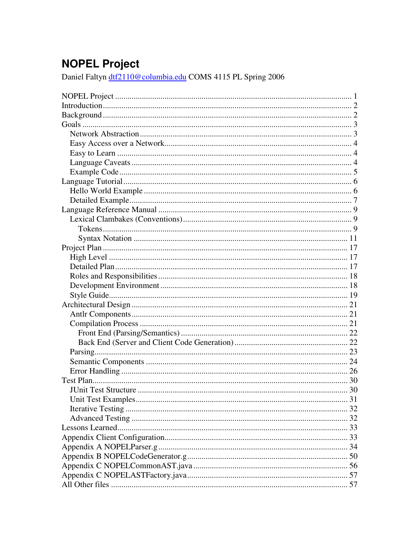# **NOPEL Project**

Daniel Faltyn dtf2110@columbia.edu COMS 4115 PL Spring 2006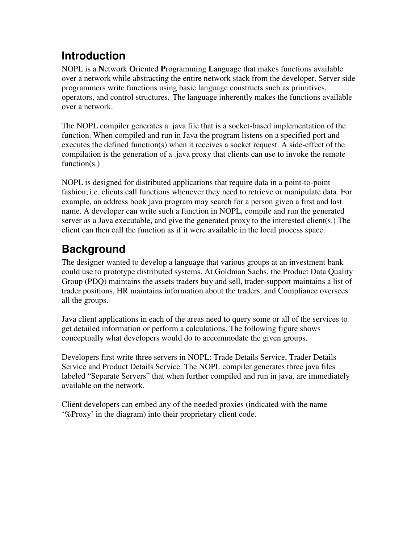# **Introduction**

NOPL is a **N**etwork **O**riented **P**rogramming **L**anguage that makes functions available over a network while abstracting the entire network stack from the developer. Server side programmers write functions using basic language constructs such as primitives, operators, and control structures. The language inherently makes the functions available over a network.

The NOPL compiler generates a .java file that is a socket-based implementation of the function. When compiled and run in Java the program listens on a specified port and executes the defined function(s) when it receives a socket request. A side-effect of the compilation is the generation of a .java proxy that clients can use to invoke the remote function(s.)

NOPL is designed for distributed applications that require data in a point-to-point fashion; i.e. clients call functions whenever they need to retrieve or manipulate data. For example, an address book java program may search for a person given a first and last name. A developer can write such a function in NOPL, compile and run the generated server as a Java executable, and give the generated proxy to the interested client(s.) The client can then call the function as if it were available in the local process space.

# **Background**

The designer wanted to develop a language that various groups at an investment bank could use to prototype distributed systems. At Goldman Sachs, the Product Data Quality Group (PDQ) maintains the assets traders buy and sell, trader-support maintains a list of trader positions, HR maintains information about the traders, and Compliance oversees all the groups.

Java client applications in each of the areas need to query some or all of the services to get detailed information or perform a calculations. The following figure shows conceptually what developers would do to accommodate the given groups.

Developers first write three servers in NOPL: Trade Details Service, Trader Details Service and Product Details Service. The NOPL compiler generates three java files labeled "Separate Servers" that when further compiled and run in java, are immediately available on the network.

Client developers can embed any of the needed proxies (indicated with the name '%Proxy' in the diagram) into their proprietary client code.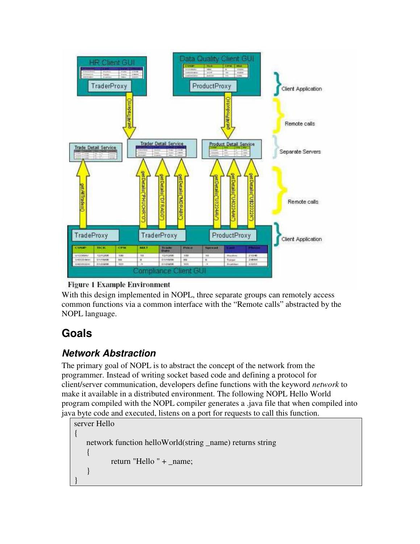

#### **Figure 1 Example Environment**

With this design implemented in NOPL, three separate groups can remotely access common functions via a common interface with the "Remote calls" abstracted by the NOPL language.

# **Goals**

## *Network Abstraction*

The primary goal of NOPL is to abstract the concept of the network from the programmer. Instead of writing socket based code and defining a protocol for client/server communication, developers define functions with the keyword *network* to make it available in a distributed environment. The following NOPL Hello World program compiled with the NOPL compiler generates a .java file that when compiled into java byte code and executed, listens on a port for requests to call this function.

```
server Hello
{
   network function helloWorld(string _name) returns string
   {
           return "Hello " + _name;
   }
}
```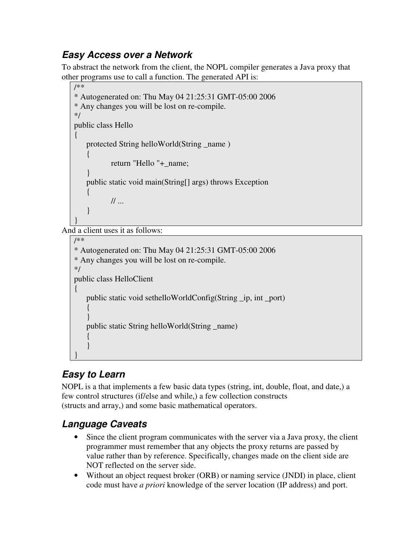## *Easy Access over a Network*

To abstract the network from the client, the NOPL compiler generates a Java proxy that other programs use to call a function. The generated API is:

```
/**
* Autogenerated on: Thu May 04 21:25:31 GMT-05:00 2006
* Any changes you will be lost on re-compile.
*/
public class Hello
\{protected String helloWorld(String _name )
    {
           return "Hello "+_name;
    }
    public static void main(String[] args) throws Exception
    \left\{ \right.// ...
    }
}
```
And a client uses it as follows:

```
/**
* Autogenerated on: Thu May 04 21:25:31 GMT-05:00 2006
* Any changes you will be lost on re-compile.
*/
public class HelloClient
{
   public static void sethelloWorldConfig(String _ip, int _port)
    {
    }
   public static String helloWorld(String _name)
    {
    }
}
```
# *Easy to Learn*

NOPL is a that implements a few basic data types (string, int, double, float, and date,) a few control structures (if/else and while,) a few collection constructs (structs and array,) and some basic mathematical operators.

# *Language Caveats*

- Since the client program communicates with the server via a Java proxy, the client programmer must remember that any objects the proxy returns are passed by value rather than by reference. Specifically, changes made on the client side are NOT reflected on the server side.
- Without an object request broker (ORB) or naming service (JNDI) in place, client code must have *a priori* knowledge of the server location (IP address) and port.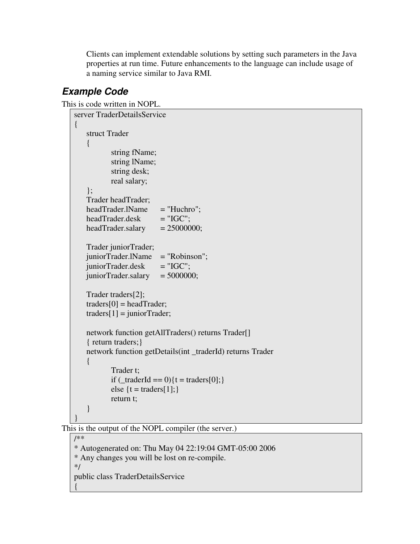Clients can implement extendable solutions by setting such parameters in the Java properties at run time. Future enhancements to the language can include usage of a naming service similar to Java RMI.

## *Example Code*

```
This is code written in NOPL.
   server TraderDetailsService
   {
       struct Trader
       \{string fName;
              string lName;
              string desk;
              real salary;
       };
       Trader headTrader;
       headTrader.lName = "Huchro";
       headTradex = "IGC";
       headTrader.salary = 25000000;
       Trader juniorTrader;
       juniorTrader.lName = "Robinson";
       ijuniorTrader.degk = "IGC";juniorTrader.salary = 5000000;
       Trader traders[2];
       traders[0] = headTrader;traders[1] = juniorTrader;network function getAllTraders() returns Trader[]
       { return traders;}
       network function getDetails(int _traderId) returns Trader
       {
              Trader t;
              if (\text{traderId} == 0){t = traders[0];}
              else \{t = \text{traders}[1];\}return t;
       }
   }
```
This is the output of the NOPL compiler (the server.)

/\*\*

\* Autogenerated on: Thu May 04 22:19:04 GMT-05:00 2006 \* Any changes you will be lost on re-compile. \*/ public class TraderDetailsService {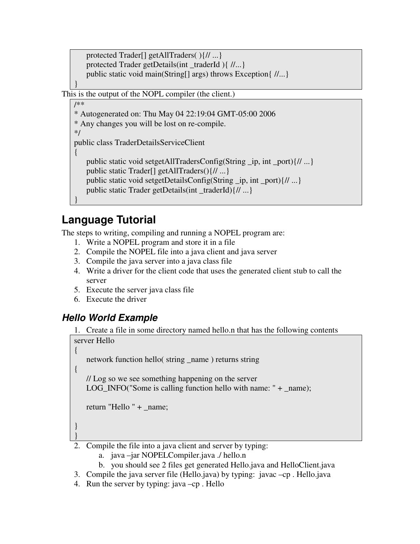protected Trader[] getAllTraders( ){// ...} protected Trader getDetails(int \_traderId ){ //...} public static void main(String[] args) throws Exception{ //...}

This is the output of the NOPL compiler (the client.)

#### /\*\*

}

```
* Autogenerated on: Thu May 04 22:19:04 GMT-05:00 2006
* Any changes you will be lost on re-compile.
*/
public class TraderDetailsServiceClient
{
    public static void setgetAllTradersConfig(String _ip, int _port){// ...}
   public static Trader[] getAllTraders(){// ...}
   public static void setgetDetailsConfig(String _ip, int _port){// ...}
    public static Trader getDetails(int \text{traderId})\{// ...}
}
```
# **Language Tutorial**

The steps to writing, compiling and running a NOPEL program are:

- 1. Write a NOPEL program and store it in a file
- 2. Compile the NOPEL file into a java client and java server
- 3. Compile the java server into a java class file
- 4. Write a driver for the client code that uses the generated client stub to call the server
- 5. Execute the server java class file
- 6. Execute the driver

## *Hello World Example*

1. Create a file in some directory named hello.n that has the following contents

```
server Hello
{
   network function hello( string _name ) returns string
{
   // Log so we see something happening on the server
   LOG INFO("Some is calling function hello with name: "+ name);
   return "Hello " + _name;
}
}
```
- 2. Compile the file into a java client and server by typing:
	- a. java –jar NOPELCompiler.java ./ hello.n
	- b. you should see 2 files get generated Hello.java and HelloClient.java
- 3. Compile the java server file (Hello.java) by typing: javac –cp . Hello.java
- 4. Run the server by typing: java –cp . Hello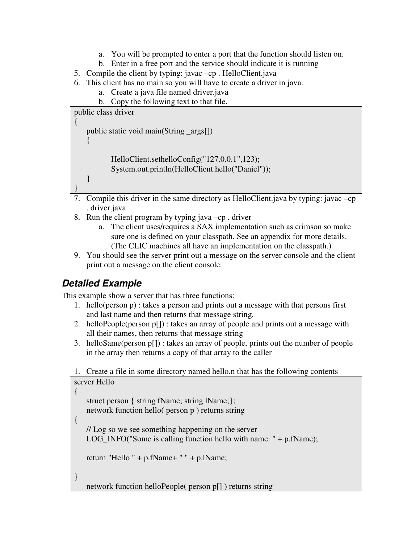- a. You will be prompted to enter a port that the function should listen on.
- b. Enter in a free port and the service should indicate it is running
- 5. Compile the client by typing: javac –cp . HelloClient.java
- 6. This client has no main so you will have to create a driver in java.
	- a. Create a java file named driver.java
	- b. Copy the following text to that file.

public class driver

```
{
   public static void main(String _args[])
   {
           HelloClient.sethelloConfig("127.0.0.1",123);
           System.out.println(HelloClient.hello("Daniel"));
   }
```
}

- 7. Compile this driver in the same directory as HelloClient.java by typing: javac –cp . driver.java
- 8. Run the client program by typing java –cp . driver
	- a. The client uses/requires a SAX implementation such as crimson so make sure one is defined on your classpath. See an appendix for more details. (The CLIC machines all have an implementation on the classpath.)
- 9. You should see the server print out a message on the server console and the client print out a message on the client console.

## *Detailed Example*

This example show a server that has three functions:

- 1. hello(person p) : takes a person and prints out a message with that persons first and last name and then returns that message string.
- 2. helloPeople(person p[]) : takes an array of people and prints out a message with all their names, then returns that message string
- 3. helloSame(person p[]) : takes an array of people, prints out the number of people in the array then returns a copy of that array to the caller

1. Create a file in some directory named hello.n that has the following contents

```
server Hello
{
   struct person { string fName; string lName;};
   network function hello( person p ) returns string
{
   // Log so we see something happening on the server
   LOG INFO("Some is calling function hello with name: "+ p.fName);
   return "Hello " + p.fName+ " " + p.lName;
}
   network function helloPeople( person p[] ) returns string
```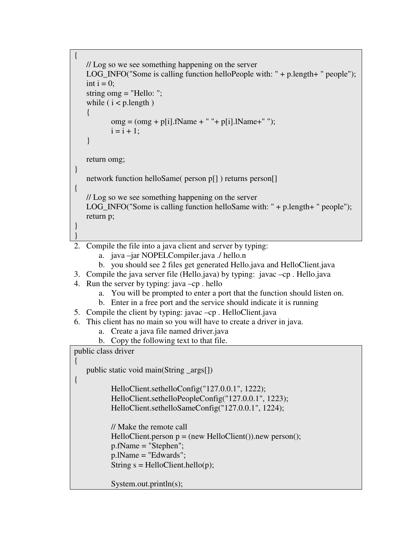{ // Log so we see something happening on the server LOG INFO("Some is calling function helloPeople with: " $+$  p.length $+$ " people"); int  $i = 0$ ; string  $\text{omg} = \text{"Hello: "};$ while ( $i < p$ , length)  $\{$  $\text{omg} = (\text{omg} + \text{p}[i].\text{fName} + " " + \text{p}[i].\text{IName} + " ");$  $i = i + 1$ ; } return omg; } network function helloSame( person p[] ) returns person[] { // Log so we see something happening on the server LOG\_INFO("Some is calling function helloSame with: " + p.length+ " people"); return p; } } 2. Compile the file into a java client and server by typing: a. java –jar NOPELCompiler.java ./ hello.n b. you should see 2 files get generated Hello.java and HelloClient.java 3. Compile the java server file (Hello.java) by typing: javac –cp . Hello.java 4. Run the server by typing: java –cp . hello a. You will be prompted to enter a port that the function should listen on. b. Enter in a free port and the service should indicate it is running 5. Compile the client by typing: javac –cp . HelloClient.java 6. This client has no main so you will have to create a driver in java. a. Create a java file named driver.java b. Copy the following text to that file. public class driver  $\left\{ \right.$ public static void main(String \_args[]) { HelloClient.sethelloConfig("127.0.0.1", 1222); HelloClient.sethelloPeopleConfig("127.0.0.1", 1223); HelloClient.sethelloSameConfig("127.0.0.1", 1224); // Make the remote call HelloClient.person  $p = (new \ HelloClient())$ .new person(); p.fName = "Stephen"; p.lName = "Edwards"; String  $s = HelloClient.hello(p);$ 

```
System.out.println(s);
```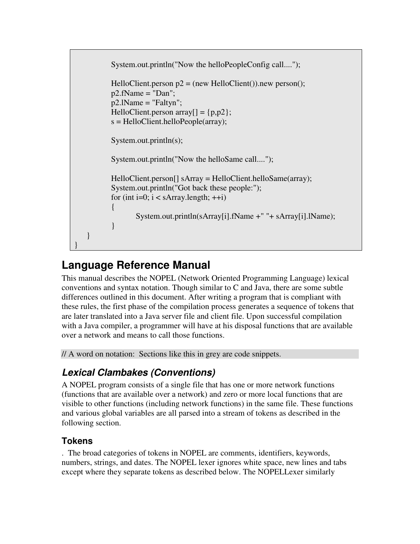```
System.out.println("Now the helloPeopleConfig call....");
          HelloClient.person p2 = (new HelloClient()).new person();
          p2.fName = "Dan";p2.lName = "Faltyn";
          HelloClient.person array[]= {p,p2};s = HelloClient.helloPeople(array);
          System.out.println(s);
          System.out.println("Now the helloSame call....");
          HelloClient.person[] sArray = HelloClient.helloSame(array);
          System.out.println("Got back these people:");
          for (int i=0; i < sArray.length; ++i)
           {
                  System.out.println(sArray[i].fName +" "+ sArray[i].lName);
           }
   }
}
```
# **Language Reference Manual**

This manual describes the NOPEL (Network Oriented Programming Language) lexical conventions and syntax notation. Though similar to C and Java, there are some subtle differences outlined in this document. After writing a program that is compliant with these rules, the first phase of the compilation process generates a sequence of tokens that are later translated into a Java server file and client file. Upon successful compilation with a Java compiler, a programmer will have at his disposal functions that are available over a network and means to call those functions.

// A word on notation: Sections like this in grey are code snippets.

## *Lexical Clambakes (Conventions)*

A NOPEL program consists of a single file that has one or more network functions (functions that are available over a network) and zero or more local functions that are visible to other functions (including network functions) in the same file. These functions and various global variables are all parsed into a stream of tokens as described in the following section.

## **Tokens**

. The broad categories of tokens in NOPEL are comments, identifiers, keywords, numbers, strings, and dates. The NOPEL lexer ignores white space, new lines and tabs except where they separate tokens as described below. The NOPELLexer similarly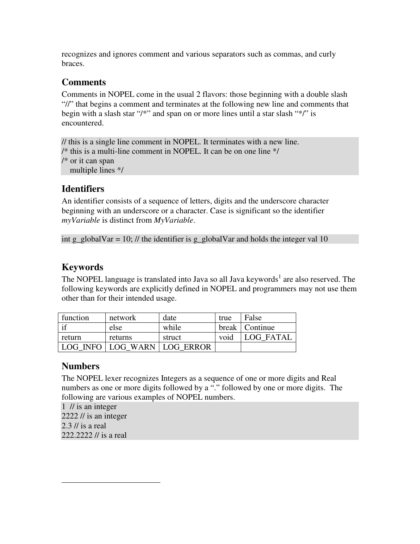recognizes and ignores comment and various separators such as commas, and curly braces.

#### **Comments**

Comments in NOPEL come in the usual 2 flavors: those beginning with a double slash "//" that begins a comment and terminates at the following new line and comments that begin with a slash star "/\*" and span on or more lines until a star slash "\*/" is encountered.

// this is a single line comment in NOPEL. It terminates with a new line. /\* this is a multi-line comment in NOPEL. It can be on one line \*/ /\* or it can span multiple lines \*/

#### **Identifiers**

An identifier consists of a sequence of letters, digits and the underscore character beginning with an underscore or a character. Case is significant so the identifier *myVariable* is distinct from *MyVariable*.

int g\_globalVar = 10; // the identifier is g\_globalVar and holds the integer val 10

#### **Keywords**

The NOPEL language is translated into Java so all Java keywords $^1$  are also reserved. The following keywords are explicitly defined in NOPEL and programmers may not use them other than for their intended usage.

| function               | network                         | date   | true | False            |
|------------------------|---------------------------------|--------|------|------------------|
| $\overline{\text{if}}$ | else                            | while  |      | break   Continue |
| return                 | returns                         | struct | void | <b>LOG FATAL</b> |
|                        | LOG INFO   LOG WARN   LOG ERROR |        |      |                  |

#### **Numbers**

The NOPEL lexer recognizes Integers as a sequence of one or more digits and Real numbers as one or more digits followed by a "." followed by one or more digits. The following are various examples of NOPEL numbers.

1 // is an integer  $2222$  // is an integer  $2.3$  // is a real 222.2222 // is a real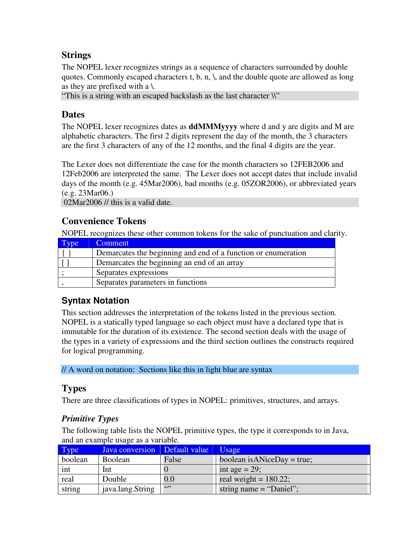## **Strings**

The NOPEL lexer recognizes strings as a sequence of characters surrounded by double quotes. Commonly escaped characters t, b, n,  $\lambda$ , and the double quote are allowed as long as they are prefixed with a  $\lambda$ .

"This is a string with an escaped backslash as the last character \\"

#### **Dates**

The NOPEL lexer recognizes dates as **ddMMMyyyy** where d and y are digits and M are alphabetic characters. The first 2 digits represent the day of the month, the 3 characters are the first 3 characters of any of the 12 months, and the final 4 digits are the year.

The Lexer does not differentiate the case for the month characters so 12FEB2006 and 12Feb2006 are interpreted the same. The Lexer does not accept dates that include invalid days of the month (e.g. 45Mar2006), bad months (e.g. 05ZOR2006), or abbreviated years (e.g. 23Mar06.)

02Mar2006 // this is a valid date.

#### **Convenience Tokens**

NOPEL recognizes these other common tokens for the sake of punctuation and clarity.

| Comment                                                       |
|---------------------------------------------------------------|
| Demarcates the beginning and end of a function or enumeration |
| Demarcates the beginning an end of an array                   |
| Separates expressions                                         |
| Separates parameters in functions                             |

## **Syntax Notation**

This section addresses the interpretation of the tokens listed in the previous section. NOPEL is a statically typed language so each object must have a declared type that is immutable for the duration of its existence. The second section deals with the usage of the types in a variety of expressions and the third section outlines the constructs required for logical programming.

// A word on notation: Sections like this in light blue are syntax

## **Types**

There are three classifications of types in NOPEL: primitives, structures, and arrays.

#### *Primitive Types*

The following table lists the NOPEL primitive types, the type it corresponds to in Java, and an example usage as a variable.

| Type    | Java conversion Default value |       | Usage                       |
|---------|-------------------------------|-------|-----------------------------|
| boolean | Boolean                       | False | boolean is ANiceDay = true; |
| int     | Int                           |       | int age = $29$ ;            |
| real    | Double                        | 0.0   | real weight = $180.22$ ;    |
| string  | java.lang.String              | 6522  | string name $=$ "Daniel";   |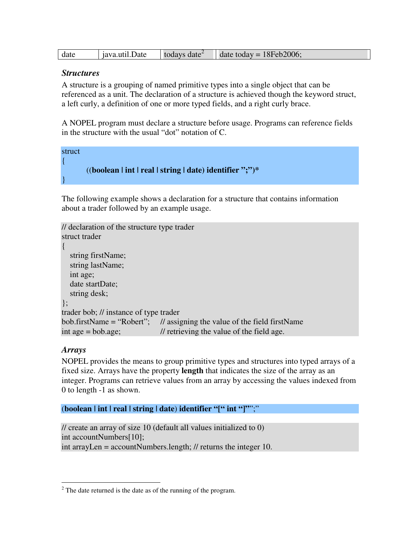| date | ava.util.Date | todays date <sup><math>\sim</math></sup> | 18Feb2006;<br>date today = $\bf{1}$ |
|------|---------------|------------------------------------------|-------------------------------------|
|------|---------------|------------------------------------------|-------------------------------------|

#### *Structures*

A structure is a grouping of named primitive types into a single object that can be referenced as a unit. The declaration of a structure is achieved though the keyword struct, a left curly, a definition of one or more typed fields, and a right curly brace.

A NOPEL program must declare a structure before usage. Programs can reference fields in the structure with the usual "dot" notation of C.



The following example shows a declaration for a structure that contains information about a trader followed by an example usage.

```
// declaration of the structure type trader
struct trader
{
  string firstName;
  string lastName;
  int age;
  date startDate;
  string desk;
};
trader bob; // instance of type trader
bob.firstName = "Robert"; // assigning the value of the field firstName
int age = bob.age; \frac{1}{\sqrt{2}} retrieving the value of the field age.
```
#### *Arrays*

NOPEL provides the means to group primitive types and structures into typed arrays of a fixed size. Arrays have the property **length** that indicates the size of the array as an integer. Programs can retrieve values from an array by accessing the values indexed from 0 to length -1 as shown.

```
(boolean | int | real | string | date) identifier "[" int "]"";"
```
// create an array of size 10 (default all values initialized to 0) int accountNumbers[10]; int arrayLen = accountNumbers.length; // returns the integer 10.

 $2^2$  The date returned is the date as of the running of the program.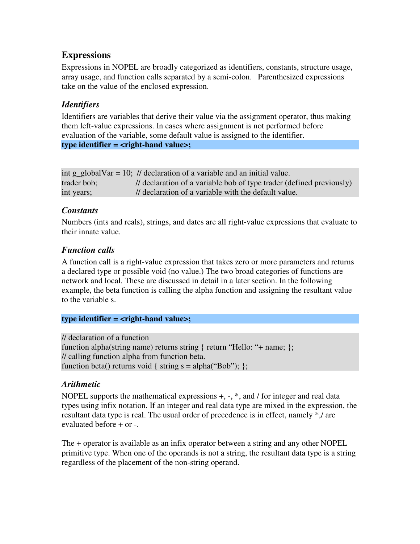#### **Expressions**

Expressions in NOPEL are broadly categorized as identifiers, constants, structure usage, array usage, and function calls separated by a semi-colon. Parenthesized expressions take on the value of the enclosed expression.

#### *Identifiers*

Identifiers are variables that derive their value via the assignment operator, thus making them left-value expressions. In cases where assignment is not performed before evaluation of the variable, some default value is assigned to the identifier. **type identifier = <right-hand value>;**

|             | int $g_{global}Var = 10$ ; // declaration of a variable and an initial value. |
|-------------|-------------------------------------------------------------------------------|
| trader bob; | // declaration of a variable bob of type trader (defined previously)          |
| int years;  | // declaration of a variable with the default value.                          |

#### *Constants*

Numbers (ints and reals), strings, and dates are all right-value expressions that evaluate to their innate value.

#### *Function calls*

A function call is a right-value expression that takes zero or more parameters and returns a declared type or possible void (no value.) The two broad categories of functions are network and local. These are discussed in detail in a later section. In the following example, the beta function is calling the alpha function and assigning the resultant value to the variable s.

#### **type identifier = <right-hand value>;**

// declaration of a function function alpha(string name) returns string { return "Hello: "+ name; }; // calling function alpha from function beta. function beta() returns void { string  $s = alpha("Bob");$  };

#### *Arithmetic*

NOPEL supports the mathematical expressions  $+, \frac{1}{2}, \frac{1}{2}$ , and / for integer and real data types using infix notation. If an integer and real data type are mixed in the expression, the resultant data type is real. The usual order of precedence is in effect, namely \*,/ are evaluated before + or -.

The + operator is available as an infix operator between a string and any other NOPEL primitive type. When one of the operands is not a string, the resultant data type is a string regardless of the placement of the non-string operand.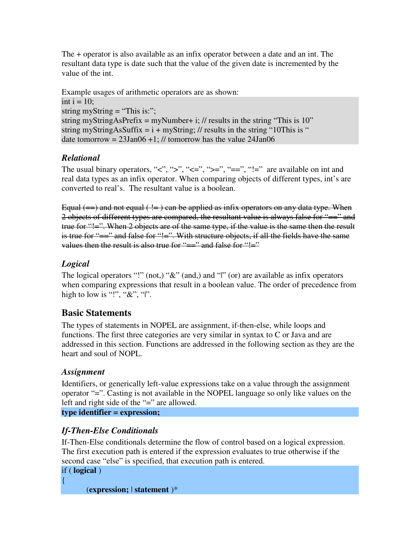The + operator is also available as an infix operator between a date and an int. The resultant data type is date such that the value of the given date is incremented by the value of the int.

Example usages of arithmetic operators are as shown: int  $i = 10$ ; string myString  $=$  "This is:"; string myStringAsPrefix = myNumber+ i; // results in the string "This is  $10"$ " string myStringAsSuffix =  $i + myString$ ; // results in the string "10This is " date tomorrow =  $23$ Jan06 +1; // tomorrow has the value  $24$ Jan06

#### *Relational*

The usual binary operators, "<", ">", "<=", ">=", "==", "!=" are available on int and real data types as an infix operator. When comparing objects of different types, int's are converted to real's. The resultant value is a boolean.

Equal  $(==)$  and not equal  $( != )$  can be applied as infix operators on any data type. When 2 objects of different types are compared, the resultant value is always false for "==" and true for "!=". When 2 objects are of the same type, if the value is the same then the result is true for "==" and false for "!=". With structure objects, if all the fields have the same values then the result is also true for " $==$ " and false for " $!=$ "

#### *Logical*

The logical operators "!" (not,) "&" (and,) and "|" (or) are available as infix operators when comparing expressions that result in a boolean value. The order of precedence from high to low is "!", " $\&$ ", "".

#### **Basic Statements**

The types of statements in NOPEL are assignment, if-then-else, while loops and functions. The first three categories are very similar in syntax to C or Java and are addressed in this section. Functions are addressed in the following section as they are the heart and soul of NOPL.

#### *Assignment*

Identifiers, or generically left-value expressions take on a value through the assignment operator "=". Casting is not available in the NOPEL language so only like values on the left and right side of the "=" are allowed.

**type identifier = expression;**

#### *If-Then-Else Conditionals*

If-Then-Else conditionals determine the flow of control based on a logical expression. The first execution path is entered if the expression evaluates to true otherwise if the second case "else" is specified, that execution path is entered.

if ( **logical** )

{

(**expression;** | **statement** )\*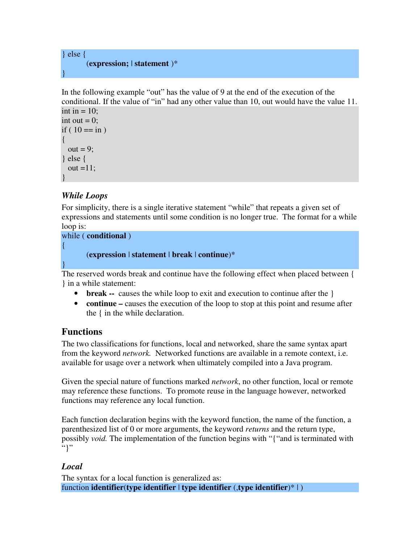```
} else {
       (expression; | statement )*
}
```
In the following example "out" has the value of 9 at the end of the execution of the conditional. If the value of "in" had any other value than 10, out would have the value 11.

```
int in = 10;
int out = 0;
if ( 10 == in )
{
 out = 9:
} else {
 out =11;
}
```
#### *While Loops*

For simplicity, there is a single iterative statement "while" that repeats a given set of expressions and statements until some condition is no longer true. The format for a while loop is:

```
while ( conditional )
{
```

```
(expression | statement | break | continue)*
```
} The reserved words break and continue have the following effect when placed between { } in a while statement:

- **break** -- causes the while loop to exit and execution to continue after the  $\}$
- **continue** causes the execution of the loop to stop at this point and resume after the { in the while declaration.

## **Functions**

The two classifications for functions, local and networked, share the same syntax apart from the keyword *network.* Networked functions are available in a remote context, i.e. available for usage over a network when ultimately compiled into a Java program.

Given the special nature of functions marked *network*, no other function, local or remote may reference these functions. To promote reuse in the language however, networked functions may reference any local function.

Each function declaration begins with the keyword function, the name of the function, a parenthesized list of 0 or more arguments, the keyword *returns* and the return type, possibly *void.* The implementation of the function begins with "{"and is terminated with "}"

#### *Local*

The syntax for a local function is generalized as: function **identifier**(**type identifier** | **type identifier** (,**type identifier**)\* | )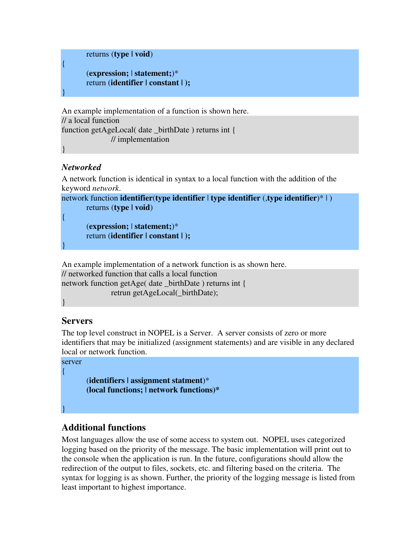```
returns (type | void)
```

```
(expression; | statement;)*
return (identifier | constant | );
```
An example implementation of a function is shown here. // a local function function getAgeLocal( date \_birthDate ) returns int { // implementation

#### *Networked*

A network function is identical in syntax to a local function with the addition of the keyword *network*.

```
network function identifier(type identifier | type identifier (,type identifier)* | )
       returns (type | void)
```
(**expression;** | **statement;**)\* return (**identifier | constant | );**

An example implementation of a network function is as shown here. // networked function that calls a local function network function getAge( date \_birthDate ) returns int { retrun getAgeLocal(\_birthDate);

}

#### **Servers**

The top level construct in NOPEL is a Server. A server consists of zero or more identifiers that may be initialized (assignment statements) and are visible in any declared local or network function.

server

```
(identifiers | assignment statment)*
(local functions; | network functions)*
```

```
}
```
{

#### **Additional functions**

Most languages allow the use of some access to system out. NOPEL uses categorized logging based on the priority of the message. The basic implementation will print out to the console when the application is run. In the future, configurations should allow the redirection of the output to files, sockets, etc. and filtering based on the criteria. The syntax for logging is as shown. Further, the priority of the logging message is listed from least important to highest importance.

 $\{$ 

}

}

{

}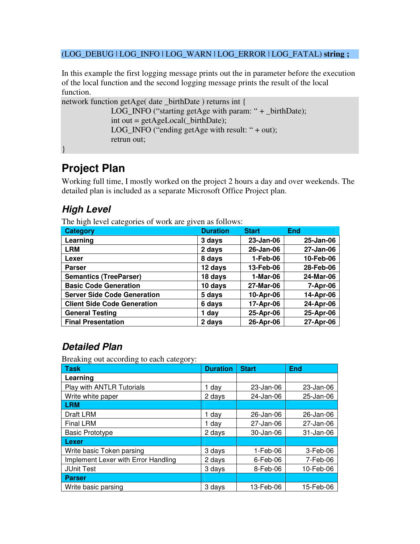#### (LOG\_DEBUG | LOG\_INFO | LOG\_WARN | LOG\_ERROR | LOG\_FATAL) **string ;**

In this example the first logging message prints out the in parameter before the execution of the local function and the second logging message prints the result of the local function.

network function getAge( date \_birthDate ) returns int {

```
LOG_INFO ("starting getAge with param: " + _birthDate);
int out = getAgeLocal(_birthDate);
LOG_INFO ("ending getAge with result: " + out);
retrun out;
```
# **Project Plan**

}

Working full time, I mostly worked on the project 2 hours a day and over weekends. The detailed plan is included as a separate Microsoft Office Project plan.

## *High Level*

The high level categories of work are given as follows:

| Category                           | <b>Duration</b> | <b>Start</b> | <b>End</b> |
|------------------------------------|-----------------|--------------|------------|
| Learning                           | 3 days          | 23-Jan-06    | 25-Jan-06  |
| <b>LRM</b>                         | 2 days          | 26-Jan-06    | 27-Jan-06  |
| Lexer                              | 8 days          | 1-Feb-06     | 10-Feb-06  |
| <b>Parser</b>                      | 12 days         | 13-Feb-06    | 28-Feb-06  |
| <b>Semantics (TreeParser)</b>      | 18 days         | 1-Mar-06     | 24-Mar-06  |
| <b>Basic Code Generation</b>       | 10 days         | 27-Mar-06    | 7-Apr-06   |
| <b>Server Side Code Generation</b> | 5 days          | 10-Apr-06    | 14-Apr-06  |
| <b>Client Side Code Generation</b> | 6 days          | 17-Apr-06    | 24-Apr-06  |
| <b>General Testing</b>             | 1 day           | 25-Apr-06    | 25-Apr-06  |
| <b>Final Presentation</b>          | 2 days          | 26-Apr-06    | 27-Apr-06  |
|                                    |                 |              |            |

## *Detailed Plan*

Breaking out according to each category:

| <b>Task</b>                         | <b>Duration</b> | <b>Start</b> | <b>End</b> |
|-------------------------------------|-----------------|--------------|------------|
| Learning                            |                 |              |            |
| Play with ANTLR Tutorials           | 1 day           | 23-Jan-06    | 23-Jan-06  |
| Write white paper                   | 2 days          | 24-Jan-06    | 25-Jan-06  |
| <b>LRM</b>                          |                 |              |            |
| Draft LRM                           | 1 day           | 26-Jan-06    | 26-Jan-06  |
| <b>Final LRM</b>                    | 1 day           | 27-Jan-06    | 27-Jan-06  |
| <b>Basic Prototype</b>              | 2 days          | 30-Jan-06    | 31-Jan-06  |
| Lexer                               |                 |              |            |
| Write basic Token parsing           | 3 days          | $1-Feb-06$   | 3-Feb-06   |
| Implement Lexer with Error Handling | 2 days          | 6-Feb-06     | 7-Feb-06   |
| <b>JUnit Test</b>                   | 3 days          | 8-Feb-06     | 10-Feb-06  |
| <b>Parser</b>                       |                 |              |            |
| Write basic parsing                 | 3 days          | 13-Feb-06    | 15-Feb-06  |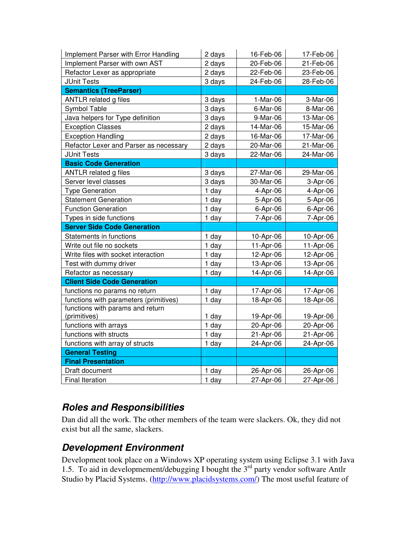| Implement Parser with Error Handling   | 2 days  | 16-Feb-06 | 17-Feb-06 |
|----------------------------------------|---------|-----------|-----------|
| Implement Parser with own AST          | 2 days  | 20-Feb-06 | 21-Feb-06 |
| Refactor Lexer as appropriate          | 2 days  | 22-Feb-06 | 23-Feb-06 |
| <b>JUnit Tests</b>                     | 3 days  | 24-Feb-06 | 28-Feb-06 |
| <b>Semantics (TreeParser)</b>          |         |           |           |
| <b>ANTLR related g files</b>           | 3 days  | 1-Mar-06  | 3-Mar-06  |
| Symbol Table                           | 3 days  | 6-Mar-06  | 8-Mar-06  |
| Java helpers for Type definition       | 3 days  | 9-Mar-06  | 13-Mar-06 |
| <b>Exception Classes</b>               | 2 days  | 14-Mar-06 | 15-Mar-06 |
| <b>Exception Handling</b>              | 2 days  | 16-Mar-06 | 17-Mar-06 |
| Refactor Lexer and Parser as necessary | 2 days  | 20-Mar-06 | 21-Mar-06 |
| <b>JUnit Tests</b>                     | 3 days  | 22-Mar-06 | 24-Mar-06 |
| <b>Basic Code Generation</b>           |         |           |           |
| <b>ANTLR related g files</b>           | 3 days  | 27-Mar-06 | 29-Mar-06 |
| Server level classes                   | 3 days  | 30-Mar-06 | 3-Apr-06  |
| <b>Type Generation</b>                 | 1 day   | 4-Apr-06  | 4-Apr-06  |
| <b>Statement Generation</b>            | 1 day   | 5-Apr-06  | 5-Apr-06  |
| <b>Function Generation</b>             | $1$ day | 6-Apr-06  | 6-Apr-06  |
| Types in side functions                | 1 day   | 7-Apr-06  | 7-Apr-06  |
| <b>Server Side Code Generation</b>     |         |           |           |
| Statements in functions                | 1 day   | 10-Apr-06 | 10-Apr-06 |
| Write out file no sockets              | 1 day   | 11-Apr-06 | 11-Apr-06 |
| Write files with socket interaction    | 1 day   | 12-Apr-06 | 12-Apr-06 |
| Test with dummy driver                 | 1 day   | 13-Apr-06 | 13-Apr-06 |
| Refactor as necessary                  | 1 day   | 14-Apr-06 | 14-Apr-06 |
| <b>Client Side Code Generation</b>     |         |           |           |
| functions no params no return          | 1 day   | 17-Apr-06 | 17-Apr-06 |
| functions with parameters (primitives) | 1 day   | 18-Apr-06 | 18-Apr-06 |
| functions with params and return       |         |           |           |
| (primitives)                           | 1 day   | 19-Apr-06 | 19-Apr-06 |
| functions with arrays                  | 1 day   | 20-Apr-06 | 20-Apr-06 |
| functions with structs                 | 1 day   | 21-Apr-06 | 21-Apr-06 |
| functions with array of structs        | 1 day   | 24-Apr-06 | 24-Apr-06 |
| <b>General Testing</b>                 |         |           |           |
| <b>Final Presentation</b>              |         |           |           |
| Draft document                         | 1 day   | 26-Apr-06 | 26-Apr-06 |
| <b>Final Iteration</b>                 | 1 day   | 27-Apr-06 | 27-Apr-06 |

## *Roles and Responsibilities*

Dan did all the work. The other members of the team were slackers. Ok, they did not exist but all the same, slackers.

## *Development Environment*

Development took place on a Windows XP operating system using Eclipse 3.1 with Java 1.5. To aid in developmement/debugging I bought the 3<sup>rd</sup> party vendor software Antlr Studio by Placid Systems. (http://www.placidsystems.com/) The most useful feature of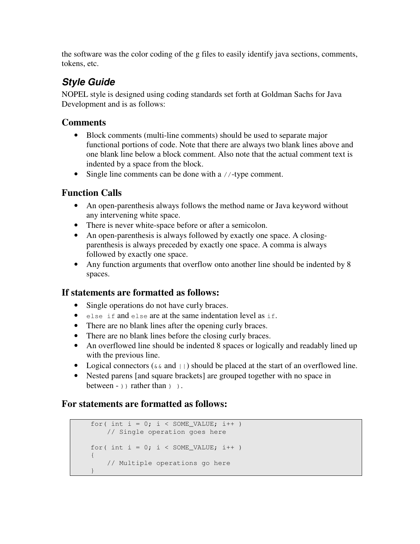the software was the color coding of the g files to easily identify java sections, comments, tokens, etc.

# *Style Guide*

NOPEL style is designed using coding standards set forth at Goldman Sachs for Java Development and is as follows:

#### **Comments**

- Block comments (multi-line comments) should be used to separate major functional portions of code. Note that there are always two blank lines above and one blank line below a block comment. Also note that the actual comment text is indented by a space from the block.
- Single line comments can be done with a //-type comment.

#### **Function Calls**

- An open-parenthesis always follows the method name or Java keyword without any intervening white space.
- There is never white-space before or after a semicolon.
- An open-parenthesis is always followed by exactly one space. A closingparenthesis is always preceded by exactly one space. A comma is always followed by exactly one space.
- Any function arguments that overflow onto another line should be indented by 8 spaces.

#### **If statements are formatted as follows:**

- Single operations do not have curly braces.
- else if and else are at the same indentation level as if.
- There are no blank lines after the opening curly braces.
- There are no blank lines before the closing curly braces.
- An overflowed line should be indented 8 spaces or logically and readably lined up with the previous line.
- Logical connectors ( $\&\&$  and  $| \cdot |$ ) should be placed at the start of an overflowed line.
- Nested parens [and square brackets] are grouped together with no space in between -  $)$  rather than  $)$  ).

#### **For statements are formatted as follows:**

```
for( int i = 0; i < SOME VALUE; i++ )
   // Single operation goes here
for( int i = 0; i < SOME_VALUE; i++ )
{
    // Multiple operations go here
}
```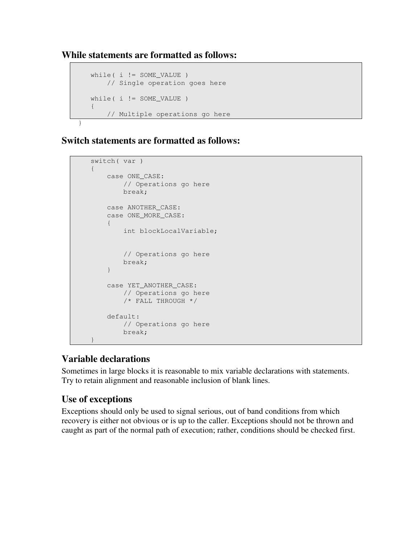```
While statements are formatted as follows:
```

```
while( i != SOME_VALUE )
      // Single operation goes here
  while( i != SOME VALUE )
  {
      // Multiple operations go here
}
```
**Switch statements are formatted as follows:**

```
switch( var )
{
    case ONE_CASE:
       // Operations go here
       break;
    case ANOTHER_CASE:
    case ONE_MORE_CASE:
    {
        int blockLocalVariable;
        // Operations go here
        break;
    }
    case YET_ANOTHER_CASE:
       // Operations go here
        /* FALL THROUGH */
    default:
      // Operations go here
        break;
}
```
## **Variable declarations**

Sometimes in large blocks it is reasonable to mix variable declarations with statements. Try to retain alignment and reasonable inclusion of blank lines.

## **Use of exceptions**

Exceptions should only be used to signal serious, out of band conditions from which recovery is either not obvious or is up to the caller. Exceptions should not be thrown and caught as part of the normal path of execution; rather, conditions should be checked first.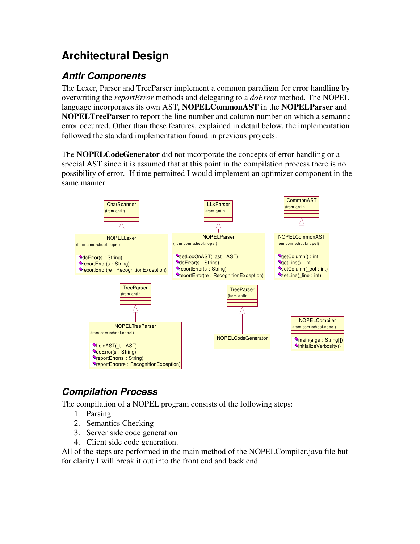# **Architectural Design**

# *Antlr Components*

The Lexer, Parser and TreeParser implement a common paradigm for error handling by overwriting the *reportError* methods and delegating to a *doError* method. The NOPEL language incorporates its own AST, **NOPELCommonAST** in the **NOPELParser** and **NOPELTreeParser** to report the line number and column number on which a semantic error occurred. Other than these features, explained in detail below, the implementation followed the standard implementation found in previous projects.

The **NOPELCodeGenerator** did not incorporate the concepts of error handling or a special AST since it is assumed that at this point in the compilation process there is no possibility of error. If time permitted I would implement an optimizer component in the same manner.



# *Compilation Process*

The compilation of a NOPEL program consists of the following steps:

- 1. Parsing
- 2. Semantics Checking
- 3. Server side code generation
- 4. Client side code generation.

All of the steps are performed in the main method of the NOPELCompiler.java file but for clarity I will break it out into the front end and back end.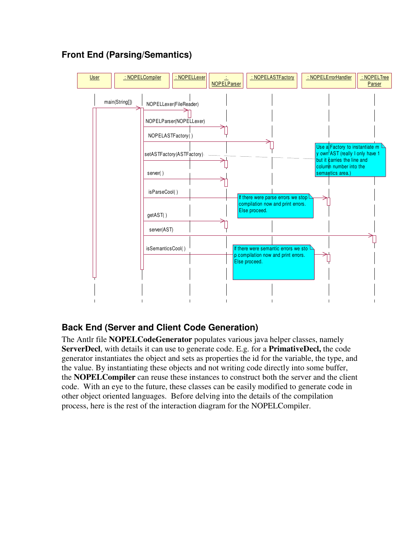

## **Front End (Parsing/Semantics)**

## **Back End (Server and Client Code Generation)**

The Antlr file **NOPELCodeGenerator** populates various java helper classes, namely **ServerDecl**, with details it can use to generate code. E.g. for a **PrimativeDecl,** the code generator instantiates the object and sets as properties the id for the variable, the type, and the value. By instantiating these objects and not writing code directly into some buffer, the **NOPELCompiler** can reuse these instances to construct both the server and the client code. With an eye to the future, these classes can be easily modified to generate code in other object oriented languages. Before delving into the details of the compilation process, here is the rest of the interaction diagram for the NOPELCompiler.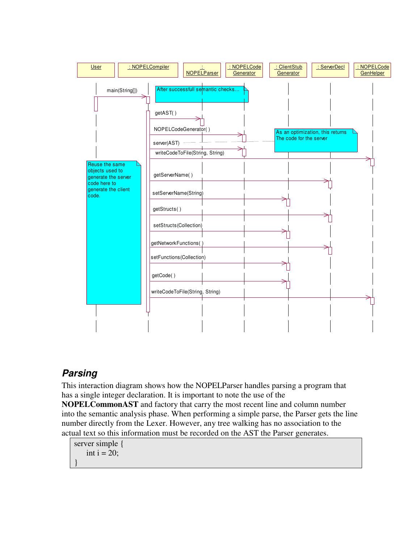

# *Parsing*

This interaction diagram shows how the NOPELParser handles parsing a program that has a single integer declaration. It is important to note the use of the

**NOPELCommonAST** and factory that carry the most recent line and column number into the semantic analysis phase. When performing a simple parse, the Parser gets the line number directly from the Lexer. However, any tree walking has no association to the actual text so this information must be recorded on the AST the Parser generates.

```
server simple {
    int i = 20;
}
```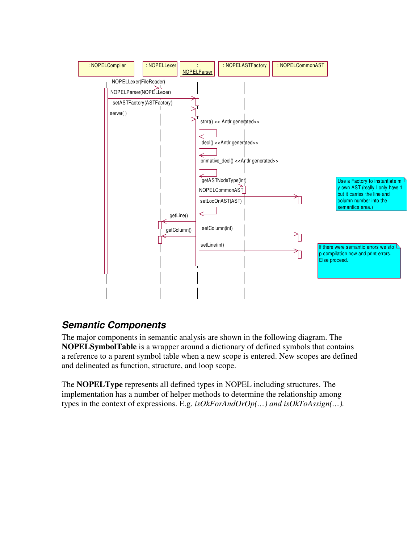

## *Semantic Components*

The major components in semantic analysis are shown in the following diagram. The **NOPELSymbolTable** is a wrapper around a dictionary of defined symbols that contains a reference to a parent symbol table when a new scope is entered. New scopes are defined and delineated as function, structure, and loop scope.

The **NOPELType** represents all defined types in NOPEL including structures. The implementation has a number of helper methods to determine the relationship among types in the context of expressions. E.g. *isOkForAndOrOp(…) and isOkToAssign(…).*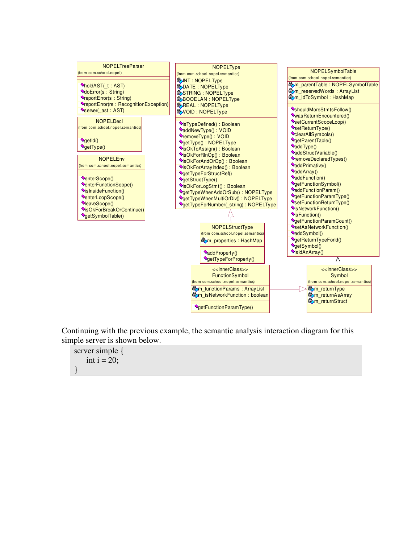

Continuing with the previous example, the semantic analysis interaction diagram for this simple server is shown below.

| server simple { |  |  |
|-----------------|--|--|
| int $i = 20$ ;  |  |  |
|                 |  |  |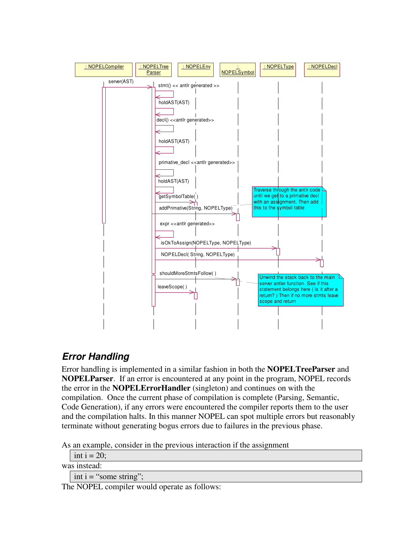

## *Error Handling*

Error handling is implemented in a similar fashion in both the **NOPELTreeParser** and **NOPELParser**. If an error is encountered at any point in the program, NOPEL records the error in the **NOPELErrorHandler** (singleton) and continues on with the compilation. Once the current phase of compilation is complete (Parsing, Semantic, Code Generation), if any errors were encountered the compiler reports them to the user and the compilation halts. In this manner NOPEL can spot multiple errors but reasonably terminate without generating bogus errors due to failures in the previous phase.

As an example, consider in the previous interaction if the assignment

| int $i = 20$ ;         |
|------------------------|
| was instead:           |
| int i = "some string"; |
|                        |

The NOPEL compiler would operate as follows: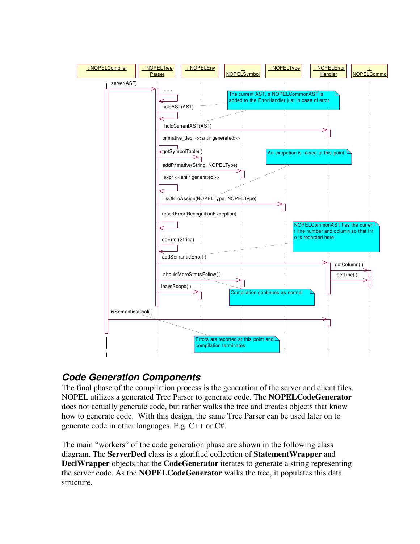

## *Code Generation Components*

The final phase of the compilation process is the generation of the server and client files. NOPEL utilizes a generated Tree Parser to generate code. The **NOPELCodeGenerator** does not actually generate code, but rather walks the tree and creates objects that know how to generate code. With this design, the same Tree Parser can be used later on to generate code in other languages. E.g. C++ or C#.

The main "workers" of the code generation phase are shown in the following class diagram. The **ServerDecl** class is a glorified collection of **StatementWrapper** and **DeclWrapper** objects that the **CodeGenerator** iterates to generate a string representing the server code. As the **NOPELCodeGenerator** walks the tree, it populates this data structure.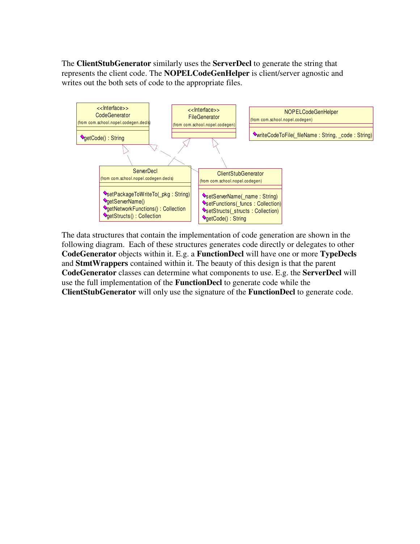The **ClientStubGenerator** similarly uses the **ServerDecl** to generate the string that represents the client code. The **NOPELCodeGenHelper** is client/server agnostic and writes out the both sets of code to the appropriate files.



The data structures that contain the implementation of code generation are shown in the following diagram. Each of these structures generates code directly or delegates to other **CodeGenerator** objects within it. E.g. a **FunctionDecl** will have one or more **TypeDecls** and **StmtWrappers** contained within it. The beauty of this design is that the parent **CodeGenerator** classes can determine what components to use. E.g. the **ServerDecl** will use the full implementation of the **FunctionDecl** to generate code while the **ClientStubGenerator** will only use the signature of the **FunctionDecl** to generate code.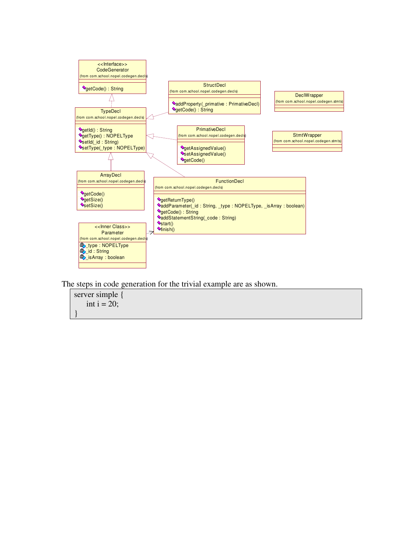

The steps in code generation for the trivial example are as shown.

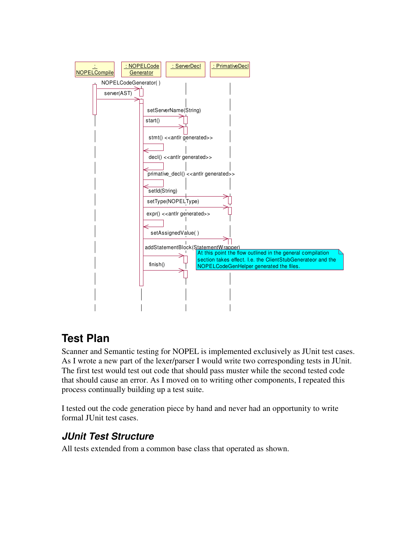

# **Test Plan**

Scanner and Semantic testing for NOPEL is implemented exclusively as JUnit test cases. As I wrote a new part of the lexer/parser I would write two corresponding tests in JUnit. The first test would test out code that should pass muster while the second tested code that should cause an error. As I moved on to writing other components, I repeated this process continually building up a test suite.

I tested out the code generation piece by hand and never had an opportunity to write formal JUnit test cases.

# *JUnit Test Structure*

All tests extended from a common base class that operated as shown.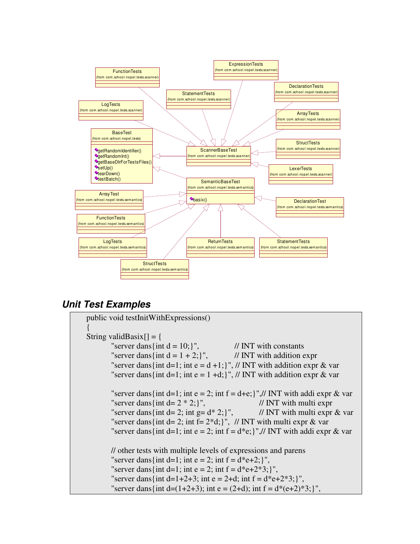

# *Unit Test Examples*

| public void testInitWithExpressions()                                           |
|---------------------------------------------------------------------------------|
|                                                                                 |
| String validBasix $[] = \{$                                                     |
| "server dans { int $d = 10$ ; }",<br>// INT with constants                      |
| "server dans { int $d = 1 + 2$ ; }", // INT with addition expr                  |
| "server dans {int d=1; int e = $d+1$ ; }", // INT with addition expr & var      |
| "server dans {int d=1; int e = 1 +d; }", // INT with addition expr & var        |
|                                                                                 |
| "server dans{int d=1; int e = 2; int f = d+e;}",// INT with addi expr & var     |
| "server dans {int d= $2 * 2$ ; }",<br>$\frac{1}{\sqrt{2}}$ INT with multi expr  |
| "server dans { int d= 2; int g= $d^*$ 2; }", // INT with multi expr & var       |
| "server dans{int d= 2; int f= $2*d$ ;}", // INT with multi expr & var           |
| "server dans{int d=1; int e = 2; int f = $d^*e$ ;}",// INT with addi expr & var |
|                                                                                 |
| // other tests with multiple levels of expressions and parent                   |
| "server dans{int d=1; int e = 2; int f = $d*e+2$ ; }",                          |
| "server dans {int d=1; int e = 2; int f = $d*e+2*3$ ; }",                       |
| "server dans {int d=1+2+3; int e = 2+d; int f = $d^*e+2*3$ ; }",                |
| "server dans{int d=(1+2+3); int e = (2+d); int f = $d*(e+2)*3$ ;  ",            |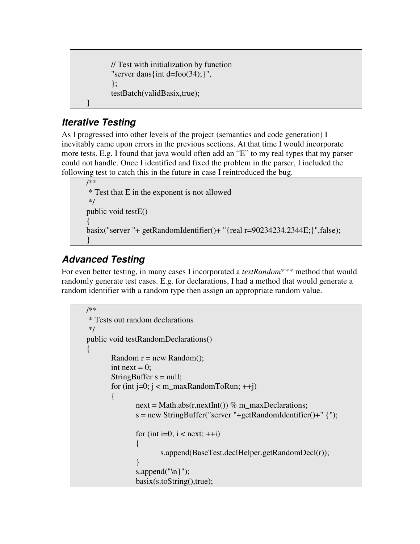```
// Test with initialization by function
"server dans {int d=foo(34); }",
};
testBatch(validBasix,true);
```
## *Iterative Testing*

}

As I progressed into other levels of the project (semantics and code generation) I inevitably came upon errors in the previous sections. At that time I would incorporate more tests. E.g. I found that java would often add an "E" to my real types that my parser could not handle. Once I identified and fixed the problem in the parser, I included the following test to catch this in the future in case I reintroduced the bug.

```
/**
* Test that E in the exponent is not allowed
*/
public void testE()
{
basix("server "+ getRandomIdentifier()+ "{real r=90234234.2344E;}",false);
}
```
# *Advanced Testing*

For even better testing, in many cases I incorporated a *testRandom*\*\*\* method that would randomly generate test cases. E.g. for declarations, I had a method that would generate a random identifier with a random type then assign an appropriate random value.

```
/**
* Tests out random declarations
*/
public void testRandomDeclarations()
{
       Random r = new Random);
       int next = 0;
       StringBuffer s = null;
       for (int i=0; i < m maxRandomToRun; ++i)
       {
              next = Math.abs(r.nextInt()) % m_maxDeclarations;
              s = new StringBuffer("server "+getRandomIdentifier()+" {");
              for (int i=0; i < next; ++i)
               {
                      s.append(BaseTest.declHelper.getRandomDecl(r));
               }
              s.append("\n}");
              basix(s.toString(),true);
```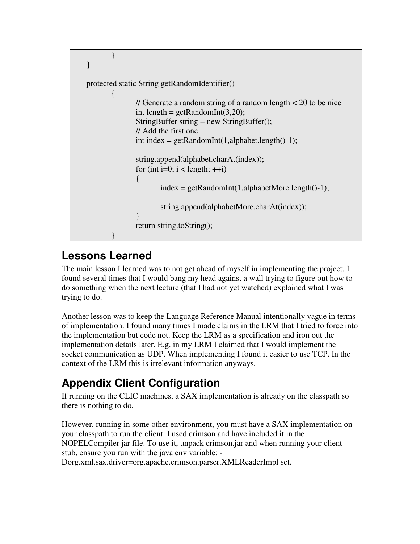

# **Lessons Learned**

The main lesson I learned was to not get ahead of myself in implementing the project. I found several times that I would bang my head against a wall trying to figure out how to do something when the next lecture (that I had not yet watched) explained what I was trying to do.

Another lesson was to keep the Language Reference Manual intentionally vague in terms of implementation. I found many times I made claims in the LRM that I tried to force into the implementation but code not. Keep the LRM as a specification and iron out the implementation details later. E.g. in my LRM I claimed that I would implement the socket communication as UDP. When implementing I found it easier to use TCP. In the context of the LRM this is irrelevant information anyways.

# **Appendix Client Configuration**

If running on the CLIC machines, a SAX implementation is already on the classpath so there is nothing to do.

However, running in some other environment, you must have a SAX implementation on your classpath to run the client. I used crimson and have included it in the NOPELCompiler jar file. To use it, unpack crimson.jar and when running your client stub, ensure you run with the java env variable: - Dorg.xml.sax.driver=org.apache.crimson.parser.XMLReaderImpl set.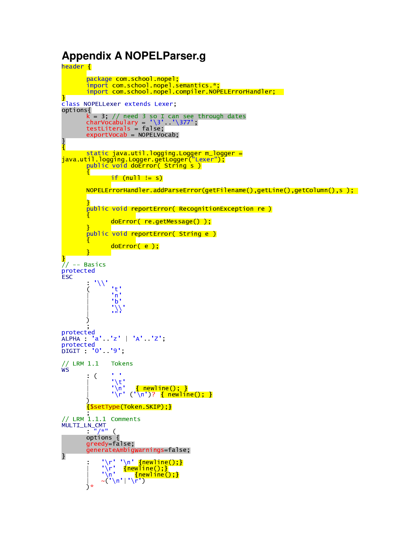## **Appendix A NOPELParser.g**

-

  -  $\frac{1}{2}$  we see the set of  $\frac{1}{2}$  is a set of  $\frac{1}{2}$  in the set of  $\frac{1}{2}$  $\frac{1}{2}$  we can calcel consider NODELE creational cut 2 - \*%,)-.//-%3 3"% /
%3! "
4 5768 99:00 PM 99:00 PM 99:00 PM 99:00 PM 99:00 PM 99:00 PM 99:00 PM 99:00 PM 99:00 PM 99:00 PM 99:00 PM 99:00 - International Company in the second contract of the second contract of the second contract of the second con "-"/-"# 5KJ-L %3 !#"
C %D 5K\*-,)-./#C D' - And the second contract of the second contract of the second contract of the second contract of the second contract of the second contract of the second contract of the second contract of the second contract of the secon N - LOC - LOC - LOC - LOC - LOC - LOC - LOC - LOC - LOC - LOC - LOC - LOC - LOC - LOC - LOC - LOC - LOC - LOC - AD O- @.0VSXW" -=?U <u>49 | 1990 - 1990 - 1990 - 1990 - 1991 - 1991 - 1991 - 1991 - 1991 - 1991 - 1991 - 1991 - 1991 - 1991 - 1991 - </u> -J SYA[Z\5]U \*-,)-./.0!#1--)(-- -.#!S\$"@^%-%%8S\_U'`+"/-8S#U'`a"bA
@)SYU'`cU' <sup>1</sup>  $\frac{1}{2}$   $\frac{1}{2}$   $\frac{1}{2}$   $\frac{1}{2}$   $\frac{1}{2}$   $\frac{1}{2}$   $\frac{1}{2}$   $\frac{1}{2}$   $\frac{1}{2}$   $\frac{1}{2}$   $\frac{1}{2}$   $\frac{1}{2}$   $\frac{1}{2}$   $\frac{1}{2}$   $\frac{1}{2}$   $\frac{1}{2}$   $\frac{1}{2}$   $\frac{1}{2}$   $\frac{1}{2}$   $\frac{1}{2}$   $\frac{1}{2}$   $\frac{1}{2}$  4. On the contract of the contract of the contract of the contract of the contract of the contract of the contract of the contract of the contract of the contract of the contract of the contract of the contract of the contr M $\alpha$ ,  $\alpha$ ,  $\alpha$ ,  $\alpha$ ,  $\alpha$ ,  $\alpha$ ,  $\alpha$ ,  $\alpha$ ,  $\alpha$ ,  $\alpha$ ,  $\alpha$ ,  $\alpha$ ,  $\alpha$ ,  $\alpha$ ,  $\alpha$ ,  $\alpha$ ,  $\alpha$ ,  $\alpha$ ,  $\alpha$ ,  $\alpha$ ,  $\alpha$ ,  $\alpha$ ,  $\alpha$ ,  $\alpha$ ,  $\alpha$ ,  $\alpha$ ,  $\alpha$ ,  $\alpha$ ,  $\alpha$ ,  $\alpha$ ,  $\alpha$ ,  $\alpha$ ,  $\alpha$ ,  $\alpha$ ,  $\alpha$ ,  $\alpha$ ,  $\alpha$ , 4doError(e);  $\overline{\mathbf{r}}$ 299]hhci% . . . . **.** . . . .  $\cdots$  $"t"$  $^{\circ}$ n $^{\circ}$  $$  FHGGF  $\sim$  FST  $\sim$  FST  $\sim$  FST  $\sim$  FST  $\sim$  FST  $\sim$  FST  $\sim$  FST  $\sim$  FST  $\sim$  FST  $\sim$  FST  $\sim$  FST  $\sim$  FST  $\sim$  FST  $\sim$  FST  $\sim$  FST  $\sim$  FST  $\sim$  FST  $\sim$  FST  $\sim$  FST  $\sim$  FST  $\sim$  FST  $\sim$  FST  $\sim$  FST  $\sim$  FST  $\sim$  . . . . **.** . . . . la india fonta fonta fonta fonta fonta fonta fonta fonta fonta fonta fonta fonta fonta fonta fonta fonta fonta \*\*\*\*\*\*\*\*<sup>\*</sup>  $\frac{1}{2}$  and  $\frac{1}{2}$  in  $\frac{1}{2}$  in  $\frac{1}{2}$ 99]/e g]vvTokens  $S = \frac{1}{2}$  $"$  \t' February 2014 - Andrew Company, Company 2014 - Andrew Company, Company 2014 - Andrew Company 2014 - Andrew Company 2014 February February 2014, and the set of the set of the set of the set of the set of the set of the set of the s z{-|}-~%| Sas@
(W<-%U\$2 99]/e galaxy control and the control of the control of the control of the control of the control of the control of the control of the control of the control of the control of the control of the control of the control of th . "/\*" (<br>options <u>{</u> #"lD%w - 5J-LMFHG8F FHG@'F - x-VS#U'2 February - State - State - State - State - State - State - State - State - State - State - State - State - State - State - State - State - State - State - State - State - State - State - State - State - State - State - Sta FHG@'F - x-8SYU'2 S Fogge k Fogge k Fogge k Fogge k Fogge k Fogge k Fogge k Fogge k Fogge k Fogge k Fogge k Fogge k Fogge k Fogge k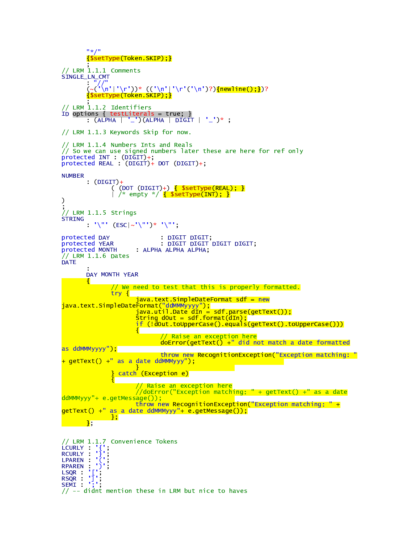```
. .
                     z{-
|}-
~%| Sas@
(W<-%U$2
99]/e galaxy control and the control of the control of the control of the control of the control of the control of the control of the control of the control of the control of the control of the control of the control of th
                     \blacksquare Type \blacksquareS  S FHG@F k FHG8)F UU & SS FHG@F k FHG8)F S FoG@F U y U-
 x-
8S_U'2U y
                     z{-
|}-
~%| Sas@
(W<-%U$2
99]/e galaxies and the contract of the contract of the contract of the contract of the contract of the contract of the contract of the contract of the contract of the contract of the contract of the contract of the contrac
 \tau \sim 1 . The state of the state of the state of the state of the state of the state of the state of the state of the state of the state of the state of the state of the state of the state of the state of the state of the
                     \ell subject to \ell in the subject of the set of \ell in the set of \ell in the set of \ell\overline{f} (\overline{f} and \overline{f} and \overline{f} and \overline{f} and \overline{f} and \overline{f} and \overline{f} and \overline{f} and \overline{f} and \overline{f} and \overline{f} and \overline{f} and \overline{f} and \overline{f} and \overline{f} and \overline{f} and \over99]/e g]vvo*A
D% ?<-
";-
=e99W-
xdK
%?A-
=-
-
=A
D%! ?-
"X"%-
K#=-
Y?J!>#Jc@ Eprotected INT (DIGIT)+,
 \mathbf{S} = \mathbf{S} \mathbf{S} + \mathbf{S} \mathbf{S} + \mathbf{S} \mathbf{S} + \mathbf{S} \mathbf{S} + \mathbf{S} \mathbf{S} + \mathbf{S} \mathbf{S} + \mathbf{S} \mathbf{S} + \mathbf{S} \mathbf{S} + \mathbf{S} \mathbf{S} + \mathbf{S} \mathbf{S} + \mathbf{S} \mathbf{S} + \mathbf{S} \mathbf{S} + \mathbf{S} \mathbf{S} + \mathbf{S} \mathbf{S} + \mathbf{S} \mathbf{S} + \mathbf{S} \mathbf{S} + \mathbf{SNUMBER
                     \sqrt{NTCTT}\sim such that the summarization of \sim such that the summarization \sim \simk 9&;% 	 "%E&-
9  z{-
|}-
~%| S#<%*
sdU'2
\mathcal{C}99]/e g]vv0[W%" -
                     for the second that the first the second three seconds in the second terms of the second terms of the second t
 . . . . . . . . . 1 . . . .
                                                                              \overline{C} \overline{C} \overline{C} \overline{C} \overline{C} \overline{C} \overline{C} \overline{C} \overline{C} \overline{C} \overline{C} \overline{C} \overline{C} \overline{C} \overline{C} \overline{C} \overline{C} \overline{C} \overline{C} \overline{C} \overline{C} \overline{C} \overline{C} \overline{C} \overline{	 0"
%" .le \overline{p} d \overline{p} and \overline{p} and \overline{p} and \overline{p} and \overline{p} and \overline{p} and \overline{p} and \overline{p}	 0"
%" g,*
s1 1. DUA AL DUA AL DUA
99]/e galaxies and contract the contract of the contract of the contract of the contract of the contract of th
DATE
                    q l g,*-
s1 .le
                   \mathbf{f}999 was all the the self-the theory of a was a self-the form and the self-
                                       "$E 4
                                                          \mathcal{L}_{\text{max}} \mathcal{L}_{\text{max}} \mathcal{L}_{\text{max}} \mathcal{L}_{\text{max}} \mathcal{L}_{\text{max}} \mathcal{L}_{\text{max}} \mathcal{L}_{\text{max}}N%-
OL+"3"L(W
 	 -
 q"@^_8$"8S T %gggEEEE)T U'
                                                          S_{\text{max}} \mathbf{A} \mathbf{B} \mathbf{A} \mathbf{B} \mathbf{A} \mathbf{B} \mathbf{B} \mathbf{B} \mathbf{B} \mathbf{B} \mathbf{B} \mathbf{B} \mathbf{C} \mathbf{A} \mathbf{B} \mathbf{B} \mathbf{B} \mathbf{B} \mathbf{B} \mathbf{B} \mathbf{B} \mathbf{B} \mathbf{B} \mathbfwww.characteristics.com with the second control of the second control of the second control of the second control of the second control of the second control of the second control of the second control of the second contro
                                                          if (!dOut.toUpperCase().equals(getText().toUpperCase()))
                                                                             999: En la companya de la companya de la companya de la companya de la companya de la companya de la companya de la companya de la companya de la companya de la companya de la companya de la companya de la companya de la c
                                                                             . Second construction of the second construction of the second construction of the second construction of the s
 and the state of the state of the state of the state of the state of the state of the state of the state of the
                                                                             there we take now Department Contract ("Fugent" on we take now "
K"
s3"8S#UB Tc?"?%gggEEE)T U'
                                                         \mathbf{R} 
%"
 S_._3
 	 "
cU
                                      4999: En la companya de la companya de la companya de la companya de la companya de la companya de la companya de la companya de la companya de la companya de la companya de la companya de la companya de la companya de la c
                                                          //doError("Exception matching: " + getText() +" as a date
ddMMMyyy"+ e.getMessage());
                                                          these pour Researcts on Execution (UEvenition matchings, U
 s 30"VS#U TBK" - L+" (1) General second second second second second second second second second second second s
                                     \vert \} ,
                  \overline{\mathbf{E}}99]/e g]vvI[b_O%
%Bs@
 / be/ j
F4VF 
 pelini V - 171 - 1
 /-le.
* j
F S@F 
 e-leader in the second second in the second in the second in the second in the second in the second in the second in the second in the second in the second in the second in the second in the second in the second in the sec
 /%W de FF 
 LSQR <u>il</u>i
                j
 C. T. L. T. L.
99]hh-
                        -
"c-
"
dB"%-
=K/e gDA%"=
?"]-
-
O
```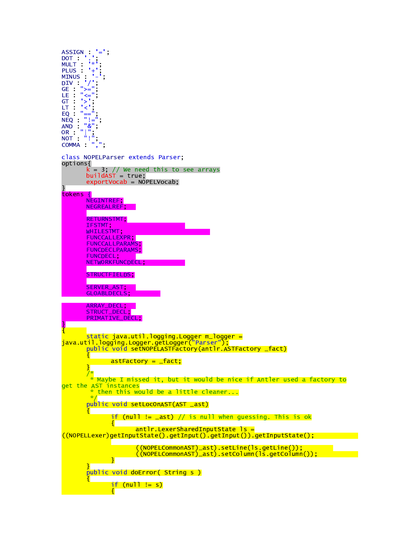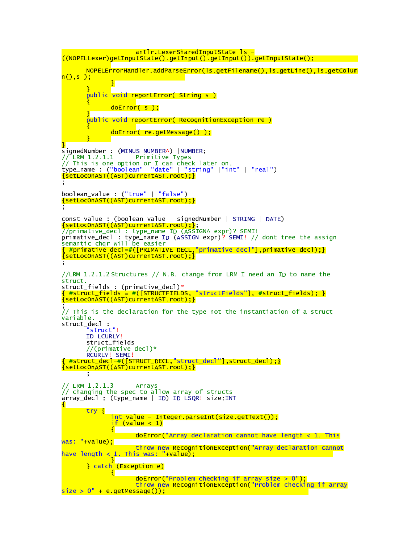```
antlr.LexerSharedInputState ls =
((\text{NOPELLexer})getInputState() getInput() getInput()) getInputState();
        NOPELErrorHandler.addParseError(ls.getFilename(),ls.getLine(),ls.getColum
n(), s ) ;
                3.
        public void reportError( String s )
        t
                doError(s);
        Ï
        public void reportError( RecognitionException re )
                doError(re.getMessage());
R
SignedNumber : (MINUS NUMBERA) | NUMBER;<br>// LRM 1.2.1.1 Primitive Types
// This is one option or I can check later on.<br>type_name : ("boolean"| "date" | "string" |"int" | "real")<br><mark>{setLocOnAST((AST)currentAST root);}</mark>
boolean_value : ("true" | "false")
{setLocOnAST((AST)currentAST.root);}
const_value : (boolean_value | signedNumber | STRING | DATE)<br>
<u>{setLocOnAST((AST)currentAST.root);}</u>;<br>
//primative_decl : type_name ID (ASSIGN^ expr)? SEMI!<br>
primative_decl : type_name ID (ASSIGN expr)? SEMI! // dont tree 
\{setLocOnAST((AST)currentAST(root); \}//LRM 1.2.1.2Structures // N.B. change from LRM I need an ID to name the
struct.
// This is the declaration for the type not the instantiation of a struct
variable.
struct_decl :
         'struct"!
        ID LCURLY!
        struct_fields
        //(primative_decl)*
// LRM 1.2.1.3
                       Arrays
// changing the spec to allow array of structs<br>array_decl : (type_name | ID) ID LSQR! size:INT
н
        try {
                int value = Integer.parseInt(size.getText());
                if \left(\text{value} < 1\right)\{\}\frac{1}{2} doError("Array declaration cannot have length < 1. This
was: "+value);
                        throw new RecognitionException("Array declaration cannot
have length < 1. This was: "+value);
        B catch (Exception e)
                ч.
                        doferror("Problem checking if array size > 0")throw new RecognitionException("Problem checking if array
size > 0" + e.getMessage());
```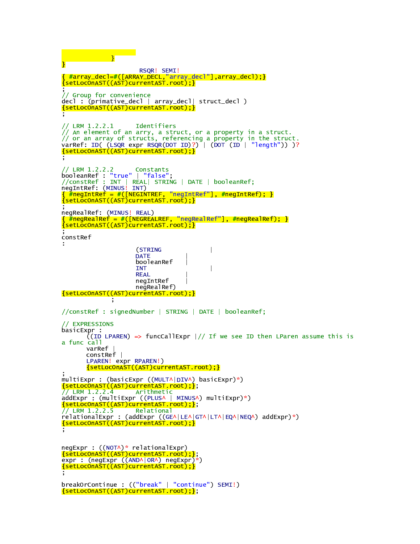```
\begin{array}{|c|c|c|}\hline \textbf{3} & \textbf{1} & \textbf{1} \\ \hline \end{array}Ŧ
                              RSQR! SEMI!
{ #array_decl=#([ARRAY_DECL,"array_decl"],array_decl);}<br>{setLocOnAST((AST)currentAST.root);}
 // Group for convenience
decl : (primative_decl | array_decl| struct_decl )
\{setLocOnAST((AST)currentAST(root); \}// LRM 1.2.2.1
                            Identifiers
// An element of an arry, a struct, or a property in a struct.<br>// or an array of structs, referencing a property in the struct.
varRef: ID( (LSQR expr RSQR(DOT ID)?) | (DOT (ID | "length")) )?<br><mark>{setLocOnAST((AST)currentAST.root);}</mark>
booteanker : true | raise ,<br>//constRef : INT | REAL| STRING | DATE | booleanRef;<br>negIntRef = #([NEGINTREF, "negIntRef"], #negIntRef); }
{setLocOnAST((AST)currentAST.root);}
negRealRef: (MINUS! REAL)
\{setLoCONAST((AST)currentAST, root);\}constRef
÷
                             (STRING
                                                          \overline{\phantom{a}}DATE
                             booleanRef
                             INT
                             REAL
                             negIntRef
                             negRealRef)
{setLocOnAST((AST)currentAST.root);}
//constRef : signedNumber | STRING | DATE | booleanRef;
// EXPRESSIONS
basicExpr :
          \zeta(ID LPAREN) => funcCallExpr \vert// If we see ID then LParen assume this is
a func call
         varRef
          constRef |
         LPAREN! expr RPAREN!)
          {setLocOnAST((AST)currentAST.root);}
multiExpr : (basicExpr ((MULT^|DIV^) basicExpr)*)<br><u>{setLocOnAST((AST)currentAST.root);}</u>;<br>// LEM 1.2.2.4 ... Arithmetic
addExpr:: (multiExpr://PLUSA | MINUSA) multiExpr)*)<br><mark>{setLocOnAST((AST)currentAST.root);}</mark>;
// LRM 1 2 2 5Relational
relationalExpr : (addExpr ((GE^|LE^|GT^|LT^|EQ^|NEQ^) addExpr)*)<br>{setLocOnAST((AST)currentAST.root);}
negExpr : ((NOTA)* relationalExpr)
negexpr (NOTA) relationalexpr)<br>
{setLocOnAST((AST)currentAST.root);};<br>
expr : (negExpr ((ANDA|ORA) negExpr)*)<br>
{setLocOnAST((AST)currentAST.root);}
breakOrContinue: (("break" | "continue") SEMI!)
{setLocOnAST((AST)currentAST root);};
```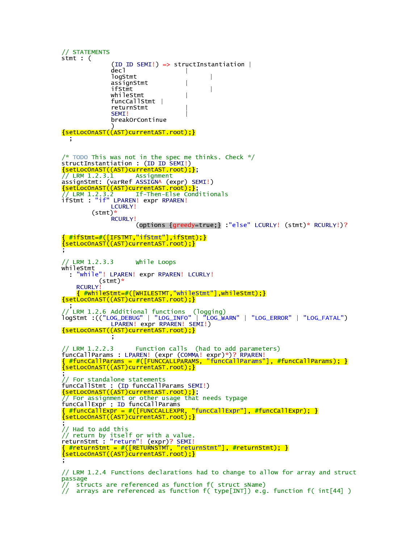```
// STATEMENTS
stmt (
                (ID ID SEMI!) \Rightarrow structInstantiation |dec1
                                        \mathbb{I}logStmt
                assignStmt
                ifStmt
                whileStmt
                                        \overline{\phantom{a}}funcCallStmt |
                returnStmt
                SEMI
                breakOrContinue
{setLocOnAST((AST)currentAST.root);}
  ÷
/* TODO This was not in the spec me thinks. Check */// LRM 1.2.3.1 Assignment<br>assignstmt: (varRef ASSIGNA (expr) SEMI!)<br>{setLocOnAST((AST)currentAST.root);};<br>// LRM 1.2.3.2 If-Then-Flse Certical<br>ifStmt "is" - If-Then-Flse Certical
                      If-Then-Else Conditionals
ifstmt : "if" LPAREN! expr RPAREN!
                LCURLY!
          (\text{stmt})^*RCURLY!
                        (options {greedy=true;} :"else" LCURLY! (stmt)* RCURLY!)?
{ #ifStmt=#([IFSTMT,"ifStmt"],ifStmt);}
\{setLocOnAST((AST)currentAST.root);}
// LRM 1.2.3.3
                       While Loops
whileStmt
  "while"! LPAREN! expr RPAREN! LCURLY!
            (stmt)*
     RCURLY!
     { #whileStmt=#([WHILESTMT,"whileStmt"],whileStmt); }
{setLocOnAST((AST)currentAST.root);}
{setLocOnAST((AST)currentAST root);}
// LRM 1.2.2.3     Function calls  (had to add parameters)<br>funcCallParams : LPAREN! (expr (COMMA! expr)*)? RPAREN!<br><mark>{ #funcCallParams = #([FUNCCALLPARAMS, "funcCallParams"], #funcCallParams); }</mark>
{setLocOnAST((AST)currentAST.root);}
// For standalone statements
funcCallStmt : (ID funcCallParams SEMI!)
<u>{setLocOnAST((AST)currentAST.root);}</u><br>// For_assignment or other_usage that needs typage
funcCallExpr : ID funcCallParams
// Had to add this
// nad co day chip<br>returnStmt : "return"! (expr)? SEMI!<br><mark>{ #returnStmt = #([RETURNSTMT, "returnStmt"], #returnStmt); }</mark>
\{setLocOnAST((AST)currentAST(root))\}// LRM 1.2.4 Functions declarations had to change to allow for array and struct
passage
// structs are referenced as function f( struct sName)
// arrays are referenced as function f( type[INT]) e.g. function f( int[44] )
```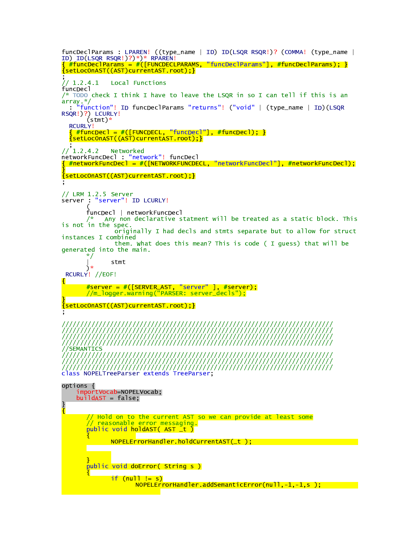funcDeclParams : LPAREN! ((type\_name | ID) ID(LSQR RSQR!)? (COMMA! (type\_name | Tuncoeciratams . LEAN: \\\ype\_name | 19, 19\Lyqn nyqn.;; \\ynaman \\ype\_name<br>ID) ID(LSQR RSQR!)?)\*)\* RPAREN!<br><mark>{ #funcDeclParams = #([FUNCDECLPARAMS, "funcDeclParams"], #funcDeclParams); }</mark><br>{setLocOnAST((AST)currentAST.root  $1/1.2.4.1$ Local Functions funcDecl /\* TODO check I think I have to leave the LSQR in so I can tell if this is an array.\*/<br>: "function"! ID funcDeclParams "returns"! ("void" | (type\_name | ID)(LSQR RSQR!)?) LCURLY!  $(\text{stmt})^*$ **RCURLY!**  $\{$  #funcDecl = #([FUNCDECL, "funcDecl"], #funcDecl); }  $\{$ setLocOnAST $($ (AST)currentAST.root);} // 1.2.4.2 Networked networkFuncDecl: "network"! funcDecl { #networkFuncDecl = #([NETWORKFUNCDECL, "networkFuncDecl"], #networkFuncDecl);  $\{setLocOnAST((AST)currentAST root):\}$  $//$  LRM 1.2.5 Server "server"! ID LCURLY! server : funcDecl | networkFuncDecl  $/$ \* Any non declarative statment will be treated as a static block. This is not in the spec. originally I had decls and stmts separate but to allow for struct instances I combined them. What does this mean? This is code ( I guess) that will be generated into the main.  $\star/$ stmt  $)$ \* RCURLY! //EOF! ł. #server = #([SERVER\_AST, "server" ], #server);<br>//m\_logger.warning("PARSER: server\_decls"); {setLocOnAST((AST)currentAST root);} //SEMANTICS class NOPELTreeParser extends TreeParser. options { importVocab=NOPELVocab: buildAST = false; // Hold on to the current AST so we can provide at least some<br>// reasonable error messaging. public void holdAST(AST \_t ) NOPELErrorHandler.holdCurrentAST(\_t); À public void doError( String s ) if  $(nu$ ll != s) NOPELErrorHandler.addSemanticError(null,-1,-1,s );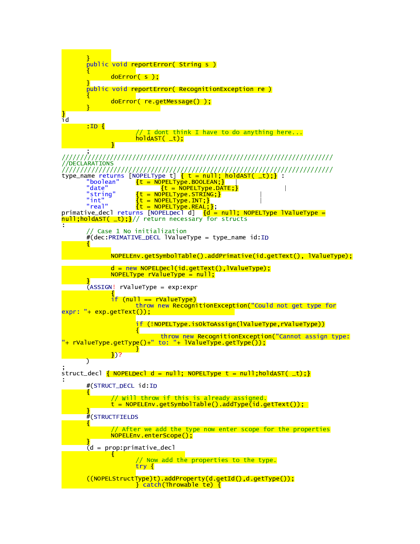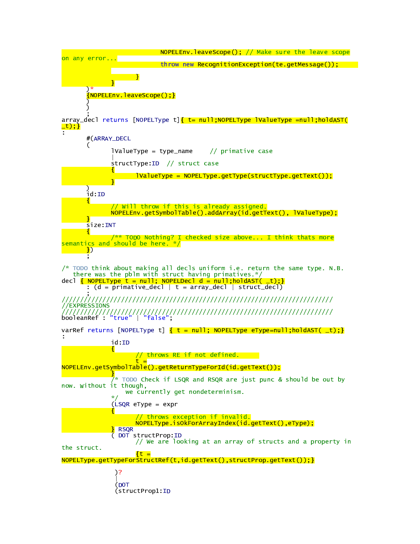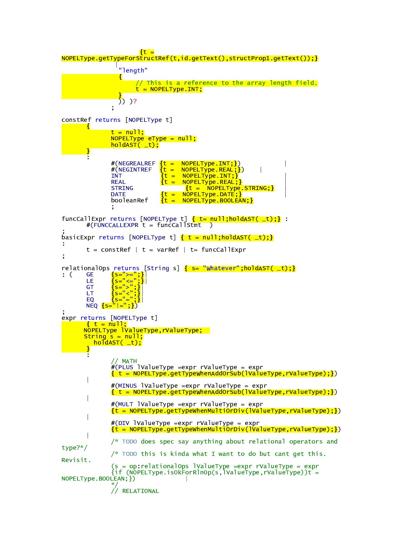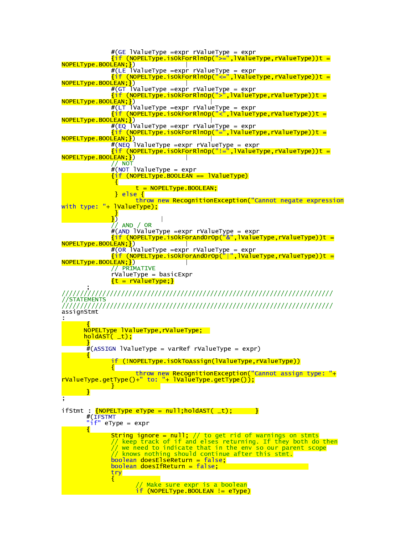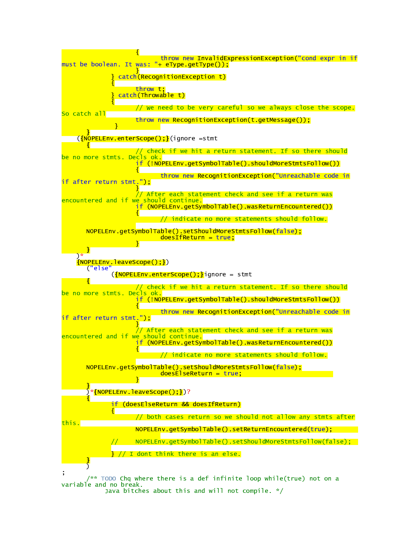

Java bitches about this and will not compile. \*/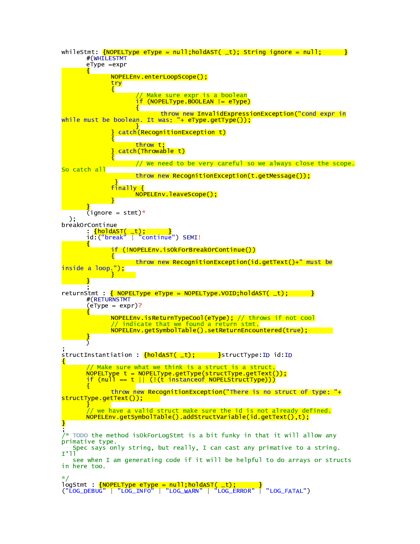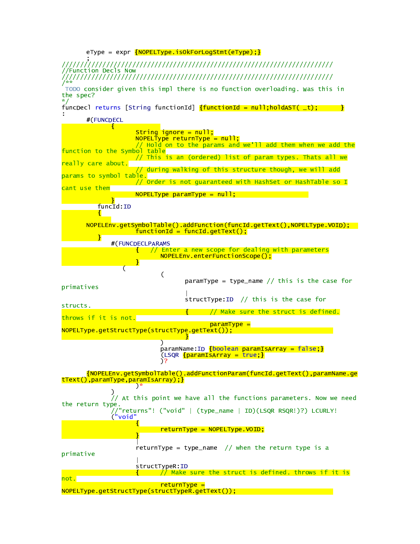| //////<br>/Function Decls Now     |                                                                                                                 |
|-----------------------------------|-----------------------------------------------------------------------------------------------------------------|
| the spec?                         | TODO consider given this impl there is no function overloading. Was this in                                     |
|                                   |                                                                                                                 |
| #(FUNCDECL                        |                                                                                                                 |
| н                                 | $String$ $i$ anore = $null$ :                                                                                   |
| function to the Symbol table      | NOPELType returnType = $null;$<br>$\frac{1}{\sqrt{2}}$ Hold on to the params and we'll add them when we add the |
| <mark>really care about.</mark>   | $\frac{1}{\sqrt{2}}$ This is an (ordered) list of param types. Thats all we                                     |
| params to symbol table.           | // during walking of this structure though, we will add                                                         |
|                                   | $\sqrt{2}$ Order is not guaranteed with HashSet or HashTable so I                                               |
| cant use them                     | $\overline{NOPELType}$ paramType = null;                                                                        |
| funcId:ID<br>П                    |                                                                                                                 |
|                                   | NOPELENv.getSymbolTable().addFunction(funcId.getText(),NOPELType.VOID);<br>$functionId = funcId.getText()$ ;    |
|                                   | # (FUNCDECLPARAMS                                                                                               |
|                                   | // Enter a new scope for dealing with parameters<br>NOPELEnv.enterFunctionScope();                              |
| t                                 | C                                                                                                               |
| primatives                        | $paramType = type_name // this is the case for$                                                                 |
| structs.                          | structType: ID $\frac{1}{1}$ this is the case for                                                               |
| throws if it is not.              | // Make sure the struct is defined.                                                                             |
|                                   | $\frac{parameter}{}$<br><mark>NOPELType.getStructType(structType.getText());</mark>                             |
|                                   | paramName:ID <mark>{boo]ean paramIsArray = fa]se;}</mark><br>$(LSQR$ $\{paramIsArray = true, \}$<br>${)}$ ?     |
| tText(),paramType,paramIsArray);} | {NOPELEnv.getSymbolTable().addFunctionParam(funcId.getText(),paramName.ge                                       |
| the return type.                  | // At this point we have all the functions parameters. Now we need                                              |
| ("void"                           | //"returns"! ("void"   (type_name   ID)(LSQR RSQR!)?)                      LCURLY!                              |
|                                   | $returnType = NOPELType. VOD;$                                                                                  |
|                                   |                                                                                                                 |
| primative                         | returnType = type_name // when the return type is a                                                             |
|                                   | structTypeR:ID                                                                                                  |
| not.                              | $\frac{1}{\sqrt{2}}$ Make sure the struct is defined. throws if it is                                           |
|                                   | $returnType =$                                                                                                  |
|                                   | <mark>NOPELType.getStructType(structTypeR.getText());</mark>                                                    |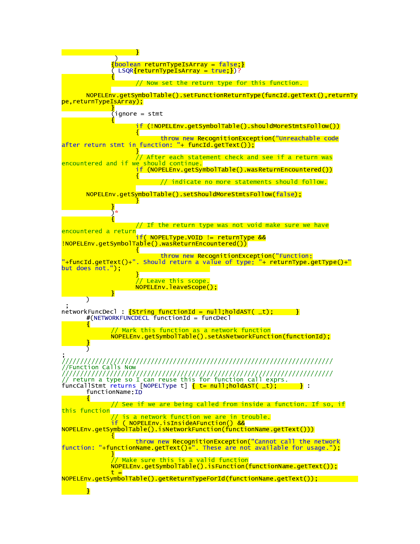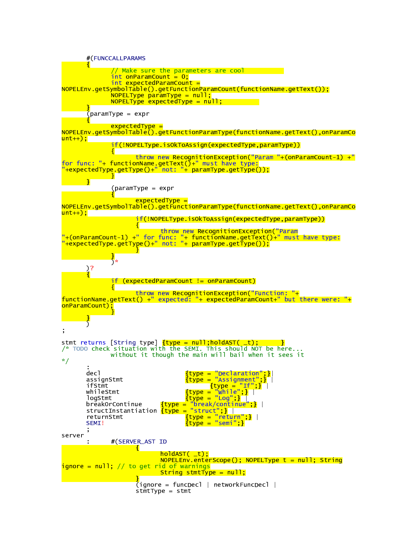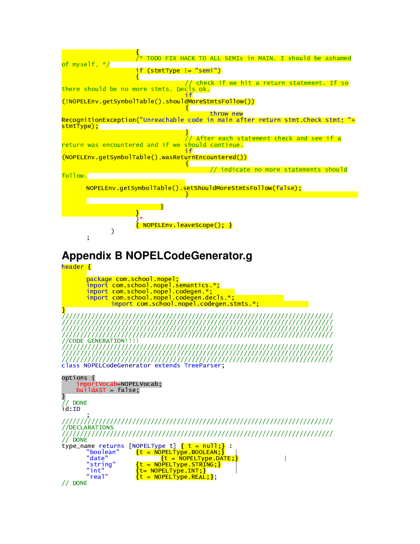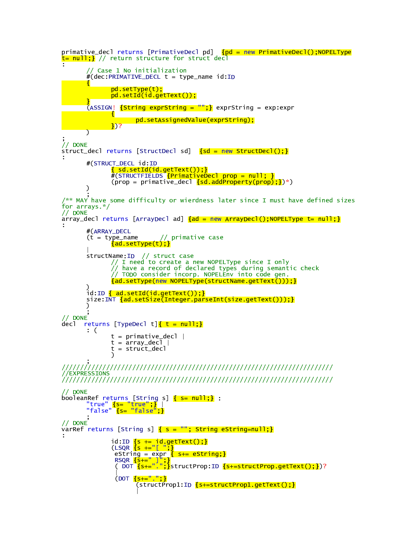```
primative_decl returns [PrimativeDecl pd] {pd = new PrimativeDecl();NOPELType
t= null;} // return structure for struct decl
τ
        // Case 1 No initialization
        #(dec:PRIMATIVE_DECL t = type_name id:ID
        £.
                pd.setType(t);<br>pd.setId(id.getText());
        \overline{\text{(ASSIGN: } \{String\; expressing = "";\}} exprString = \overline{\text{[}} exprString = exp:expr
                ₹.
                         pd.setAssignedValue(exprString);
                1)?
        \overline{\phantom{a}}// DONE
struct_decl returns [StructDecl sd] { sd = new StructDecl() ; }
        #(STRUCT_DECL id:ID
                \{ sd.setId(id.getText()); }
                #(STRUCTFIELDS | PrimaliveDecl prop = null; )(\text{prop} = \text{primative\_dec1} \{ \text{sd} \cdot \text{addProperty} (\text{prop}), \} )^*)\mathcal{E}/** MAY have some difficulty or wierdness later since I must have defined sizes
for arrays */// DONE
array_decl returns [ArrayDecl ad] {ad = new ArrayDecl();NOPELType t= null;}
÷
        #(ARRAY_DECL
        (t = type_name// primative case
                 \{ad\ \text{setType(t)}\}Name:ID  // struct case<br>// I need to create a new NOPELType since I only
        structName:ID
                // have a record of declared types during semantic check<br>// TODO consider incorp. NOPELENY into code gen.
                \{ad.setType(new NOPELType(StringCstructName.getText())\}id:ID { ad setId(id getText()); }
        size:INT {ad.setSize(Integer.parseInt(size.getText())); }
        \mathcal{E}// DONE
dec1returns [TypeDec] t] \{ t = null; \}\cdot (
                t = primate\_dec]
                t = array\_dec1 |
                t = struct\_dec\mathcal{E}//EXPRESSIONS
// DONE
booleanRef returns [String s] \{ s = null; \} :<br>"true" \{ s = "true"; \} |
// DONE
\sqrt{a} returns [String s] \{ s = ""; String eString=null; ]
÷
                id:ID {s += id.getText();}<br>(LSQR {s +="[ ";}
                 Loven <mark>: expr<sup>'</sup>{ s+= eString;}</mark><br>eString = expr<sup>'</sup>{ s+= eString;}<br>RSQR {<mark>S+=" l";}</mark><br>( DOT {<mark>s+=" l";}</mark>structProp:ID {<mark>s+=structProp.getText();}</mark>)?
                  (DOT <mark>{s+=".",}</mark>
                         (structProp1:ID {s+=structProp1.getText();}
```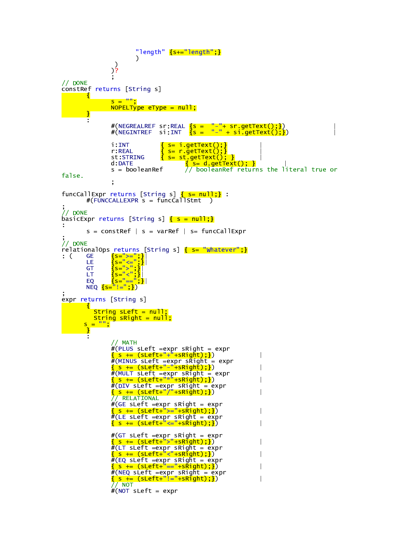```
"length" {s+}-"length"; }
                          \frac{1}{2}// DONE
constRef returns [String s]
            \mathbf{f}S = \frac{m}{2}\overline{NOPELTy}pe eType = null;
            \mathbf{I}\mathcal{L}#(NEGREALREF sr:REAL <mark>{s = "-"+ sr.getText();}</mark>)<br>#(NEGINTREF si:INT <mark>{s = "-" + si.getText();}</mark>)
                                                    {        s= i getText();}<br>{        s= r getText();}
                          1:INTr:REALst:STRING
                                                                 d: DATAEs = booleanReffalse.
funcCallExpr returns [String s] \{ s = null \}#(FUNCCALLEXPR S = funcCalTStmt)\frac{1}{2} DONE
basicExpr returns [String s] \{ s = null \}\mathcal{L}s = constref | s = varref | s= funcCallExpr
// DONE
relationalOps returns [String s] <mark>{ s= "Whatever";}</mark>
            ona rups<br>
GE<br>
LE<br>
LE<br>
CT<br>
CT<br>
CT<br>
CO<br>
C<sub>S="</sub>!=";}<br>
CO<br>
C<sub>S="</sub>!=";}<br>
CO<br>
C<sub>S="</sub>!=";}
\sim (
expr returns [String s]
            -1
                 String sleft = nullString Sright = null;
                  <mark>e k</mark>in
            \overline{\mathbf{s}}\mathbf{R}\overline{1}// MATH
                         // MATH<br>#(PLUS sLeft =expr sRight = expr<br>{ s += (sLeft+"+"+sRight);})<br>#(MINUS sLeft =expr sRight = expr<br>{ s += (sLeft+"-"+sRight);})<br>#(MULT sLeft =expr sRight = expr<br>{ s += (sLeft+"*"+sRight);})<br>#(DIV sLeft =expr sRi
                                                                                                          \overline{\phantom{a}}#(GE sLeft =expr sRight = expr<br><mark>{ s += (sLeft+">="+sRight);}</mark>)
                          #(LE sLeft =expr sRight = expr<br>{ s += (sLeft+"<="+sRight);})
                         #(GT sLeft =expr sRight = expr<br>
{ s += (sLeft+">"+sRight);})<br>#(LT sLeft =expr sRight = expr<br>
{ s += (sLeft+"<"+sRight);})<br>#(EQ sLeft =expr sRight = expr<br>
{ s += (sLeft+"=="+sRight);})
                          #(NOT sLeft = expr
```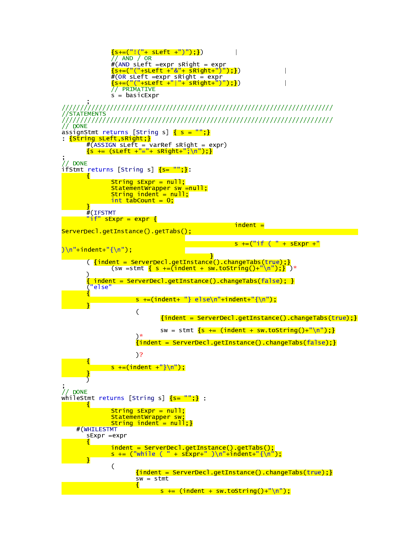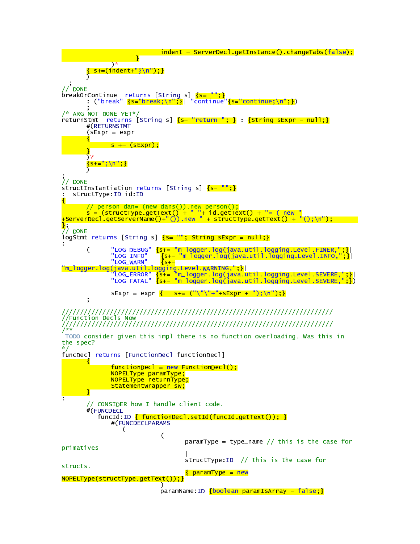```
indent = ServerDec1.getInstance() changes (false);\mathbf{v}\overline{\ }s+=(indent+"}{n");
 // DONE
breakOrContinue returns [String s] <mark>{s= "";}</mark><br>: ("break" <mark>{s="break;\n";}</mark>| "continue"<mark>{s="continue;\n";}</mark>)
/* ARG NOT DONE YET*/
returnStmt returns [String s] {S= "return "; } : {String sExpr = null;}
         #(RETURNSTMT
         (sExpr = expr<u>s += (sExpr);</u>
         \overline{2}{s+}";\n";}
\frac{1}{2} DONE
structInstantiation returns [String s] {S= "";}
    structType:ID id:ID
s // person dan= (new dans()).new person();<br>s = (structType.getText() + " "+ id.getText() + "= ( new "<br>+ServerDecl.getServerName()+"()).new " + structType.getText() + "();\n");
\frac{1}{\frac{1}{1}}, DONE
logStmt returns [String s] [S= ""; String sExpr = null;}
÷
                 "LOG_DEBUG" <mark>{s+= "m_logger.log(java.util.logging.Level.FINER,";}</mark>|<br>"LOG_INFO" {<mark>s+= "m_logger.log(java.util.logging.Level.INFO,";}</mark>|
         \mathcal{L}_{\mathcal{L}}"LOG_INFO"
                 "LOG_WARN"
                                 \{s+=<u>"m_logger.log(java.util.logging</u>.Level.WARNING,";}|<br>|"m_logger.log(java.util.logging.level.SEVERE,";<mark>}</mark><br>({,"LOG_FATAL" {s+= "m_logger.log(java.util.logging.Level.SEVERE,";"
                 sExpr = expr \{ 5+= ("\\"\\"+"+sExpr + ");\\n"); \}//Function Decls Now
TODO consider given this impl there is no function overloading. Was this in
the spec?
funcDecl returns [FunctionDecl functionDecl]
        \mathbf{f}functionDecl = new FunctionDecl();
                 NOPELType paramType;
                 NOPELType returnType;
                 StatementWrapper sw,
        \overline{\mathbf{r}}// CONSIDER how I handle client code.
        #(FUNCDECL
            funcId:ID { functionDecl.setId(funcId.getText()); }
                 #(FUNCDECLPARAMS
                     C
                                  C
                                          paramType = type_name // this is the case for
primatives
                                          structType: ID // this is the case for
structs.
                                          \frac{1}{2} paramType = new
NOPELType(structType.getText()); }
```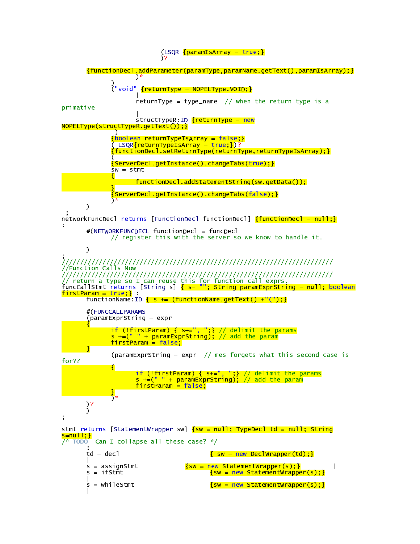$(LSQR$   ${paramIsArray = true, }$ {functionDecl.addParameter(paramType,paramName.getText(),paramIsArray);}  $\overline{)}$ \* ("void" {returnType = NOPELType.VOID;} returnType = type\_name  $//$  when the return type is a primative  $structure$  structTypeR:ID  ${returnType = new}$ <mark>NOPELType(structTypeR.getText());}</mark>  ${boolean returnTypeIsArray = false; }$  $LSQR$ {returnTypeIsArray = true;})? functionDecl.setReturnType(returnType,returnTypeIsArray); } {ServerDecl.getInstance().changeTabs(true);}  $sw =$ stmt € functionDecl.addStatementString(sw.getData()); {ServerDecl.getInstance().changeTabs(false);}  $\mathcal{E}$ networkFuncDecl returns [FunctionDecl functionDecl] { functionDecl = null; } #(NETWORKFUNCDECL functionDecl = funcDecl // register this with the server so we know to handle it.  $\mathcal{C}^{\mathcal{C}}$ //Function Calls Now funcCallStmt returns [String s] <mark>{ s= ""; String paramExprString = null; boolean</mark>  $firstParam = true$ functionName: ID  $\{ s \leftarrow (functionName.getText() + "(")); \}$ #(FUNCCALLPARAMS  $(\text{paramExpressing}) = \text{expr}$ if (!firstParam) { s+=", ";} // delimit the params<br>s +=(" " + paramExprString); // add the param  $firstParam = false$ T (paramExprString =  $expr$  // mes forgets what this second case is for?? -8 if (!firstParam) { s+=", ";} // delimit the params<br>s +=(" " + paramExprString); // add the param  $firstParam = false$  $\frac{1}{2}$  $\left\{ \right\}$ ÷ stmt returns [StatementWrapper sw]  $\{sw = null\}$ ; TypeDecl td = null; String <u>s=null;}</u>  $7*$  TODO Can I collapse all these case? \*/  $\{ sw = new Dec[Wrapper(td); \}$  $td = dec1$  $s =$  assignstmt  $\{sw = new StatementWrapper(s); \}$  $\overline{\phantom{a}}$  $s = i$ fstmt  $\{sw = new StatementWrapper(s); \}$  $=$  whileStmt  $\{sw = new StatementWrapper(s); \}$  $\leq$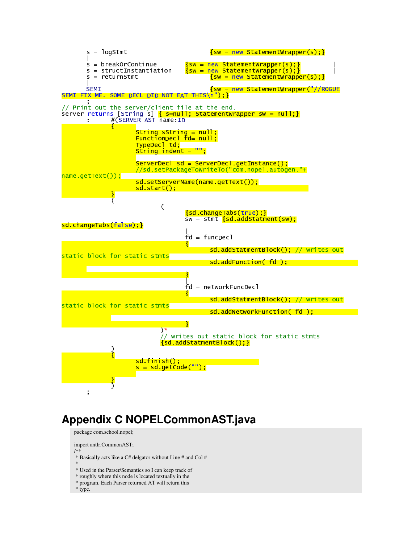

## **Appendix C NOPELCommonAST.java**

package com.school.nopel; import antlr.CommonAST; \* Basically acts like a C# delgator without Line # and Col # \* Used in the Parser/Semantics so I can keep track of \* roughly where this node is located textually in the \* program. Each Parser returned AT will return this \* type.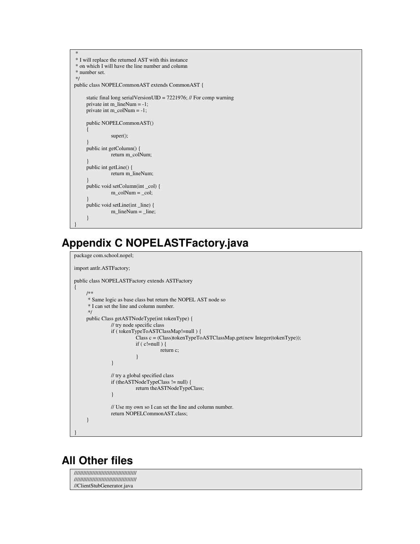```
*
 * I will replace the returned AST with this instance
* on which I will have the line number and column
* number set.
*/
public class NOPELCommonAST extends CommonAST {
     static final long serialVersionUID = 7221976; // For comp warning
     private int m_lineNum = -1;
     private int m_colNum = -1;
     public NOPELCommonAST()
     {
                super();
     }
     public int getColumn() {
               return m_colNum;
     }
     public int getLine() {
               return m_lineNum;
     }
     public void setColumn(int _col) {
               m_{colNum} = col;}
     public void setLine(int _line) {
               m_lineNum = _line;
     }
}
```
## **Appendix C NOPELASTFactory.java**

```
package com.school.nopel;
import antlr.ASTFactory;
public class NOPELASTFactory extends ASTFactory
{
     /**
      * Same logic as base class but return the NOPEL AST node so
     * I can set the line and column number.
     */
     public Class getASTNodeType(int tokenType) {
               // try node specific class
               if ( tokenTypeToASTClassMap!=null ) {
                          Class c = (Class)tokenTypeToASTClassMap.get(new Integer(tokenType));
                          if (c!=null)\{return c;
                          }
                }
               // try a global specified class
               if (theASTNodeTypeClass != null) {
                          return theASTNodeTypeClass;
                }
               // Use my own so I can set the line and column number.
               return NOPELCommonAST.class;
     }
}
```
## **All Other files**

///////////////////////////////////////// ///////////////////////////////////////// //ClientStubGenerator.java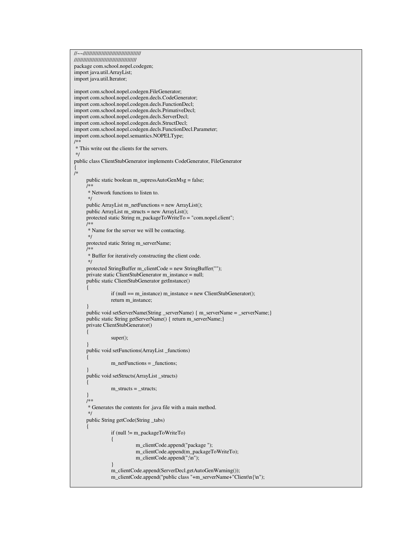```
//~~//////////////////////////////////////
/////////////////////////////////////////
package com.school.nopel.codegen;
import java.util.ArrayList;
import java.util.Iterator;
import com.school.nopel.codegen.FileGenerator;
import com.school.nopel.codegen.decls.CodeGenerator;
import com.school.nopel.codegen.decls.FunctionDecl;
import com.school.nopel.codegen.decls.PrimativeDecl;
import com.school.nopel.codegen.decls.ServerDecl;
import com.school.nopel.codegen.decls.StructDecl;
import com.school.nopel.codegen.decls.FunctionDecl.Parameter;
import com.school.nopel.semantics.NOPELType;
/**
 * This write out the clients for the servers.
*/
public class ClientStubGenerator implements CodeGenerator, FileGenerator
{
/*
     public static boolean m_supressAutoGenMsg = false;
     /**
      * Network functions to listen to.
      */
     public ArrayList m_netFunctions = new ArrayList();
     public ArrayList m_structs = new ArrayList();
     protected static String m_packageToWriteTo = "com.nopel.client";
     /**
      * Name for the server we will be contacting.
      */
     protected static String m_serverName;
     /**
      * Buffer for iteratively constructing the client code.
      */
     protected StringBuffer m_clientCode = new StringBuffer("");
     private static ClientStubGenerator m_instance = null;
     public static ClientStubGenerator getInstance()
     {
                if (null == m_instance) m_instance = new ClientStubGenerator();
                return m_instance;
     }
     public void setServerName(String _serverName) {    m_serverName = _serverName;    }
     public static String getServerName() { return m_serverName;}
     private ClientStubGenerator()
     {
                super();
     }
     public void setFunctions(ArrayList _functions)
      {
                m_netFunctions = _functions;
     }
     public void setStructs(ArrayList _structs)
     {
                m_{\text{1}}structs = _{\text{1}}structs;
      }
      /**
      * Generates the contents for .java file with a main method.
      */
     public String getCode(String _tabs)
      {
                if (null != m_packageToWriteTo)
                {
                           m_clientCode.append("package ");
                           m_clientCode.append(m_packageToWriteTo);
                           m_clientCode.append(";\n");
                 }
                m_clientCode.append(ServerDecl.getAutoGenWarning());
                m_clientCode.append("public class "+m_serverName+"Client\n{\n");
```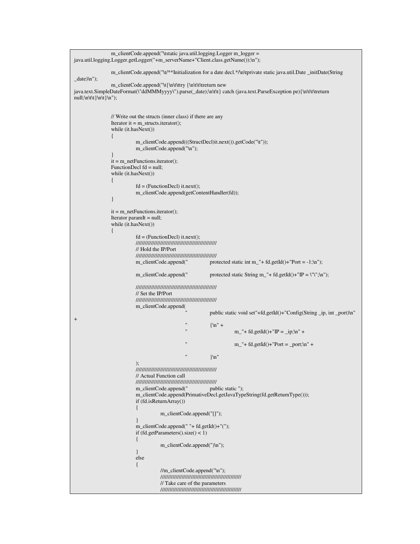```
m_clientCode.append("\tstatic java.util.logging.Logger m_logger =
java.util.logging.Logger.getLogger("+m_serverName+"Client.class.getName());\n");
                  m_clientCode.append("\t/**Initialization for a date decl.*/\n\tprivate static java.util.Date _initDate(String
_date)\n");
                  m_clientCode.append("\t{\n\t\ttry {\n\t\t\treturn new
java.text.SimpleDateFormat(\"ddMMMyyyy\").parse(_date);\n\t\t} catch (java.text.ParseException pe){\n\t\t\treturn
null;\n\t\t }\n\t }\n");
                  // Write out the structs (inner class) if there are any
                  Iterator it = m_structs.iterator();
                  while (it.hasNext())
                  {
                              m_clientCode.append(((StructDecl)it.next()).getCode("\t"));
                              m_clientCode.append("\n");
                  }
                  it = m_netFunctions.iterator();
                  FunctionDecl fd = null;while (it.hasNext())
                  {
                              fd = (FunctionDecl) it.next();
                              m_clientCode.append(getContentHandler(fd));
                  }
                  it = m_netFunctions.iterator();
                  Iterator paramIt = null;
                  while (it.hasNext())
                  {
                              fd = (FunctionDecl) it.next();
                              /////////////////////////////////////////////////////
                              // Hold the IP/Port
                              /////////////////////////////////////////////////////
                                                                 protected static int m_"+ fd.getId()+"Port = -1;\n");
                              m_clientCode.append(" protected static String m_"+ fd.getId()+"IP = \"\";\n");
                              /////////////////////////////////////////////////////
                              // Set the IP/Port
                              /////////////////////////////////////////////////////
                              m_clientCode.append(
                                                                  public static void set"+fd.getId()+"Config(String _ip, int _port)\n"
+
                                                                  \{\ln" +m<sup>"</sup> + fd.getId()+"IP = _ip;\n" +
                                                                              m<sup>"</sup> + fd.getId()+"Port = _port;\n" +
                                                                  \ln"
                              );
                              /////////////////////////////////////////////////////
                              // Actual Function call
                              /////////////////////////////////////////////////////
                              m_clientCode.append("
                              m_clientCode.append(PrimativeDecl.getJavaTypeString(fd.getReturnType()));
                              if (fd.isReturnArray())
                              {
                                          m_clientCode.append("[]");
                              }
                              m_clientCode.append(" "+ fd.getId()+"(");
                              if (fd.getParameters().size() < 1){
                                          m_clientCode.append(")\n");
                              }
                              else
                              \{//m_clientCode.append("\n");
                                          /////////////////////////////////////////////////////
                                          // Take care of the parameters
                                          /////////////////////////////////////////////////////
```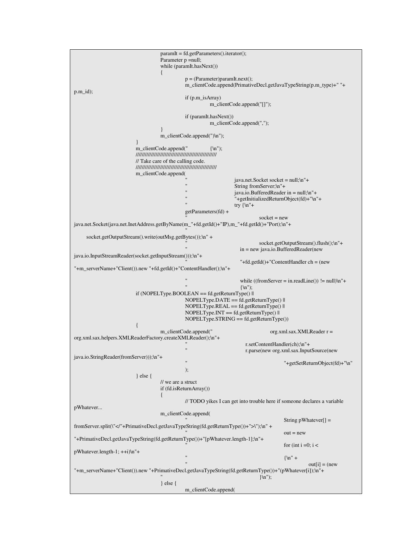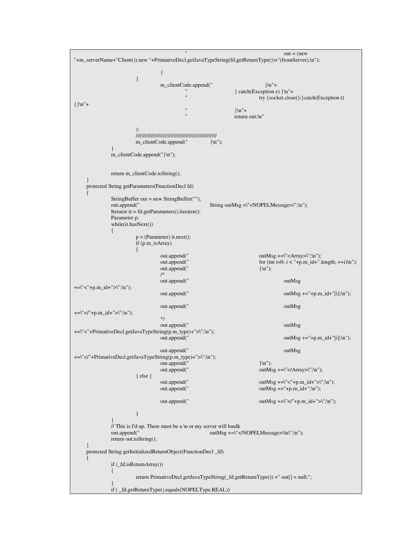$out = (new$ "+m\_serverName+"Client()).new "+PrimativeDecl.getJavaTypeString(fd.getReturnType())+"(fromServer);\n"); } } m\_clientCode.append(" }\n"+  $} \cdot \text{Exception e} \{ \n' +$ try {socket.close(); }catch(Exception t)  $\{\}\ln$ "+  $\ln$ "+ return out;\n" ); ///////////////////////////////////////////////////// m\_clientCode.append(" }\n"); } m\_clientCode.append("}\n"); return m\_clientCode.toString(); } protected String getParameters(FunctionDecl fd) { StringBuffer out = new StringBuffer(""); out.append(" String outMsg =\"<NOPELMessage>\";\n"); Iterator it = fd.getParameters().iterator(); Parameter p; while(it.hasNext()) { p = (Parameter) it.next(); if (p.m\_isArray) { out.append(" outMsg +=\"<Array>\";\n"); out.append(" for  $(int i=0; i < "+p.m_id+".length; ++i)\n\rangle$ "); out.append(" {\n"); /\* out.append(" outMsg +=\"<"+p.m\_id+">\";\n"); out.append(" out.append");<br>
outMsg +="+p.m\_id+"[i];\n"); out.append(" outMsg +=\"</"+p.m\_id+">\";\n"); \*/ out.append(" outMsg +=\"<"+PrimativeDecl.getJavaTypeString(p.m\_type)+">\";\n"); out.append(" out.append(" out.append(" out.append(" out.append(" out.append(" out.append(" out.append(" out.append(" out.append(" out.append(" out.append(" out.append(" out.append(" out.append(" out.append(" out.append(" o out.append(" out.append" outMsg +=\"</"+PrimativeDecl.getJavaTypeString(p.m\_type)+">\";\n"); out.append("  $}\$ \n");<br>out.append(" outMs  $outMsg$  +=\"</Array>\";\n"); } else { out.append(" outMsg +=\"<"+p.m\_id+">\";\n"); out.append(" outMsg +="+p.m\_id+";\n"); out.append("  $\text{outMsg}$  +=\"</"+p.m\_id+">\";\n"); } } // This is f'd up. There must be a \n or my server will baulk out.append(" outMsg +=\"</NOPELMessage>\\n\";\n"); return out.toString(); } protected String getInitializedReturnObject(FunctionDecl \_fd) { if (\_fd.isReturnArray()) { return PrimativeDecl.getJavaTypeString(\_fd.getReturnType()) +" out[] = null;"; } if ( \_fd.getReturnType().equals(NOPELType.REAL))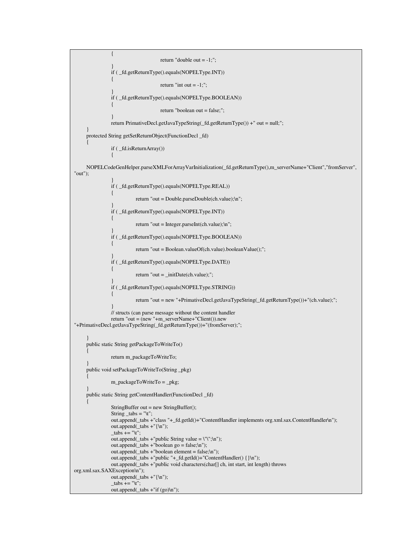```
{
                                      return "double out = -1;";
                 }
                if ( _fd.getReturnType().equals(NOPELType.INT))
                {
                                      return "int out = -1;";
                 }
                if ( _fd.getReturnType().equals(NOPELType.BOOLEAN))
                 {
                                      return "boolean out = false;";
                 }
                return PrimativeDecl.getJavaTypeString(_fd.getReturnType()) +" out = null;";
     }
     protected String getSetReturnObject(FunctionDecl _fd)
     {
                if ( _fd.isReturnArray())
                 {
     NOPELCodeGenHelper.parseXMLForArrayVarInitialization(_fd.getReturnType(),m_serverName+"Client","fromServer",
"out");
                 }
                if ( _fd.getReturnType().equals(NOPELType.REAL))
                {
                           return "out = Double.parseDouble(ch.value);\n";
                 }
                if ( _fd.getReturnType().equals(NOPELType.INT))
                 {
                           return "out = Integer.parseInt(ch.value);\n";
                 }
                if ( _fd.getReturnType().equals(NOPELType.BOOLEAN))
                {
                           return "out = Boolean.valueOf(ch.value).booleanValue();";
                 }
                if ( _fd.getReturnType().equals(NOPELType.DATE))
                 {
                           return "out = _initDate(ch.value);";
                 }
                 if ( _fd.getReturnType().equals(NOPELType.STRING))
                {
                           return "out = new "+PrimativeDecl.getJavaTypeString(_fd.getReturnType())+"(ch.value);";
                 }
                // structs (can parse message without the content handler
                return "out = (new "+m_serverName+"Client()).new
"+PrimativeDecl.getJavaTypeString(_fd.getReturnType())+"(fromServer);";
     }
     public static String getPackageToWriteTo()
     {
                return m_packageToWriteTo;
     }
     public void setPackageToWriteTo(String _pkg)
     {
                m_packageToWriteTo = _pkg;
     }
     public static String getContentHandler(FunctionDecl _fd)
     {
                StringBuffer out = new StringBuffer();
                String _tabs = "\t";
                out.append(_tabs +"class "+_fd.getId()+"ContentHandler implements org.xml.sax.ContentHandler\n");
                out.append(_tabs +"{\n");
                _tabs += "\t";
                out.append(_tabs +"public String value = \Upsilon\Upsilon;\n");
                out.append(_tabs +"boolean go = false;\n");
                out.append(\text{ tabs} +"boolean element = false;\n");
                out.append(_tabs +"public "+_fd.getId()+"ContentHandler() {}\n");
                out.append(_tabs +"public void characters(char[] ch, int start, int length) throws
org.xml.sax.SAXException\n");
                out.append(\text{\_tabs } + \text{"}}\n");
                _tabs += "\t";
                out.append(\text{\_tabs +}"if (go)\n");
```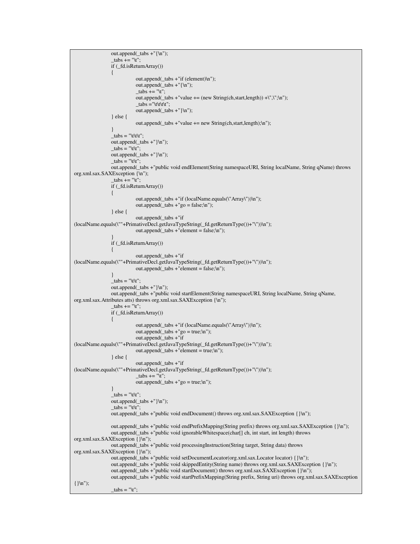```
out.append(_tabs +"{\n");
                 _tabs += "\t";
                 if (_fd.isReturnArray())
                 {
                            out.append(_tabs +"if (element)\n");
                            out.append(\tabs +"{\n");
                            \_tabs += "\mathbf{t};
                            out.append(_tabs +"value += (new String(ch,start,length)) +\",\";\n");
                             \text{tabs} = \text{"t\text{-t\text{-}t\text{-}}}out.append(_tabs +"}\n");
                 } else {
                            out.append(_tabs +"value += new String(ch,start,length);\n");
                 }
                 \_\<sub>tabs</sub> = "\t\t\t";
                 out.append(_tabs +"}\n");
                 \_tabs = "t\tt \&t";out.append(_tabs +"}\n");
                 \_tabs = "t\cdot t";out.append(_tabs +"public void endElement(String namespaceURI, String localName, String qName) throws
org.xml.sax.SAXException {\n");
                 \tanh s += "t":if (_fd.isReturnArray())
                 {
                            out.append(_tabs +"if (localName.equals(\"Array\"))\n");
                            out.append(\text{\_tabs} +"go = false;\n");
                 } else {
                            out.append(_tabs +"if
(localName.equals(\""+PrimativeDecl.getJavaTypeString(_fd.getReturnType())+"\"))\n");
                            out.append(_tabs +"element = false;\n");
                 }
                 if (_fd.isReturnArray())
                 {
                            out.append(_tabs +"if
(localName.equals(\""+PrimativeDecl.getJavaTypeString(_fd.getReturnType())+"\"))\n");
                            out.append(_tabs +"element = false;\n");
                 }
                 \_tabs = "t\cdot t";out.append(_tabs +"}\n");
                 out.append(_tabs +"public void startElement(String namespaceURI, String localName, String qName,
org.xml.sax.Attributes atts) throws org.xml.sax.SAXException {\n");
                 _tabs += "\t";
                 if (_fd.isReturnArray())
                 {
                            out.append(_tabs +"if (localName.equals(\"Array\"))\n");
                            out.append(\text{\_tabs} + "go = true; \n\infty);
                            out.append(_tabs +"if
(localName.equals(\""+PrimativeDecl.getJavaTypeString(_fd.getReturnType())+"\"))\n");
                            out.append(\_task + "element = true; \ln");} else {
                            out.append(_tabs +"if
(localName.equals(\""+PrimativeDecl.getJavaTypeString(_fd.getReturnType())+"\"))\n");
                            \_tabs += "Yt";out.append(_tabs +"go = true;\n");
                 }
                 \_\{tabs} = "t\tt/t";
                 out.append(_tabs +"}\n");
                 \_tabs = "t\cdot t";out.append(_tabs +"public void endDocument() throws org.xml.sax.SAXException {}\n");
                 out.append(_tabs +"public void endPrefixMapping(String prefix) throws org.xml.sax.SAXException {}\n");
                 out.append(_tabs +"public void ignorableWhitespace(char[] ch, int start, int length) throws
org.xml.sax.SAXException {}\n");
                 out.append(_tabs +"public void processingInstruction(String target, String data) throws
org.xml.sax.SAXException {}\n");
                 out.append(_tabs +"public void setDocumentLocator(org.xml.sax.Locator locator) {}\n");
                 out.append(_tabs +"public void skippedEntity(String name) throws org.xml.sax.SAXException {}\n");
                 out.append(_tabs +"public void startDocument() throws org.xml.sax.SAXException {}\n");
                 out.append(_tabs +"public void startPrefixMapping(String prefix, String uri) throws org.xml.sax.SAXException
{}\n");
                  \text{tabs} = \text{"t";}
```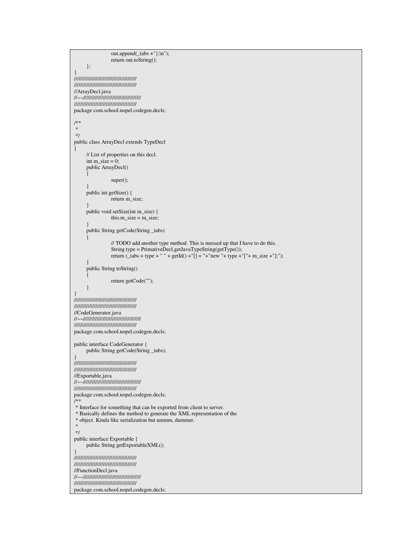```
out.append(_tabs +"};\n");
                   return out.toString();
      };
}
/////////////////////////////////////////
/////////////////////////////////////////
//ArrayDecl.java
//~~//////////////////////////////////////
/////////////////////////////////////////
package com.school.nopel.codegen.decls;
/**
 *
 */
public class ArrayDecl extends TypeDecl
{
      // List of properties on this decl.
      int m_size = 0;
      public ArrayDecl()
       {
                   super();
      }
      public int getSize() {
                  return m_size;
       }
      public void setSize(int m_size) {
                  this.m_size = m_size;
      }
      public String getCode(String _tabs)
       {
                   // TODO add another type method. This is messed up that I have to do this.
                   String type = PrimativeDecl.getJavaTypeString(getType());
                  return (_tabs + type + " " + getId() + "[] = "+ "new "+ type + "["+ m_size + "];");
      }
      public String toString()
      {
                  return getCode("");
      }
}
/////////////////////////////////////////
/////////////////////////////////////////
//CodeGenerator.java
//~~//////////////////////////////////////
/////////////////////////////////////////
package com.school.nopel.codegen.decls;
public interface CodeGenerator {
      public String getCode(String _tabs);
}
/////////////////////////////////////////
/////////////////////////////////////////
//Exportable.java
//~~//////////////////////////////////////
/////////////////////////////////////////
package com.school.nopel.codegen.decls;
/**
* Interface for something that can be exported from client to server.
 * Basically defines the method to generate the XML representation of the
 * object. Kinda like serialization but ummm, dummer.
 *
*/
public interface Exportable {
      public String getExportableXML();
}
/////////////////////////////////////////
/////////////////////////////////////////
//FunctionDecl.java
//~~//////////////////////////////////////
/////////////////////////////////////////
package com.school.nopel.codegen.decls;
```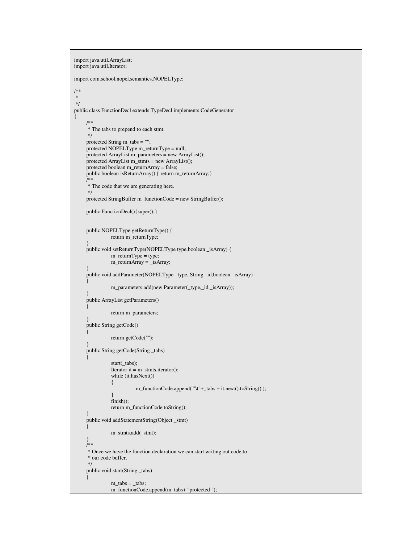```
import java.util.ArrayList;
import java.util.Iterator;
import com.school.nopel.semantics.NOPELType;
/**
\ast*/
public class FunctionDecl extends TypeDecl implements CodeGenerator
     /**
      * The tabs to prepend to each stmt.
      */
     protected String m_tabs = "";
     protected NOPELType m_returnType = null;
     protected ArrayList m_parameters = new ArrayList();
     protected ArrayList m_stmts = new ArrayList();
     protected boolean m_returnArray = false;
     public boolean isReturnArray() { return m_returnArray;}
     /**
      * The code that we are generating here.
      */
     protected StringBuffer m_functionCode = new StringBuffer();
     public FunctionDecl(){super();}
     public NOPELType getReturnType() {
                return m_returnType;
      }
     public void setReturnType(NOPELType type,boolean _isArray) {
                m_returnType = type;
                m_returnArray = _isArray;
      }
     public void addParameter(NOPELType _type, String _id,boolean _isArray)
      {
                m_parameters.add(new Parameter(_type,_id,_isArray));
      }
     public ArrayList getParameters()
      {
                return m_parameters;
      }
     public String getCode()
      {
                return getCode("");
      }
     public String getCode(String _tabs)
      {
                start(_tabs);
                Iterator it = m_stmts.iterator();
                while (it.hasNext())
                 {
                           m_functionCode.append( "\t"+_tabs + it.next().toString() );
                 }
                finish();
                return m_functionCode.toString();
      }
     public void addStatementString(Object _stmt)
      {
                m_stmts.add(_stmt);
      }
      /**
      * Once we have the function declaration we can start writing out code to
      * our code buffer.
      */
     public void start(String _tabs)
      {
                m\_tabs = _tabs;m_functionCode.append(m_tabs+ "protected ");
```
{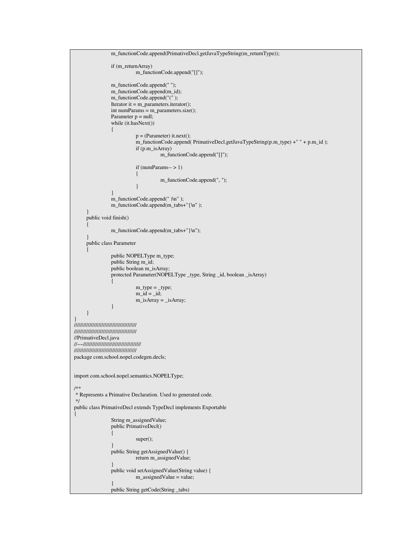```
m_functionCode.append(PrimativeDecl.getJavaTypeString(m_returnType));
                if (m_returnArray)
                           m_functionCode.append("[]");
                m_functionCode.append(" ");
                m_functionCode.append(m_id);
                m_functionCode.append("(" );
                Iterator it = m_parameters.iterator();
                int numParams = m_parameters.size();
                Parameter p = null;
                while (it.hasNext())
                 {
                           p = (Parameter) it.next();
                           m_functionCode.append( PrimativeDecl.getJavaTypeString(p.m_type) +" " + p.m_id );
                           if (p.m_isArray)
                                      m_functionCode.append("[]");
                           if (numParameters- > 1){
                                      m_functionCode.append(", ");
                            }
                 }
                m_functionCode.append(" )\n" );
                m_functionCode.append(m_tabs+"{\n" );
     }
     public void finish()
     \{m_functionCode.append(m_tabs+"}\n");
     }
     public class Parameter
     {
                public NOPELType m_type;
                public String m_id;
                public boolean m_isArray;
                protected Parameter(NOPELType _type, String _id, boolean _isArray)
                 {
                           m_typ = type;
                           m_id = -id;m_isArray = _isArray;
                 }
     }
/////////////////////////////////////////
/////////////////////////////////////////
//PrimativeDecl.java
//~~//////////////////////////////////////
/////////////////////////////////////////
package com.school.nopel.codegen.decls;
import com.school.nopel.semantics.NOPELType;
* Represents a Primative Declaration. Used to generated code.
public class PrimativeDecl extends TypeDecl implements Exportable
                String m_assignedValue;
                public PrimativeDecl()
                 {
                           super();
                 }
                 public String getAssignedValue() {
                           return m_assignedValue;
                 }
                public void setAssignedValue(String value) {
                           m_assignedValue = value;
                 }
                public String getCode(String _tabs)
```
}

/\*\*

\*/

{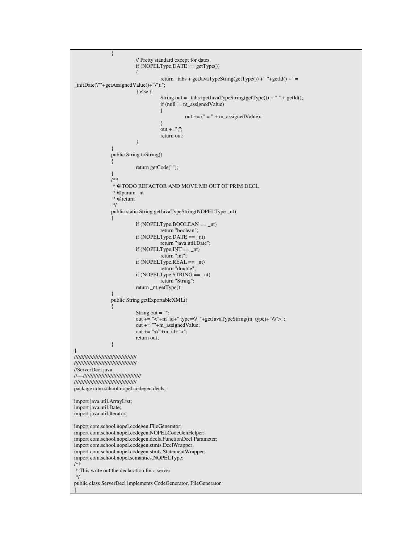```
{
                           // Pretty standard except for dates.
                           if (NOPELType.DATE == getType)){
                                      return _tabs + getJavaTypeString(getType()) +" "+getId() +" =
_initDate(\""+getAssignedValue()+"\");";
                           } else {
                                      String out = _tabs+getJavaTypeString(getType()) + " " + getId();
                                      if (null != m_assignedValue)
                                      {
                                                 out += (" = " + m_assignedValue);
                                      }
                                      out +=";";
                                      return out;
                           }
                 }
                public String toString()
                 {
                           return getCode("");
                 }
                /**
                 * @TODO REFACTOR AND MOVE ME OUT OF PRIM DECL
                 * @param _nt
                 * @return
                 */
                public static String getJavaTypeString(NOPELType _nt)
                 {
                           if (NOPELType.BOOLEAN == _nt)
                                      return "boolean";
                           if (NOPELType.DATE == _nt)
                                      return "java.util.Date";
                           if (NOPELType.INT == _nt)
                                      return "int";
                           if (NOPELType.REAL == _nt)
                                      return "double";
                           if (NOPELType.STRING == _nt)
                                      return "String";
                           return _nt.getType();
                 }
                public String getExportableXML()
                 {
                           String out = "";
                           out += "<"+m_id+" type=\\\""+getJavaTypeString(m_type)+"\\\">";
                           out += ""+m_assignedValue;
                           out += "\lt/"+m_id+">";
                           return out;
                 }
}
/////////////////////////////////////////
/////////////////////////////////////////
//ServerDecl.java
//~~//////////////////////////////////////
/////////////////////////////////////////
package com.school.nopel.codegen.decls;
import java.util.ArrayList;
import java.util.Date;
import java.util.Iterator;
import com.school.nopel.codegen.FileGenerator;
import com.school.nopel.codegen.NOPELCodeGenHelper;
import com.school.nopel.codegen.decls.FunctionDecl.Parameter;
import com.school.nopel.codegen.stmts.DeclWrapper;
import com.school.nopel.codegen.stmts.StatementWrapper;
import com.school.nopel.semantics.NOPELType;
/**
* This write out the declaration for a server
*/
public class ServerDecl implements CodeGenerator, FileGenerator
{
```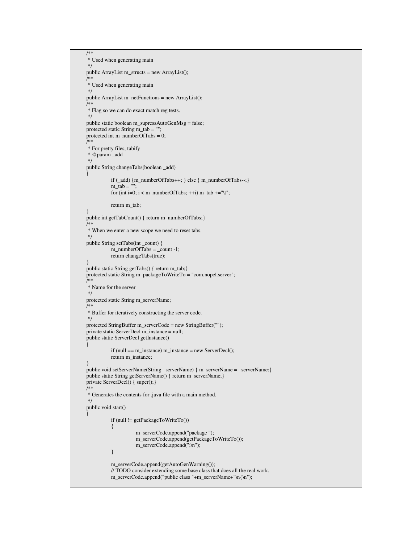```
/**
 * Used when generating main
*/
public ArrayList m_structs = new ArrayList();
/**
 * Used when generating main
 */
public ArrayList m_netFunctions = new ArrayList();
/**
* Flag so we can do exact match reg tests.
*/
public static boolean m_supressAutoGenMsg = false;
protected static String m_tab = "";
protected int m_numberOfTabs = 0;
/**
* For pretty files, tabify
* @param _add
*/
public String changeTabs(boolean _add)
\{if (_add) {m_numberOfTabs++; } else { m_numberOfTabs--;}
           m_{1}tab = "for (int i=0; i < m_numberOfTabs; ++i) m_tab +="\t";
           return m_tab;
}
public int getTabCount() { return m_numberOfTabs;}
/**
 * When we enter a new scope we need to reset tabs.
*/
public String setTabs(int _count) {
          m_numberOfTabs = _count -1;
          return changeTabs(true);
}
public static String getTabs() { return m_tab;}
protected static String m_packageToWriteTo = "com.nopel.server";
/**
* Name for the server
 */
protected static String m_serverName;
/**
* Buffer for iteratively constructing the server code.
*/
protected StringBuffer m_serverCode = new StringBuffer("");
private static ServerDecl m_instance = null;
public static ServerDecl getInstance()
{
           if (null == m_instance) m_instance = new ServerDecl();
           return m_instance;
}
public void setServerName(String _serverName) {    m_serverName = _serverName; }
public static String getServerName() { return m_serverName; }
private ServerDecl() { super();}
/**
* Generates the contents for .java file with a main method.
*/
public void start()
\left\{ \right.if (null != getPackageToWriteTo())
           {
                      m_serverCode.append("package ");
                      m_serverCode.append(getPackageToWriteTo());
                      m_serverCode.append(";\n");
           }
           m_serverCode.append(getAutoGenWarning());
           // TODO consider extending some base class that does all the real work.
           m_serverCode.append("public class "+m_serverName+"\n{\n");
```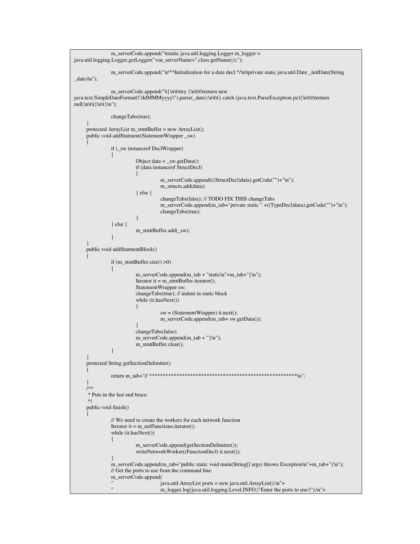```
m_serverCode.append("\tstatic java.util.logging.Logger m_logger =
java.util.logging.Logger.getLogger("+m_serverName+".class.getName());");
                m_serverCode.append("\t/**Initialization for a date decl.*/\n\tprivate static java.util.Date _initDate(String
_date\\n");
                m_serverCode.append("\t{\n\t\ttry {\n\t\t\treturn new
java.text.SimpleDateFormat(\"ddMMMyyyy\").parse(_date);\n\t\t} catch (java.text.ParseException pe){\n\t\t\treturn
null;\n\t\t}\n\t}\n");
                changeTabs(true);
     }
     protected ArrayList m_stmtBuffer = new ArrayList();
     public void addStatment(StatementWrapper _sw)
     {
                if (_sw instanceof DeclWrapper)
                {
                           Object data = _sw.getData();
                           if (data instanceof StructDecl)
                           {
                                      m_serverCode.append(((StructDecl)data).getCode("")+"\n");
                                      m_structs.add(data);
                           } else {
                                      changeTabs(false); // TODO FIX THIS changeTabs
                                      m_serverCode.append(m_tab+"private static " +((TypeDecl)data).getCode("")+"\n");
                                      changeTabs(true);
                            }
                 } else {
                           m_stmtBuffer.add(_sw);
                 }
      }
     public void addStatmentBlock()
      {
                if (m_stmtBuffer.size() >0)
                {
                           m_serverCode.append(m_tab + "static\n"+m_tab+"{\n");
                           Iterator it = m_{\text{1}} stmtBuffer.iterator();
                           StatementWrapper sw;
                           changeTabs(true); // indent in static block
                           while (it.hasNext())
                           {
                                      sw = (StatementWrapper) it.next();
                                      m_serverCode.append(m_tab+ sw.getData());
                            }
                           changeTabs(false);
                           m_serverCode.append(m_tab + "}\n");
                           m_stmtBuffer.clear();
                 }
     }
     protected String getSectionDelimiter()
     {
                return m_tab+"// ******************************************************\n";
      }
     /**
      * Puts in the last end brace.
      */
     public void finish()
      {
                // We need to create the workers for each network function
                Iterator it = m netFunctions.iterator();
                while (it.hasNext())
                 {
                           m_serverCode.append(getSectionDelimiter());
                           writeNetworkWorker((FunctionDecl) it.next());
                 }
                 m_serverCode.append(m_tab+"public static void main(String[] args) throws Exception\n"+m_tab+"{\n");
                // Get the ports to use from the command line.
                m_serverCode.append(
                                      java.util.ArrayList ports = new java.util.ArrayList();\n"+
                                      m_logger.log(java.util.logging.Level.INFO,\"Enter the ports to use:\");\n"+
```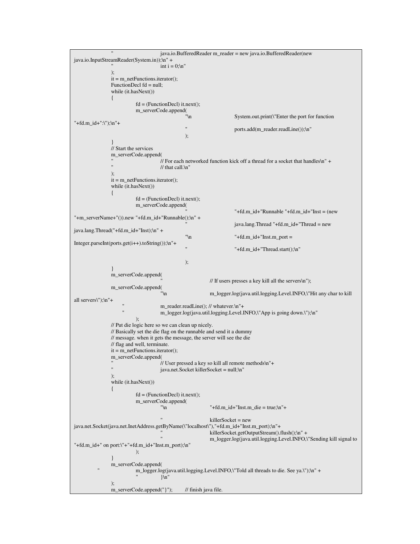```
java.io.BufferedReader m_reader = new java.io.BufferedReader(new
java.io.InputStreamReader(System.in));\n" +
                                      int i = 0; \n"
                );
                it = m_netFunctions.iterator();
                FunctionDecl fd = null;
                while (it.hasNext())
                {
                           fd = (FunctionDecl) it.next();
                           m_serverCode.append("\n
                                                                      System.out.print(\"Enter the port for function
"+fd.m_id+":\");\n"+
                                                 " ports.add(m_reader.readLine());\n"
                                                 );
                }
                // Start the services
                m_serverCode.append(
                                      // For each networked function kick off a thread for a socket that handles\ln" +
                                      \frac{1}{\pi} that call.\n"
                );
                it = m_{netFunctions.iterator(i)};
                while (it.hasNext())
                {
                           fd = (FunctionDecl) it.next();
                           m_serverCode.append(
                                                                       "+fd.m_id+"Runnable "+fd.m_id+"Inst = (new"+m_serverName+"()).new "+fd.m_id+"Runnable();\n" +
                                                                       java.lang.Thread "+fd.m_id+"Thread = new
java.lang.Thread("+fd.m_id+"Inst);\n" +
                                                 \ln "+fd.m_id+"Inst.m_port =
Integer.parseInt(ports.get(i++).toString());\ln"+
                                                                       "+fd.m_id+"Thread.start();\n"
                                                 );
                }
                m_serverCode.append(
                                                           \frac{1}{1} If users presses a key kill all the servers\ln");
                m_serverCode.append(
                                      "\n m_logger.log(java.util.logging.Level.INFO,\"Hit any char to kill
all servers\");\n"+
                                      m_reader.readLine(); // whatever.\n"+
                                      m_logger.log(java.util.logging.Level.INFO,\"App is going down.\");\n"
                           );
                // Put die logic here so we can clean up nicely.
                // Basically set the die flag on the runnable and send it a dummy
                // message. when it gets the message, the server will see the die
                // flag and well, terminate.
                it = m_{netFunctions.iterator(i)};
                m_serverCode.append(
                                      // User pressed a key so kill all remote methods\n"+
                                      java.net.Socket killerSocket = null;\n"
                );
                while (it.hasNext())
                {
                           fd = (FunctionDecl) it.next();m_serverCode.append(
                                      "\n '' + fd.m_id+''Inst.m_die = true; \ln'' +killerSocket = new
java.net.Socket(java.net.InetAddress.getByName(\"localhost\"),"+fd.m_id+"Inst.m_port);\n"+
                                                           killerSocket.getOutputStream().flush();\n" +
                                                            m_logger.log(java.util.logging.Level.INFO,\"Sending kill signal to
"+fd.m_id+" on port:\"+"+fd.m_id+"Inst.m_port);\n"
                           );
                }
                m_serverCode.append(
                           m_logger.log(java.util.logging.Level.INFO,\"Told all threads to die. See ya.\");\n" +
                                      " }\n"
                );
                m_serverCode.append("}"); // finish java file.
```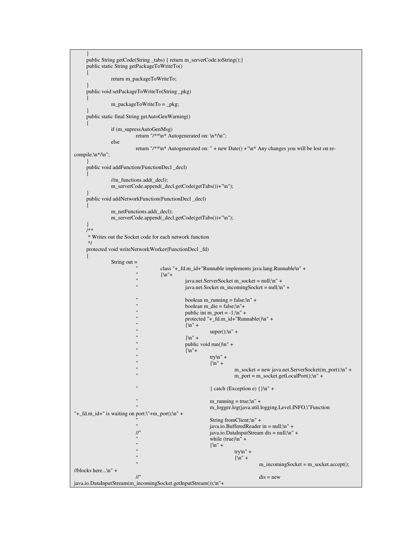```
}
     public String getCode(String _tabs) { return m_serverCode.toString();}
     public static String getPackageToWriteTo()
     {
                return m_packageToWriteTo;
     }
     public void setPackageToWriteTo(String _pkg)
     {
                m_packageToWriteTo = _pkg;
     }
     public static final String getAutoGenWarning()
     {
                if (m_supressAutoGenMsg)
                           return "/**\n* Autogenerated on: \n*/\n";
                else
                           return "/**\n* Autogenerated on: " + new Date() +"\n* Any changes you will be lost on re-
compile.\n*/\n";
     }
     public void addFunction(FunctionDecl _decl)
     \{//m_functions.add(_decl);
                m_serverCode.append(_decl.getCode(getTabs())+"\n");
     }
     public void addNetworkFunction(FunctionDecl _decl)
     {
                m_netFunctions.add(_decl);
                m_serverCode.append(_decl.getCode(getTabs())+"\n");
     }
     /**
      * Writes out the Socket code for each network function
      */
     protected void writeNetworkWorker(FunctionDecl _fd)
     {
                String out =class "+_fd.m_id+"Runnable implements java.lang.Runnable\n" +
                                      \{\n\|"+
                                                 java.net.ServerSocket m_socket = null;\n' +java.net.Socket m_incomingSocket = null;\n" +
                                                 boolean m_running = false;\ln" +
                                                 boolean m_die = false;\n"+
                                                 public int m_port = -1;\n" +
                                                 protected "+_fd.m_id+"Runnable()\n" +
                                                 \{\n\^" +super();\n' +\ln" +
                                                public void run()\n" +
                                                 \overline{\{n^{"+}}\}try\ln" +{\n \ln" +m_socket = new java.net.ServerSocket(m_port);\n" +
                                                                      m\_port = m\_socket.getLocalPort();\n' +} \cdot atch (Exception e) \{\}\n'' +m_running = true;\ln" +
                                                            m_logger.log(java.util.logging.Level.INFO,\"Function
"+_fd.m_id+" is waiting on port:\"+m_port);\n" +
                                                            String fromClient;\n" +
                           " java.io.BufferedReader in = null;\n" +<br>\ell" j is a is DataInputStream dis = null;\n"
                                                           java.io.DataInputStream dis = null;\n" +
                                                            while (true)\ln" +
                                                            \{\n\^" +try\ln" +{\n \ln" +m\_incomingSocket = m\_socket.accept();//blocks here...\n" +
                           \sin \theta = \cos \thetajava.io.DataInputStream(m_incomingSocket.getInputStream());\n"+
```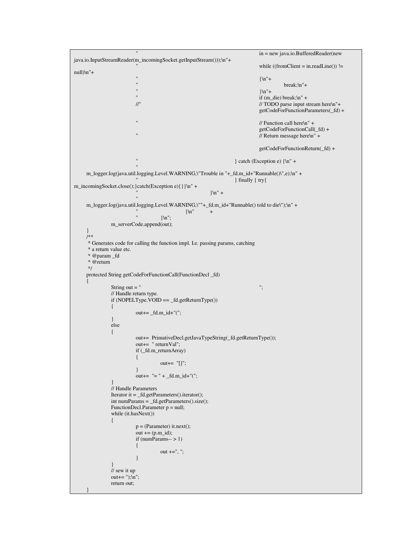```
in = new java.io.BufferedReader(new
java.io.InputStreamReader(m_incomingSocket.getInputStream()));\n"+
                                                                        while ((fromClient = in.readLine)) !=
null)\n"+
                        {\rm \{m^+}break;\n" +
                        " \ln"+
                                                                        if (m_die) break;\ln" +
                        //" //" //" // // TODO parse input stream here\n"+
                                                                        getCodeForFunctionParameters(_fd) +
                                                                        \frac{1}{\sqrt{2}} Function call here\ln" +
                                                                        getCodeForFunctionCall(_fd) +
                                                                        \frac{1}{\sqrt{2}} Return message here\ln" +
                                                                        getCodeForFunctionReturn(_fd) +
                                                              } catch (Exception e) \ln" +"
    m_logger.log(java.util.logging.Level.WARNING,\"Trouble in "+_fd.m_id+"Runnable()\",e);\n" +
                                                              \} finally { try{
m_incomingSocket.close();}catch(Exception e){}}\n" +
                                                     \ln" +
                        "
     m_logger.log(java.util.logging.Level.WARNING,\""+_fd.m_id+"Runnable() told to die\");\n" +
                        \ln" +
                                 \ln":
              m_serverCode.append(out);
     }
     /**
     * Generates code for calling the function impl. I.e. passing params, catching
     * a return value etc.
     * @param _fd
     * @return
     */
    protected String getCodeForFunctionCall(FunctionDecl _fd)
     {
              String out = ";
              // Handle return type.
              if (NOPELType.VOID == _fd.getReturnType())
              {
                       out+= _fd.m_id+"(";
              }
              else
              {
                        out+= PrimativeDecl.getJavaTypeString(_fd.getReturnType());
                        out+= " returnVal";
                       if (_fd.m_returnArray)
                        {
                                 out+= "[]";
                        }
                       out += "= " + _fd.m_id+"(";
              }
              // Handle Parameters
              Iterator it = _fd.getParameters().iterator();
              int numParams = _fd.getParameters().size();
              FunctionDecl.Parameter p = null;
              while (it.hasNext())
              {
                        p = (Parameter) it.next();
                        out += (p.m_id);if (numParameters- > 1){
                                 out +=", ";
                        }
              }
              // sew it up
              out+= ");\ln";
              return out;
     }
```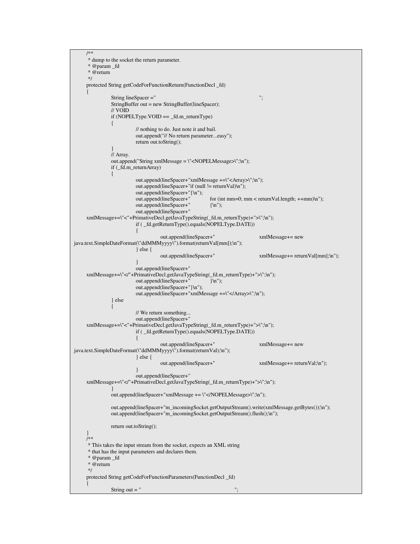```
/**
     * dump to the socket the return parameter.
     * @param _fd
     * @return
     */
    protected String getCodeForFunctionReturn(FunctionDecl _fd)
     {
              String lineSpacer =" " ";
              StringBuffer out = new StringBuffer(lineSpacer);
              // VOID
              if (NOPELType.VOID == _fd.m_returnType)
              {
                        // nothing to do. Just note it and bail.
                        out.append("// No return parameter...easy");
                        return out.toString();
               }
              // Array.
              out.append("String xmlMessage = \"<NOPELMessage>\";\n");
              if (_fd.m_returnArray)
               {
                         out.append(lineSpacer+"xmlMessage +=\"<Array>\";\n");
                         out.append(lineSpacer+"if (null != returnVal)\n");
                         out.append(lineSpacer+"{\n");
                         out.append(lineSpacer+" for (int mm=0; mm < returnVal.length; ++mm)\n");
                        out.append(lineSpacer+" {\n");
                        out.append(lineSpacer+"
    xmlMessage+=\"<"+PrimativeDecl.getJavaTypeString(_fd.m_returnType)+">\";\n");
                        if ( _fd.getReturnType().equals(NOPELType.DATE))
                         {
                                  out.append(lineSpacer+" xmlMessage+= new
java.text.SimpleDateFormat(\"ddMMMyyyy\").format(returnVal[mm]);\n");
                         } else {
                                  out.append(lineSpacer+" xmlMessage+= returnVal[mm];\n");
                         }
                        out.append(lineSpacer+"
     xmlMessage+=\"</"+PrimativeDecl.getJavaTypeString(_fd.m_returnType)+">\";\n");
                        out.append(lineSpacer+"
                        out.append(lineSpacer+"}\n");
                         out.append(lineSpacer+"xmlMessage +=\"</Array>\";\n");
               } else
               {
                        // We return something...
                        out.append(lineSpacer+"
     xmlMessage+=\"<"+PrimativeDecl.getJavaTypeString(_fd.m_returnType)+">\";\n");
                        if ( _fd.getReturnType().equals(NOPELType.DATE))
                         {
                                  out.append(lineSpacer+" xmlMessage+= new
java.text.SimpleDateFormat(\"ddMMMyyyy\").format(returnVal);\n");
                        } else {
                                  out.append(lineSpacer+" xmlMessage+= returnVal;\n");
                         }
                        out.append(lineSpacer+"
    xmlMessage+=\"</"+PrimativeDecl.getJavaTypeString(_fd.m_returnType)+">\";\n");
               }
              out.append(lineSpacer+"xmlMessage += \"</NOPELMessage>\";\n");
              out.append(lineSpacer+"m_incomingSocket.getOutputStream().write(xmlMessage.getBytes());\n");
              out.append(lineSpacer+"m_incomingSocket.getOutputStream().flush();\n");
              return out.toString();
     }
     /**
     * This takes the input stream from the socket, expects an XML string
     * that has the input parameters and declares them.
     * @param _fd
     * @return
     */
    protected String getCodeForFunctionParameters(FunctionDecl _fd)
     {
              String out = "
```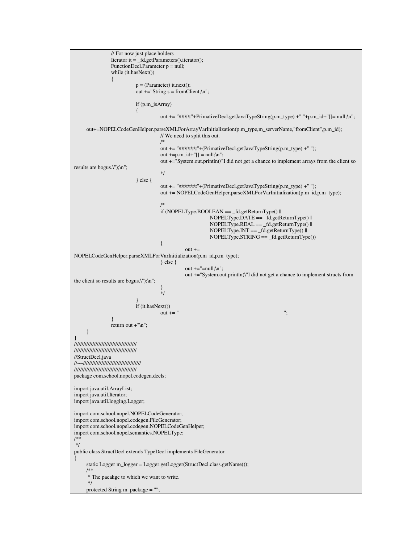```
// For now just place holders
                Iterator it = _fd.getParameters().iterator();
                FunctionDecl.Parameter p = null;
                while (it.hasNext())
                {
                           p = (Parameter) it.next();
                           out += "String s = from Client; \n";
                           if (p.m_isArray)
                           {
                                      out += "\t\t\t\t"+PrimativeDecl.getJavaTypeString(p.m_type) +" "+p.m_id+"[]= null;\n";
     out+=NOPELCodeGenHelper.parseXMLForArrayVarInitialization(p.m_type,m_serverName,"fromClient",p.m_id);
                                      // We need to split this out.
                                      /*
                                      out += "\t\t\t\t\t\t"+(PrimativeDecl.getJavaTypeString(p.m_type) +" ");
                                      out +=p.m_id+"[] = null;\n;
                                      out +="System.out.println(\"I did not get a chance to implement arrays from the client so
results are bogus.\");\n";
                                      */
                           } else {
                                      out += "\t\t\t\t\t\t"+(PrimativeDecl.getJavaTypeString(p.m_type) +" ");
                                      out += NOPELCodeGenHelper.parseXMLForVarInitialization(p.m_id,p.m_type);
                                      /*
                                      if (NOPELType.BOOLEAN == _fd.getReturnType() ||
                                                            NOPELType.DATE == _fd.getReturnType() ||
                                                            NOPELType.REAL == _fd.getReturnType() ||
                                                            NOPELType.INT == _fd.getReturnType() ||
                                                            NOPELType.STRING == _fd.getReturnType())
                                      {
                                                 out +=NOPELCodeGenHelper.parseXMLForVarInitialization(p.m_id,p.m_type);
                                      } else {
                                                 out += "=null;\n";
                                                 out +="System.out.println(\"I did not get a chance to implement structs from
the client so results are bogus.\");\n";
                                      }
                                      */
                           }
                           if (it.hasNext())
                                      out += " ";
                }
                return out +\mathrm{``\hskip-1.2pt\relax n''};
     }
}
/////////////////////////////////////////
/////////////////////////////////////////
//StructDecl.java
//~~//////////////////////////////////////
/////////////////////////////////////////
package com.school.nopel.codegen.decls;
import java.util.ArrayList;
import java.util.Iterator;
import java.util.logging.Logger;
import com.school.nopel.NOPELCodeGenerator;
import com.school.nopel.codegen.FileGenerator;
import com.school.nopel.codegen.NOPELCodeGenHelper;
import com.school.nopel.semantics.NOPELType;
/**
*/
public class StructDecl extends TypeDecl implements FileGenerator
{
     static Logger m_logger = Logger.getLogger(StructDecl.class.getName());
     /**
      * The pacakge to which we want to write.
      */
     protected String m_package = "";
```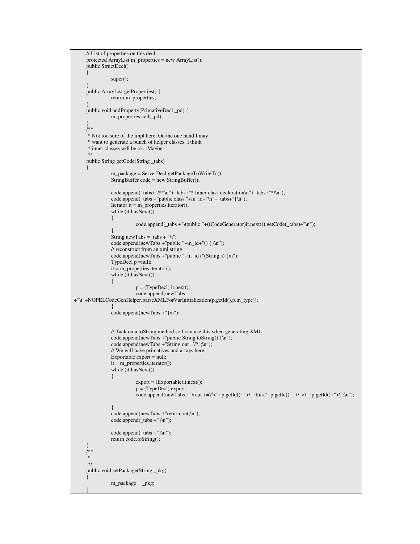```
// List of properties on this decl.
     protected ArrayList m_properties = new ArrayList();
     public StructDecl()
     {
                super();
     }
     public ArrayList getProperties() {
                return m_properties;
      }
     public void addProperty(PrimativeDecl _pd) {
                m_properties.add(_pd);
     }
     /**
      * Not too sure of the impl here. On the one hand I may
      * want to generate a bunch of helper classes. I think
      * inner classes will be ok...Maybe.
      */
     public String getCode(String _tabs)
     {
                m_package = ServerDecl.getPackageToWriteTo();
                StringBuffer code = new StringBuffer();
                code.append(_tabs+"/**\n"+_tabs+"* Inner class declaration\n"+_tabs+"*/\n");
                code.append(_tabs +"public class "+m_id+"\n"+_tabs+"{\n");
                Iterator it = m properties.iterator();
                while (it.hasNext())
                {
                           code.append(_tabs +"\tpublic "+((CodeGenerator)it.next()).getCode(_tabs)+"\n");
                 }
                String newTabs = \pm tabs + "\setminus t";
                code.append(newTabs +"public "+m_id+"() {}\n");
                // reconstruct from an xml string
                code.append(newTabs +"public "+m_id+"(String s) \{n\");
                TypeDecl p =null;
                it = m_properties.iterator();
                while (it.hasNext())
                 {
                           p = (TypeDecl) it.next();
                           code.append(newTabs
+"\t"+NOPELCodeGenHelper.parseXMLForVarInitialization(p.getId(),p.m_type));
                 }
                code.append(newTabs +"}\n");
                // Tack on a toString method so I can use this when generating XML
                code.append(newTabs +"public String toString() {\n");
                code.append(newTabs + "String out =\n'\n''; \n'n");// We will have primatives and arrays here.
                Exportable export = null;
                it = m_properties.iterator();
                while (it.hasNext())
                 {
                           export = (Exportable)it.next();
                           p = (TypeDecl) export;
                           code.append(newTabs +"\tout +=\"<"+p.getId()+">\"+this."+p.getId()+"+\"</"+p.getId()+">\";\n");
                 }
                code.append(newTabs +"return out;\n");
                code.append(_tabs +"}\n");
                code.append(_tabs +"}\n");
                return code.toString();
      }
     /**
      \ast*/
     public void setPackage(String _pkg)
     {
                m_package = _pkg;
      }
```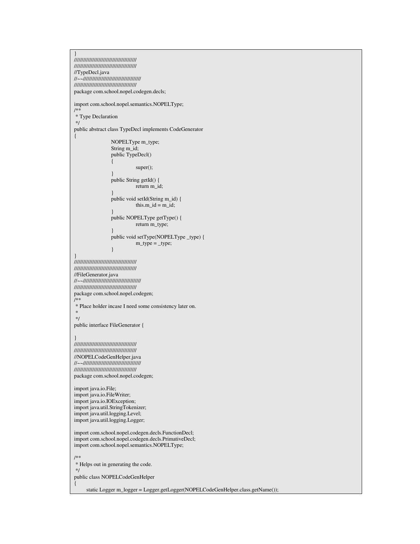```
}
/////////////////////////////////////////
/////////////////////////////////////////
//TypeDecl.java
//~~//////////////////////////////////////
/////////////////////////////////////////
package com.school.nopel.codegen.decls;
import com.school.nopel.semantics.NOPELType;
/**
 * Type Declaration
*/
public abstract class TypeDecl implements CodeGenerator
{
                  NOPELType m_type;
                  String m_id;
                  public TypeDecl()
                  {
                              super();
                  }
                  public String getId() {
                              return m_id;
                  }
                  public void setId(String m_id) {
                              this.m_id = m_id;
                  }
                  public NOPELType getType() {
                             return m_type;
                  }
                  public void setType(NOPELType _type) {
                              m_{\text{type}} = \text{type};}
}
/////////////////////////////////////////
/////////////////////////////////////////
//FileGenerator.java
//~~//////////////////////////////////////
/////////////////////////////////////////
package com.school.nopel.codegen;
/**
* Place holder incase I need some consistency later on.
 *
*/
public interface FileGenerator {
}
/////////////////////////////////////////
/////////////////////////////////////////
//NOPELCodeGenHelper.java
//~~//////////////////////////////////////
/////////////////////////////////////////
package com.school.nopel.codegen;
import java.io.File;
import java.io.FileWriter;
import java.io.IOException;
import java.util.StringTokenizer;
import java.util.logging.Level;
import java.util.logging.Logger;
import com.school.nopel.codegen.decls.FunctionDecl;
import com.school.nopel.codegen.decls.PrimativeDecl;
import com.school.nopel.semantics.NOPELType;
/**
* Helps out in generating the code.
*/
public class NOPELCodeGenHelper
{
      static Logger m_logger = Logger.getLogger(NOPELCodeGenHelper.class.getName());
```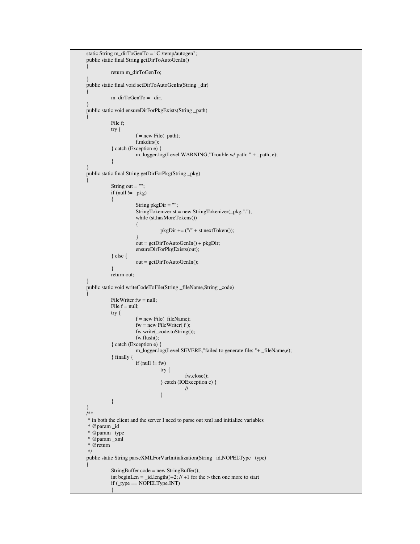```
static String m_dirToGenTo = "C:/temp/autogen";
public static final String getDirToAutoGenIn()
{
           return m_dirToGenTo;
}
public static final void setDirToAutoGenIn(String _dir)
{
           m_dirToGenTo = _dir;
}
public static void ensureDirForPkgExists(String _path)
{
           File f;
           try {
                      f = new File(\text{path});f.mkdirs();
           } catch (Exception e) {
                      m_logger.log(Level.WARNING,"Trouble w/ path: " + _path, e);
           }
}
public static final String getDirForPkg(String _pkg)
{
           String out = "";
           if (null != -pkg)
           {
                      String pkgDir = "";
                      StringTokenizer st = new StringTokenizer(_pkg,".");
                      while (st.hasMoreTokens())
                       {
                                 pkgDir += ("/" + st.nextToken());
                      }
                      out = getDirToAutoGenIn() + pkgDir;ensureDirForPkgExists(out);
           } else {
                      out = getDirToAutoGenIn();
           }
           return out;
}
public static void writeCodeToFile(String _fileName,String _code)
{
           FileWriter fw = null;
           File f = null;
           try {
                      f = new File(\_fileName);f_{\text{W}} = new FileWriter(f);
                      fw.write(_code.toString());
                      fw.flush();
           } catch (Exception e) {
                      m_logger.log(Level.SEVERE,"failed to generate file: "+ _fileName,e);
           } finally {
                      if (null != fw)
                                 try {
                                             fw.close();
                                  } catch (IOException e) {
                                            //
                                  }
           }
}
/**
 * in both the client and the server I need to parse out xml and initialize variables
* @param _id
* @param _type
* @param _xml
* @return
*/
public static String parseXMLForVarInitialization(String _id,NOPELType _type)
{
           StringBuffer code = new StringBuffer();
           int beginLen = _id.length()+2; // +1 for the > then one more to start
           if (_type == NOPELType.INT)
           {
```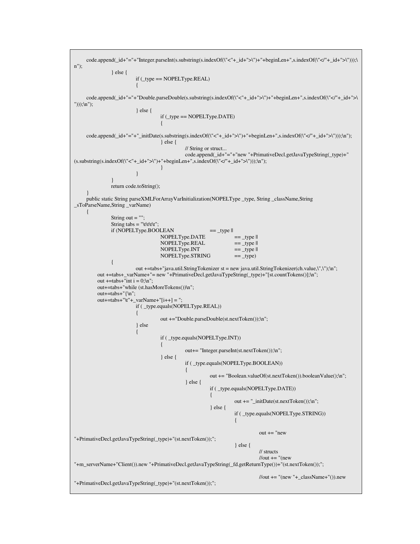```
code.append(_id+"="+"Integer.parseInt(s.substring(s.indexOf(\"<"+_id+">\")+"+beginLen+",s.indexOf(\"</"+_id+">\")));\
n");
                } else {
                           if (_type == NOPELType.REAL)
                           {
     code.append(_id+"="+"Double.parseDouble(s.substring(s.indexOf(\"<"+_id+">\")+"+beginLen+",s.indexOf(\"</"+_id+">\
")));\n");
                           } else {
                                     if (_type == NOPELType.DATE)
                                      {
     code.append(_id+"="+"_initDate(s.substring(s.indexOf(\"<"+_id+">\")+"+beginLen+",s.indexOf(\"</"+_id+">\")));\n");
                                      } else {
                                                // String or struct...
                                                code.append(_id+"="+"new "+PrimativeDecl.getJavaTypeString(_type)+"
(s.substring(s.indexOf(\n' < "+_id + ">\n'') + "+beginLen +", s.indexOf(\n' < "+_id + ">\n''));\n");
                                     }
                           }
                }
                return code.toString();
      }
     public static String parseXMLForArrayVarInitialization(NOPELType _type, String _className,String
_sToParseName,String _varName)
      {
                String out = "";
                String tabs = "\t\t\t\t";
                if (NOPELType.BOOLEAN == _type \parallelNOPELType.DATE == _type ||
                                     NOPELType. REAL == _type ||
                                     NOPELType.INT == _type ||<br>NOPELType.STRING == _type)
                                     NOPELType.STRING
                {
                          out +=tabs+"java.util.StringTokenizer st = new java.util.StringTokenizer(ch.value,\",\");\n";
          out +=tabs+_varName+"= new "+PrimativeDecl.getJavaTypeString(_type)+"[st.countTokens()];\n";
          out +=tabs+"int i = 0;\n";
          out+=tabs+"while (st.hasMoreTokens())\n";
          out+=tabs+"{\n";
          out+ =tabs+"\t"+_varName+"[i++] = ";
                           if ( _type.equals(NOPELType.REAL))
                           {
                                     out +="Double.parseDouble(st.nextToken());\n";
                           } else
                           {
                                     if ( _type.equals(NOPELType.INT))
                                      {
                                                out+= "Integer.parseInt(st.nextToken());\n";
                                      } else {
                                                if ( _type.equals(NOPELType.BOOLEAN))
                                                {
                                                           out += "Boolean.valueOf(st.nextToken()).booleanValue();\n";
                                                } else {
                                                           if ( _type.equals(NOPELType.DATE))
                                                           {
                                                                     out += "_initDate(st.nextToken());\n";
                                                           } else {
                                                                     if ( _type.equals(NOPELType.STRING))
                                                                      {
                                                                                out += "new"+PrimativeDecl.getJavaTypeString(_type)+"(st.nextToken());";
                                                                      } else {
                                                                                // structs
                                                                                \frac{1}{\sqrt{2}} //out += "(new
"+m_serverName+"Client()).new "+PrimativeDecl.getJavaTypeString(_fd.getReturnType())+"(st.nextToken());";
                                                                                //out += "(new "+_className+"()).new
"+PrimativeDecl.getJavaTypeString(_type)+"(st.nextToken());";
```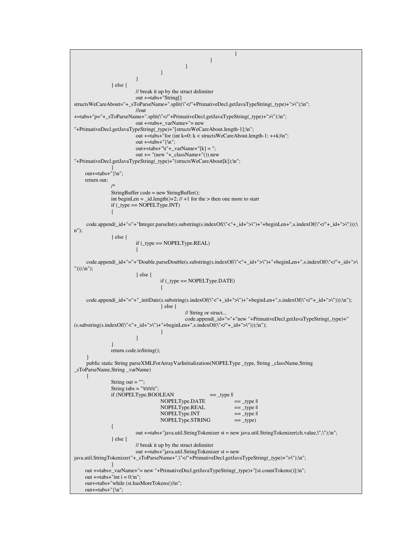```
}
                                                            }
                                                 }
                                      }
                            }
                } else {
                           // break it up by the struct delimiter
                           out +=tabs+"String[]
structsWeCareAbout="+_sToParseName+".split(\"</"+PrimativeDecl.getJavaTypeString(_type)+">\");\n";
                           //out
+=tabs+"p="+_sToParseName+".split(\"</"+PrimativeDecl.getJavaTypeString(_type)+">\");\n";
                           out +=tabs+_varName+"= new
"+PrimativeDecl.getJavaTypeString(_type)+"[structsWeCareAbout.length-1];\n";
                           out +=tabs+"for (int k=0; k < structsWeCareAbout.length-1; ++k)\n";
                           out +=tabs+"{\n";
                           out+=tabs+"\t"+_varName+"[k] = ";
                           out += "(new "+_className+"()).new
"+PrimativeDecl.getJavaTypeString(_type)+"(structsWeCareAbout[k]);\n";
                 }
     out+=tabs+"}\n";
     return out;
                 /*
                StringBuffer code = new StringBuffer();
                int beginLen = _id.length() + 2; // +1 for the > then one more to start
                if ({}_type = = NOPELType. INT){
     code.append(_id+"="+"Integer.parseInt(s.substring(s.indexOf(\"<"+_id+">\")+"+beginLen+",s.indexOf(\"</"+_id+">\")));\
n");
                } else {
                           if (type == NOPELType.REAL){
     code.append(_id+"="+"Double.parseDouble(s.substring(s.indexOf(\"<"+_id+">\")+"+beginLen+",s.indexOf(\"</"+_id+">\
")));\n");
                           } else {
                                      if (_type == NOPELType.DATE)
                                       {
     code.append(_id+"="+"_initDate(s.substring(s.indexOf(\"<"+_id+">\")+"+beginLen+",s.indexOf(\"</"+_id+">\")));\n");
                                      } else {
                                                 // String or struct...
                                                 code.append(_id+"="+"new "+PrimativeDecl.getJavaTypeString(_type)+"
(s.substring(s.indexOf(\n' <'' +_id +'' > \n'') +'' + beginLen +'', s.indexOf(\n' <'' +_id +'' > \n''))); \n' n'}
                            }
                 }
                return code.toString();
     }
     public static String parseXMLForArrayVarInitialization(NOPELType _type, String _className,String
_sToParseName,String _varName)
     {
                String out = "";
                String tabs = "\text{t}\text{t}\text{t}";
                if (NOPELType.BOOLEAN = _type ||<br>NOPELType.DATE = _type ||
                                      NOPELType.DATE
                                      NOPELType.REAL == _type ||<br>NOPELType.INT == _type ||
                                      NOPELType.INT
                                      NOPELType.STRING = <code>_type</code>){
                           out +=tabs+"java.util.StringTokenizer st = new java.util.StringTokenizer(ch.value,\",\");\n";
                } else {
                           // break it up by the struct delimiter
                           out +=tabs+"java.util.StringTokenizer st = new
java.util.StringTokenizer("+_sToParseName+",\"</"+PrimativeDecl.getJavaTypeString(_type)+">\");\n";
                 }
     out +=tabs+_varName+"= new "+PrimativeDecl.getJavaTypeString(_type)+"[st.countTokens()];\n";
     out +=tabs+"int i = 0;\ln";
     out+=tabs+"while (st.hasMoreTokens())\n";
     out+=tabs+"{\n";
```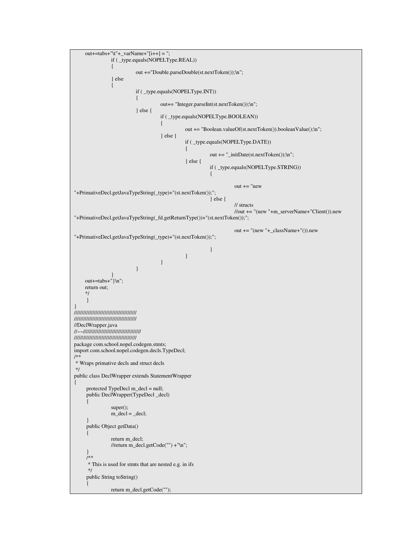```
out+=tabs+"\t"+_varName+"[i++] = ";
                if ( _type.equals(NOPELType.REAL))
                {
                            out +="Double.parseDouble(st.nextToken());\n";
                 } else
                 {
                            if ( _type.equals(NOPELType.INT))
                            {
                                       out+= "Integer.parseInt(st.nextToken());\n";
                            } else {
                                       if ( _type.equals(NOPELType.BOOLEAN))
                                       {
                                                  out += "Boolean.valueOf(st.nextToken()).booleanValue();\n";
                                       } else {
                                                  if ( _type.equals(NOPELType.DATE))
                                                   {
                                                              out += "_initDate(st.nextToken());\n";
                                                   } else {
                                                              if ( _type.equals(NOPELType.STRING))
                                                              {
                                                                         out += "new
"+PrimativeDecl.getJavaTypeString(_type)+"(st.nextToken());";
                                                              } else {
                                                                         // structs
                                                                         //out += "(new "+m_serverName+"Client()).new
"+PrimativeDecl.getJavaTypeString(_fd.getReturnType())+"(st.nextToken());";
                                                                         out += "(new "+_className+"()).new
"+PrimativeDecl.getJavaTypeString(_type)+"(st.nextToken());";
                                                              }
                                                  }
                                       }
                            }
                 }
    out+=tabs+"}\n";
    return out;
     */
     }
}
/////////////////////////////////////////
/////////////////////////////////////////
//DeclWrapper.java
//~~//////////////////////////////////////
/////////////////////////////////////////
package com.school.nopel.codegen.stmts;
import com.school.nopel.codegen.decls.TypeDecl;
/**
* Wraps primative decls and struct decls
*/
public class DeclWrapper extends StatementWrapper
{
     protected TypeDecl m_decl = null;
     public DeclWrapper(TypeDecl _decl)
     {
                super();
                m<sub>\text{del}</sub>=\text{del};
     }
     public Object getData()
      {
                return m_decl;
                //return m_decl.getCode("") +"\n";
      }
     /**
      * This is used for stmts that are nested e.g. in ifs
      */
     public String toString()
     {
                return m_decl.getCode("");
```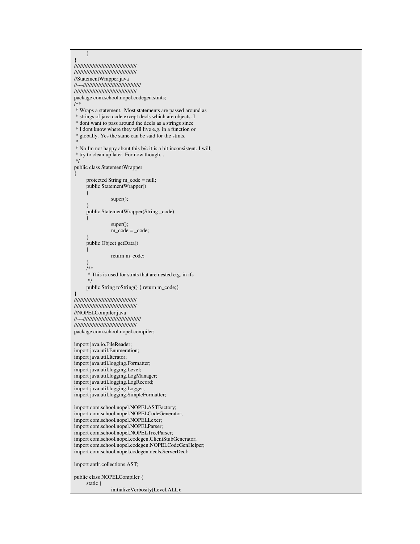} } ///////////////////////////////////////// ///////////////////////////////////////// //StatementWrapper.java //~~////////////////////////////////////// ///////////////////////////////////////// package com.school.nopel.codegen.stmts; /\*\* \* Wraps a statement. Most statements are passed around as \* strings of java code except decls which are objects. I \* dont want to pass around the decls as a strings since \* I dont know where they will live e.g. in a function or \* globally. Yes the same can be said for the stmts. \* \* No Im not happy about this b/c it is a bit inconsistent. I will; \* try to clean up later. For now though... \*/ public class StatementWrapper { protected String m\_code = null; public StatementWrapper() { super(); } public StatementWrapper(String \_code) { super();  $m\_code = _code;$ } public Object getData() { return m\_code; } /\*\* \* This is used for stmts that are nested e.g. in ifs \*/ public String toString() { return m\_code; } } ///////////////////////////////////////// ///////////////////////////////////////// //NOPELCompiler.java //~~////////////////////////////////////// ///////////////////////////////////////// package com.school.nopel.compiler; import java.io.FileReader; import java.util.Enumeration; import java.util.Iterator; import java.util.logging.Formatter; import java.util.logging.Level; import java.util.logging.LogManager; import java.util.logging.LogRecord; import java.util.logging.Logger; import java.util.logging.SimpleFormatter; import com.school.nopel.NOPELASTFactory; import com.school.nopel.NOPELCodeGenerator; import com.school.nopel.NOPELLexer; import com.school.nopel.NOPELParser; import com.school.nopel.NOPELTreeParser; import com.school.nopel.codegen.ClientStubGenerator; import com.school.nopel.codegen.NOPELCodeGenHelper; import com.school.nopel.codegen.decls.ServerDecl; import antlr.collections.AST; public class NOPELCompiler { static { initializeVerbosity(Level.ALL);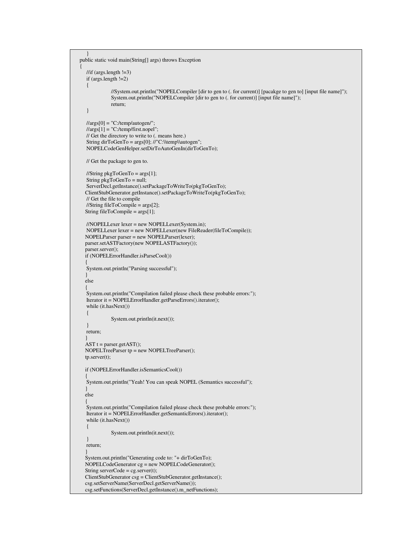```
}
public static void main(String[] args) throws Exception
{
  //if (args.length !=3)
  if (args.length !=2)
   {
             //System.out.println("NOPELCompiler [dir to gen to (. for current)] [pacakge to gen to] [input file name]");
             System.out.println("NOPELCompiler [dir to gen to (. for current)] [input file name]");
             return;
   }
  \ell//args[0] = "C:/temp/autogen/";
  //args[1] = "C:/temp/first.nopel";
  // Get the directory to write to (. means here.)
  String dirToGenTo = args[0]; //"C:\\temp\\autogen";
  NOPELCodeGenHelper.setDirToAutoGenIn(dirToGenTo);
  // Get the package to gen to.
  //String pkgToGenTo = args[1];
  String pkgToGenTo = null;
  ServerDecl.getInstance().setPackageToWriteTo(pkgToGenTo);
  ClientStubGenerator.getInstance().setPackageToWriteTo(pkgToGenTo);
  // Get the file to compile
  \frac{1}{S} fileToCompile = args[2];
  String fileToCompile = args[1];
  //NOPELLexer lexer = new NOPELLexer(System.in);
  NOPELLexer lexer = new NOPELLexer(new FileReader(fileToCompile));
  NOPELParser parser = new NOPELParser(lexer);
  parser.setASTFactory(new NOPELASTFactory());
  parser.server();
  if (NOPELErrorHandler.isParseCool())
  {
  System.out.println("Parsing successful");
  }
  else
  {
  System.out.println("Compilation failed please check these probable errors:");
  Iterator it = NOPELErrorHandler.getParseErrors().iterator();
   while (it.hasNext())
   {
             System.out.println(it.next());
   }
  return;
  }
  AST t = parser.getAST();NOPELTreeParser tp = new NOPELTreeParser();
  tp.server(t);
  if (NOPELErrorHandler.isSemanticsCool())
  {
  System.out.println("Yeah! You can speak NOPEL (Semantics successful");
  }
  else
  {
  System.out.println("Compilation failed please check these probable errors:");
  Iterator it = NOPELErrorHandler.getSemanticErrors().iterator();
  while (it.hasNext())
   {
             System.out.println(it.next());
   }
  return;
  }
  System.out.println("Generating code to: "+ dirToGenTo);
  NOPELCodeGenerator cg = new NOPELCodeGenerator();
  String serverCode = cg.server(t);
  ClientStubGenerator csg = ClientStubGenerator.getInstance();
  csg.setServerName(ServerDecl.getServerName());
  csg.setFunctions(ServerDecl.getInstance().m_netFunctions);
```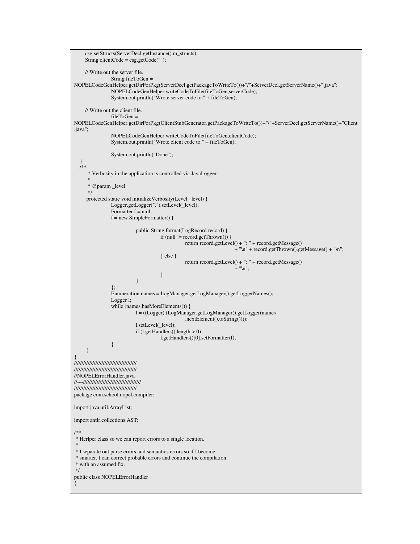```
csg.setStructs(ServerDecl.getInstance().m_structs);
    String clientCode = \text{csg.getCode("");}// Write out the server file.
                String fileToGen =
NOPELCodeGenHelper.getDirForPkg(ServerDecl.getPackageToWriteTo())+"/"+ServerDecl.getServerName()+".java";
                NOPELCodeGenHelper.writeCodeToFile(fileToGen,serverCode);
                System.out.println("Wrote server code to:" + fileToGen);
    // Write out the client file.
                fileToGen =
NOPELCodeGenHelper.getDirForPkg(ClientStubGenerator.getPackageToWriteTo())+"/"+ServerDecl.getServerName()+"Client
.java";
                NOPELCodeGenHelper.writeCodeToFile(fileToGen,clientCode);
                System.out.println("Wrote client code to:" + fileToGen);
                System.out.println("Done");
   }
  /**
      * Verbosity in the application is controlled via JavaLogger.
      *
      * @param _level
      */
     protected static void initializeVerbosity(Level _level) {
                Logger.getLogger(".").setLevel(_level);
                Formatter f = null;
                f = new SimpleFormatter() {
                            public String format(LogRecord record) {
                                       if (null != record.getThrown()) {
                                                  return record.getLevel() + ": " + record.getMessage()
                                                                        + "\n" + record.getThrown().getMessage() + "\n";
                                       } else {
                                                  return record.getLevel() + ": " + record.getMessage()
                                                                        + "\n";
                                       }
                            }
                 };
                Enumeration names = LogManager.getLogManager().getLoggerNames();
                Logger l;
                while (names.hasMoreElements()) {
                           l = ((Logger) (LogManager.getLogManager().getLogger(names
                                                  .nextElement().toString())));
                            l.setLevel(_level);
                            if (l.getHandlers().length > 0)l.getHandlers()[0].setFormatter(f);
                 }
     }
}
/////////////////////////////////////////
/////////////////////////////////////////
//NOPELErrorHandler.java
//~~//////////////////////////////////////
/////////////////////////////////////////
package com.school.nopel.compiler;
import java.util.ArrayList;
import antlr.collections.AST;
/**
* Herlper class so we can report errors to a single location.
 *
* I separate out parse errors and semantics errors so if I become
* smarter, I can correct probable errors and continue the compilation
* with an assumed fix.
*/
public class NOPELErrorHandler
{
```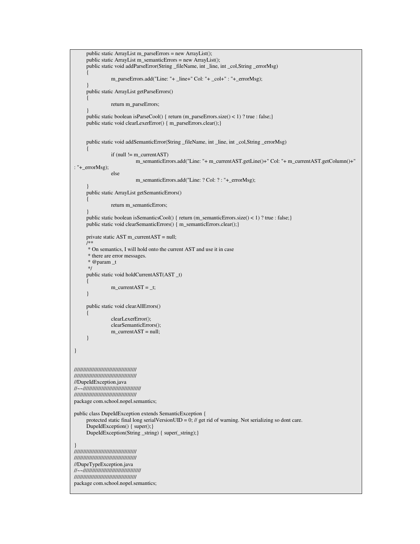```
public static ArrayList m_parseErrors = new ArrayList();
     public static ArrayList m_semanticErrors = new ArrayList();
      public static void addParseError(String _fileName, int _line, int _col,String _errorMsg)
      {
                 m_parseErrors.add("Line: "+ _line+" Col: "+ _col+" : "+_errorMsg);
      }
     public static ArrayList getParseErrors()
      {
                 return m_parseErrors;
      }
     public static boolean isParseCool() { return (m_parseErrors.size() < 1) ? true : false;}
     public static void clearLexerError() { m_parseErrors.clear(); }
     public static void addSemanticError(String _fileName, int _line, int _col,String _errorMsg)
      {
                 if (null != m_currentAST)
                             m_semanticErrors.add("Line: "+ m_currentAST.getLine()+" Col: "+ m_currentAST.getColumn()+"
: "+_errorMsg);
                 else
                             m_semanticErrors.add("Line: ? Col: ? : "+_errorMsg);
      }
     public static ArrayList getSemanticErrors()
      {
                 return m_semanticErrors;
      }
     public static boolean isSemanticsCool() { return (m_semanticErrors.size() < 1) ? true : false;}
     public static void clearSemanticErrors() { m_semanticErrors.clear(); }
     private static AST m_currentAST = null;
      /**
      * On semantics, I will hold onto the current AST and use it in case
       * there are error messages.
      * @param _t
      */
      public static void holdCurrentAST(AST _t)
      {
                 m_{\text{currentAST}} = _t;}
     public static void clearAllErrors()
      {
                 clearLexerError();
                 clearSemanticErrors();
                 m_ccurrentAST = null;}
}
/////////////////////////////////////////
/////////////////////////////////////////
//DupeIdException.java
//~~//////////////////////////////////////
/////////////////////////////////////////
package com.school.nopel.semantics;
public class DupeIdException extends SemanticException {
      protected static final long serialVersionUID = 0; // get rid of warning. Not serializing so dont care.
      DupeIdException() { super();}
      DupeIdException(String _string) { super(_string);}
}
/////////////////////////////////////////
/////////////////////////////////////////
//DupeTypeException.java
//~~//////////////////////////////////////
/////////////////////////////////////////
package com.school.nopel.semantics;
```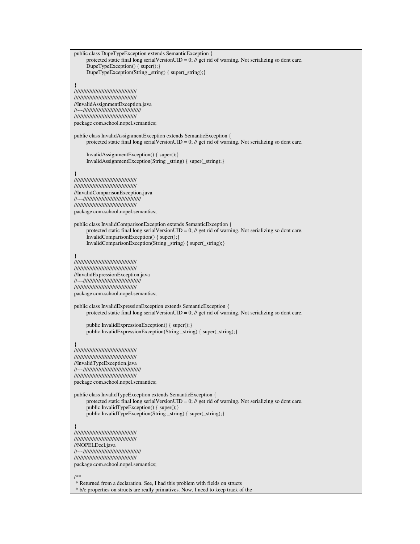public class DupeTypeException extends SemanticException { protected static final long serialVersionUID = 0;  $\hat{U}$  get rid of warning. Not serializing so dont care. DupeTypeException() { super();} DupeTypeException(String \_string) { super(\_string);} } ///////////////////////////////////////// ///////////////////////////////////////// //InvalidAssignmentException.java //~~////////////////////////////////////// ///////////////////////////////////////// package com.school.nopel.semantics; public class InvalidAssignmentException extends SemanticException { protected static final long serialVersionUID =  $0$ ; // get rid of warning. Not serializing so dont care. InvalidAssignmentException() { super();} InvalidAssignmentException(String \_string) { super(\_string);} } ///////////////////////////////////////// ///////////////////////////////////////// //InvalidComparisonException.java //~~////////////////////////////////////// ///////////////////////////////////////// package com.school.nopel.semantics; public class InvalidComparisonException extends SemanticException { protected static final long serialVersionUID =  $0$ ; // get rid of warning. Not serializing so dont care. InvalidComparisonException() { super();} InvalidComparisonException(String \_string) { super(\_string);} } ///////////////////////////////////////// ///////////////////////////////////////// //InvalidExpressionException.java //~~////////////////////////////////////// ///////////////////////////////////////// package com.school.nopel.semantics; public class InvalidExpressionException extends SemanticException { protected static final long serialVersionUID = 0; // get rid of warning. Not serializing so dont care. public InvalidExpressionException() { super();} public InvalidExpressionException(String \_string) { super(\_string);} } ///////////////////////////////////////// ///////////////////////////////////////// //InvalidTypeException.java //~~////////////////////////////////////// ///////////////////////////////////////// package com.school.nopel.semantics; public class InvalidTypeException extends SemanticException { protected static final long serialVersionUID =  $0$ ; // get rid of warning. Not serializing so dont care. public InvalidTypeException() { super(); } public InvalidTypeException(String \_string) { super(\_string);} } ///////////////////////////////////////// ///////////////////////////////////////// //NOPELDecl.java //~~////////////////////////////////////// ///////////////////////////////////////// package com.school.nopel.semantics; /\*\* \* Returned from a declaration. See, I had this problem with fields on structs \* b/c properties on structs are really primatives. Now, I need to keep track of the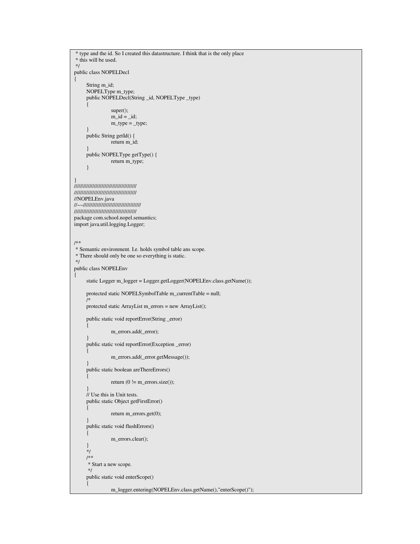```
* type and the id. So I created this datastructure. I think that is the only place
* this will be used.
*/
public class NOPELDecl
{
     String m_id;
     NOPELType m_type;
     public NOPELDecl(String _id, NOPELType _type)
      {
                 super();
                 m_id = -id;m_type = _type;}
     public String getId() {
                return m_id;
      }
     public NOPELType getType() {
                 return m_type;
      }
}
/////////////////////////////////////////
/////////////////////////////////////////
//NOPELEnv.java
//~~//////////////////////////////////////
/////////////////////////////////////////
package com.school.nopel.semantics;
import java.util.logging.Logger;
/**
* Semantic environment. I.e. holds symbol table ans scope.
* There should only be one so everything is static.
*/
public class NOPELEnv
{
      static Logger m_logger = Logger.getLogger(NOPELEnv.class.getName());
     protected static NOPELSymbolTable m_currentTable = null;
     /*
     protected static ArrayList m_errors = new ArrayList();
     public static void reportError(String _error)
      {
                 m_errors.add(_error);
      }
     public static void reportError(Exception _error)
      {
                 m_errors.add(_error.getMessage());
      }
     public static boolean areThereErrors()
      {
                 return (0 := m_error.size());
      }
     // Use this in Unit tests.
     public static Object getFirstError()
      {
                 return m_errors.get(0);
      }
     public static void flushErrors()
      {
                 m_errors.clear();
      }
      */
     /**
      * Start a new scope.
      */
     public static void enterScope()
      {
                 m_logger.entering(NOPELEnv.class.getName(),"enterScope()");
```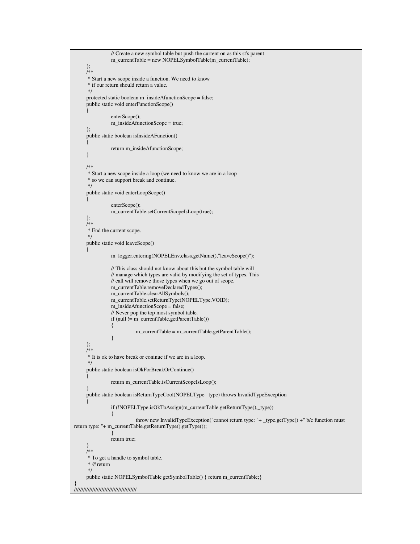```
// Create a new symbol table but push the current on as this st's parent
                m_currentTable = new NOPELSymbolTable(m_currentTable);
     };
     /**
      * Start a new scope inside a function. We need to know
      * if our return should return a value.
      */
     protected static boolean m_insideAfunctionScope = false;
     public static void enterFunctionScope()
     {
                enterScope();
                m_insideAfunctionScope = true;
     };
     public static boolean isInsideAFunction()
     {
                return m_insideAfunctionScope;
     }
     /**
      * Start a new scope inside a loop (we need to know we are in a loop
      * so we can support break and continue.
     */
     public static void enterLoopScope()
     {
                enterScope();
                m_currentTable.setCurrentScopeIsLoop(true);
     };
     /**
      * End the current scope.
     */
     public static void leaveScope()
     {
                m_logger.entering(NOPELEnv.class.getName(),"leaveScope()");
                // This class should not know about this but the symbol table will
                // manage which types are valid by modifying the set of types. This
                // call will remove those types when we go out of scope.
                m_currentTable.removeDeclaredTypes();
                m_currentTable.clearAllSymbols();
                m_currentTable.setReturnType(NOPELType.VOID);
                m_insideAfunctionScope = false;
                // Never pop the top most symbol table.
                if (null != m_currentTable.getParentTable())
                {
                           m_currentTable = m_currentTable.getParentTable();
                }
     };
     /**
     * It is ok to have break or coninue if we are in a loop.
     */
     public static boolean isOkForBreakOrContinue()
     {
                return m_currentTable.isCurrentScopeIsLoop();
     }
     public static boolean isReturnTypeCool(NOPELType _type) throws InvalidTypeException
     {
                if (!NOPELType.isOkToAssign(m_currentTable.getReturnType(),_type))
                {
                           throw new InvalidTypeException("cannot return type: "+ _type.getType() +" b/c function must
return type: "+ m_currentTable.getReturnType().getType());
                }
                return true;
     }
     /**
     * To get a handle to symbol table.
      * @return
      */
     public static NOPELSymbolTable getSymbolTable() { return m_currentTable; }
/////////////////////////////////////////
```
}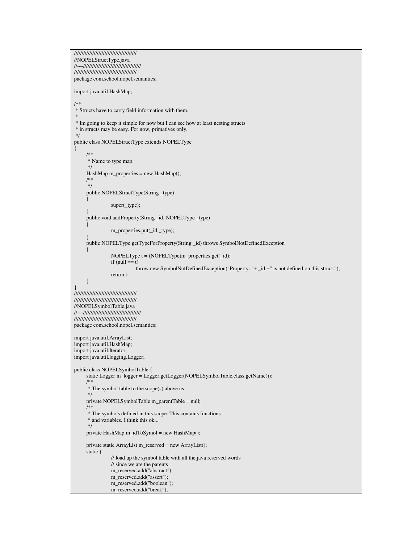```
/////////////////////////////////////////
//NOPELStructType.java
//~~//////////////////////////////////////
/////////////////////////////////////////
package com.school.nopel.semantics;
import java.util.HashMap;
/**
* Structs have to carry field information with them.
 *
* Im going to keep it simple for now but I can see how at least nesting structs
* in structs may be easy. For now, primatives only.
*/
public class NOPELStructType extends NOPELType
{
     /**
      * Name to type map.
      */
     HashMap m_properties = new HashMap();
     /**
      */
     public NOPELStructType(String _type)
     \{super(_type);
     }
     public void addProperty(String _id, NOPELType _type)
     {
                 m_properties.put(_id,_type);
     }
     public NOPELType getTypeForProperty(String _id) throws SymbolNotDefinedException
     {
                 NOPELType t = (NOPELType)m_properties.get(_id);
                 if (null == t)throw new SymbolNotDefinedException("Property: "+ _id +" is not defined on this struct.");
                 return t;
     }
}
/////////////////////////////////////////
/////////////////////////////////////////
//NOPELSymbolTable.java
//~~//////////////////////////////////////
/////////////////////////////////////////
package com.school.nopel.semantics;
import java.util.ArrayList;
import java.util.HashMap;
import java.util.Iterator;
import java.util.logging.Logger;
public class NOPELSymbolTable {
     static Logger m_logger = Logger.getLogger(NOPELSymbolTable.class.getName());
     /**
      * The symbol table to the scope(s) above us
      */
     private NOPELSymbolTable m_parentTable = null;
     /**
      * The symbols defined in this scope. This contains functions
      * and variables. I think this ok...
      */
     private HashMap m_idToSymol = new HashMap();
     private static ArrayList m_reserved = new ArrayList();
     static {
                 // load up the symbol table with all the java reserved words
                 // since we are the parents
                 m_reserved.add("abstract");
                 m_reserved.add("assert");
                 m_reserved.add("boolean");
                 m_reserved.add("break");
```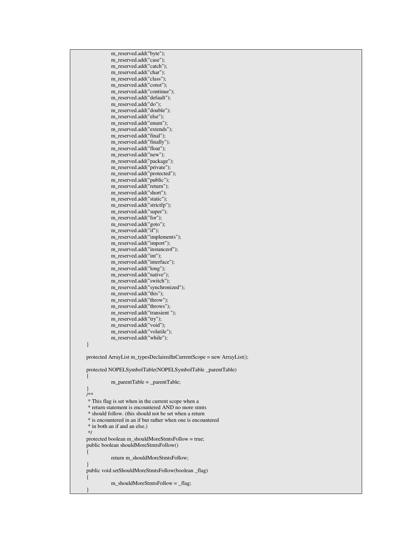```
m_reserved.add("byte");
          m_reserved.add("case");
          m_reserved.add("catch");
          m_reserved.add("char");
          m_reserved.add("class");
          m_reserved.add("const");
          m_reserved.add("continue");
          m_reserved.add("default");
          m_reserved.add("do");
          m_reserved.add("double");
          m_reserved.add("else");
          m_reserved.add("enum");
          m_reserved.add("extends");
          m_reserved.add("final");
          m_reserved.add("finally");
          m_reserved.add("float");
          m_reserved.add("new");
          m_reserved.add("package");
          m_reserved.add("private");
          m_reserved.add("protected");
          m_reserved.add("public");
          m_reserved.add("return");
          m_reserved.add("short");
          m_reserved.add("static");
          m_reserved.add("strictfp");
          m_reserved.add("super");
          m_reserved.add("for");
          m_reserved.add("goto");
          m_reserved.add("if");
          m_reserved.add("implements");
          m_reserved.add("import");
          m_reserved.add("instanceof");
          m_reserved.add("int");
          m_reserved.add("interface");
          m_reserved.add("long");
          m_reserved.add("native");
          m_reserved.add("switch");
          m_reserved.add("synchronized");
          m_reserved.add("this");
          m_reserved.add("throw");
          m_reserved.add("throws");
          m_reserved.add("transient ");
          m_reserved.add("try");
          m_reserved.add("void");
          m_reserved.add("volatile");
          m_reserved.add("while");
}
protected ArrayList m_typesDeclairedInCurrentScope = new ArrayList();
protected NOPELSymbolTable(NOPELSymbolTable _parentTable)
{
          m_parentTable = _parentTable;
}
/**
 * This flag is set when in the current scope when a
* return statement is encountered AND no more stmts
 * should follow. (this should not be set when a return
 * is encountered in an if but rather when one is encountered
* in both an if and an else.)
*/
protected boolean m_shouldMoreStmtsFollow = true;
public boolean shouldMoreStmtsFollow()
{
          return m_shouldMoreStmtsFollow;
}
public void setShouldMoreStmtsFollow(boolean _flag)
{
          m_shouldMoreStmtsFollow = _flag;
}
```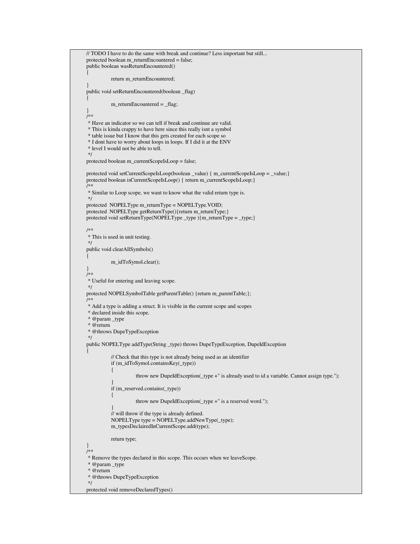```
// TODO I have to do the same with break and continue? Less important but still...
protected boolean m_returnEncountered = false;
public boolean wasReturnEncountered()
{
           return m_returnEncountered;
}
public void setReturnEncountered(boolean _flag)
{
           m_returnEncountered = _flag;
}
/**
* Have an indicator so we can tell if break and continue are valid.
* This is kinda crappy to have here since this really isnt a symbol
* table issue but I know that this gets created for each scope so
 * I dont have to worry about loops in loops. If I did it at the ENV
* level I would not be able to tell.
*/
protected boolean m_currentScopeIsLoop = false;
protected void setCurrentScopeIsLoop(boolean _value) { m_currentScopeIsLoop = _value;}
protected boolean isCurrentScopeIsLoop() { return m_currentScopeIsLoop;}
/**
* Similar to Loop scope, we want to know what the valid return type is.
*/
protected NOPELType m_returnType = NOPELType.VOID;
protected NOPELType getReturnType(){return m_returnType;}
protected void setReturnType(NOPELType _type ){m_returnType = _type;}
/**
* This is used in unit testing.
*/
public void clearAllSymbols()
{
           m_idToSymol.clear();
}
/**
* Useful for entering and leaving scope.
*/
protected NOPELSymbolTable getParentTable() {return m_parentTable;};
/**
* Add a type is adding a struct. It is visible in the current scope and scopes
* declared inside this scope.
 * @param _type
 * @return
* @throws DupeTypeException
*/
public NOPELType addType(String _type) throws DupeTypeException, DupeIdException
{
           // Check that this type is not already being used as an identifier
           if (m_idToSymol.containsKey(_type))
           {
                     throw new DupeIdException(_type +" is already used to id a variable. Cannot assign type.");
           }
           if (m_reserved.contains(_type))
           {
                     throw new DupeIdException(_type +" is a reserved word.");
           }
           // will throw if the type is already defined.
           NOPELType type = NOPELType.addNewType(_type);
           m_typesDeclairedInCurrentScope.add(type);
           return type;
}
/**
* Remove the types declared in this scope. This occurs when we leaveScope.
* @param _type
 * @return
* @throws DupeTypeException
*/
protected void removeDeclaredTypes()
```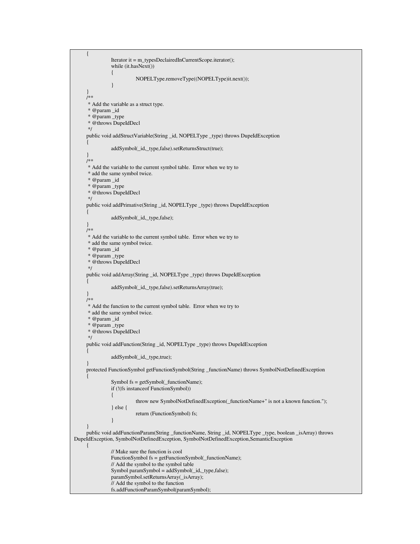```
{
               Iterator it = m_typesDeclairedInCurrentScope.iterator();
               while (it.hasNext())
                {
                          NOPELType.removeType((NOPELType)it.next());
                }
     }
     /**
      * Add the variable as a struct type.
     * @param _id
     * @param _type
      * @throws DupeIdDecl
     */
     public void addStructVariable(String _id, NOPELType _type) throws DupeIdException
     {
               addSymbol(_id,_type,false).setReturnsStruct(true);
     }
     /**
      * Add the variable to the current symbol table. Error when we try to
      * add the same symbol twice.
     * @param _id
     * @param _type
      * @throws DupeIdDecl
     */
     public void addPrimative(String _id, NOPELType _type) throws DupeIdException
     {
               addSymbol(_id,_type,false);
     }
     /**
      * Add the variable to the current symbol table. Error when we try to
      * add the same symbol twice.
      * @param _id
     * @param _type
     * @throws DupeIdDecl
      */
     public void addArray(String _id, NOPELType _type) throws DupeIdException
     {
               addSymbol(_id,_type,false).setReturnsArray(true);
     }
     /**
     * Add the function to the current symbol table. Error when we try to
     * add the same symbol twice.
      * @param _id
      * @param _type
      * @throws DupeIdDecl
      */
     public void addFunction(String _id, NOPELType _type) throws DupeIdException
     {
               addSymbol(_id,_type,true);
     }
     protected FunctionSymbol getFunctionSymbol(String _functionName) throws SymbolNotDefinedException
     {
               Symbol fs = getSymbol(_functionName);
               if (!(fs instanceof FunctionSymbol))
               {
                          throw new SymbolNotDefinedException(_functionName+" is not a known function.");
                } else {
                          return (FunctionSymbol) fs;
                }
     }
     public void addFunctionParam(String _functionName, String _id, NOPELType _type, boolean _isArray) throws
DupeIdException, SymbolNotDefinedException, SymbolNotDefinedException,SemanticException
     {
               // Make sure the function is cool
               FunctionSymbol fs = getFunctionSymbol(_functionName);
               // Add the symbol to the symbol table
               Symbol paramSymbol = addSymbol(_id,_type,false);
               paramSymbol.setReturnsArray(_isArray);
               // Add the symbol to the function
               fs.addFunctionParamSymbol(paramSymbol);
```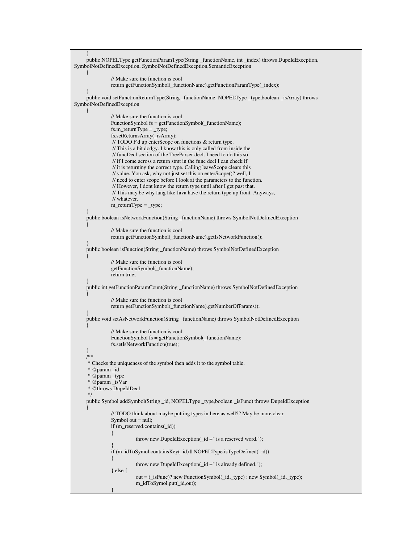} public NOPELType getFunctionParamType(String \_functionName, int \_index) throws DupeIdException, SymbolNotDefinedException, SymbolNotDefinedException,SemanticException { // Make sure the function is cool return getFunctionSymbol(\_functionName).getFunctionParamType(\_index); } public void setFunctionReturnType(String \_functionName, NOPELType \_type,boolean \_isArray) throws SymbolNotDefinedException { // Make sure the function is cool FunctionSymbol fs = getFunctionSymbol(\_functionName);  $fs.m_rreturnType = _type;$ fs.setReturnsArray(\_isArray); // TODO F'd up enterScope on functions & return type. // This is a bit dodgy. I know this is only called from inside the // funcDecl section of the TreeParser decl. I need to do this so // if I come across a return stmt in the func decl I can check if // it is returning the correct type. Calling leaveScope clears this // value. You ask, why not just set this on enterScope()? well, I // need to enter scope before I look at the parameters to the function. // However, I dont know the return type until after I get past that. // This may be why lang like Java have the return type up front. Anyways, // whatever.  $m_{\text{returnType}} = \text{type};$ } public boolean isNetworkFunction(String \_functionName) throws SymbolNotDefinedException  $\{$ // Make sure the function is cool return getFunctionSymbol(\_functionName).getIsNetworkFunction(); } public boolean isFunction(String \_functionName) throws SymbolNotDefinedException { // Make sure the function is cool getFunctionSymbol(\_functionName); return true; } public int getFunctionParamCount(String \_functionName) throws SymbolNotDefinedException { // Make sure the function is cool return getFunctionSymbol(\_functionName).getNumberOfParams(); } public void setAsNetworkFunction(String \_functionName) throws SymbolNotDefinedException { // Make sure the function is cool FunctionSymbol fs = getFunctionSymbol(\_functionName); fs.setIsNetworkFunction(true); } /\*\* \* Checks the uniqueness of the symbol then adds it to the symbol table. \* @param \_id \* @param \_type \* @param \_isVar \* @throws DupeIdDecl \*/ public Symbol addSymbol(String \_id, NOPELType \_type,boolean \_isFunc) throws DupeIdException { // TODO think about maybe putting types in here as well?? May be more clear Symbol out = null; if (m\_reserved.contains(\_id)) { throw new DupeIdException(\_id +" is a reserved word."); } if (m\_idToSymol.containsKey(\_id) || NOPELType.isTypeDefined(\_id)) { throw new DupeIdException(\_id +" is already defined."); } else { out = (\_isFunc)? new FunctionSymbol(\_id,\_type) : new Symbol(\_id,\_type); m\_idToSymol.put(\_id,out); }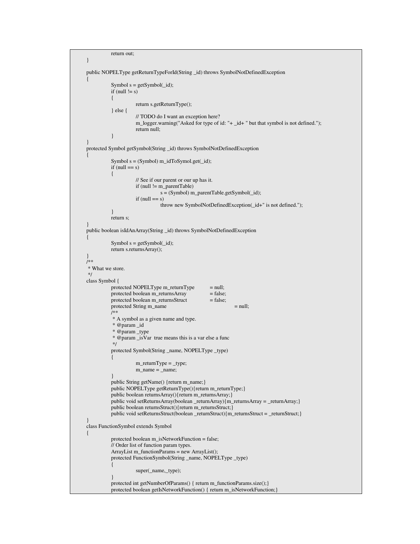```
return out;
}
public NOPELType getReturnTypeForId(String _id) throws SymbolNotDefinedException
{
           Symbol s = getSymbol(_id);
           if (null != s){
                     return s.getReturnType();
           } else {
                     // TODO do I want an exception here?
                     m_logger.warning("Asked for type of id: "+ _id+ " but that symbol is not defined.");
                     return null;
           }
}
protected Symbol getSymbol(String _id) throws SymbolNotDefinedException
{
           Symbol s = (Symbol) m_idToSymbol.get(jd));if (null == s){
                      // See if our parent or our up has it.
                     if (null != m_parentTable)
                                s = (Symbol) m_parentTable.getSymbol(_id);
                      if (null == s)throw new SymbolNotDefinedException(_id+" is not defined.");
           }
           return s;
}
public boolean isIdAnArray(String _id) throws SymbolNotDefinedException
{
           Symbol s = getSymbol (id);
           return s.returnsArray();
}
/**
* What we store.
*/
class Symbol {
           protected NOPELType m_returnType = null;<br>protected boolean m_returnsArray = false;
           protected boolean m_returnsArray
           protected boolean m_returnsStruct = false;\frac{1}{2} protected String m_name = null;
           /**
           * A symbol as a given name and type.
           * @param _id
           * @param _type
           * @param _isVar true means this is a var else a func
           */
           protected Symbol(String _name, NOPELType _type)
           {
                     m_{\text{returnType}} = \text{type};m_name = _name;
           }
           public String getName() {return m_name;}
           public NOPELType getReturnType(){return m_returnType;}
           public boolean returnsArray(){return m_returnsArray;}
           public void setReturnsArray(boolean _returnArray){m_returnsArray = _returnArray;}
           public boolean returnsStruct(){return m_returnsStruct;}
           public void setReturnsStruct(boolean _returnStruct){m_returnsStruct = _returnStruct;}
}
class FunctionSymbol extends Symbol
{
           protected boolean m_isNetworkFunction = false;
           // Order list of function param types.
           ArrayList m_functionParams = new ArrayList();
           protected FunctionSymbol(String _name, NOPELType _type)
           {
                      super(_name,_type);
           }
           protected int getNumberOfParams() { return m_functionParams.size();}
           protected boolean getIsNetworkFunction() { return m_isNetworkFunction;}
```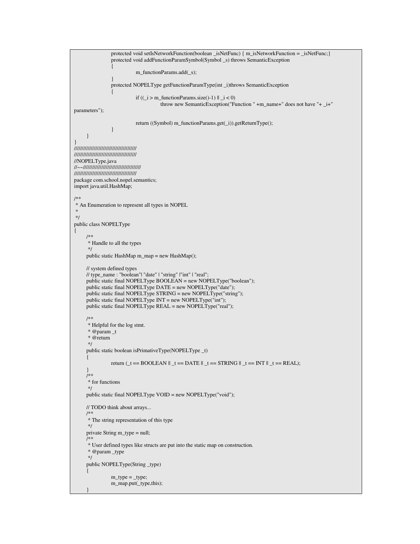```
protected void setIsNetworkFunction(boolean _isNetFunc) { m_isNetworkFunction = _isNetFunc;}
                protected void addFunctionParamSymbol(Symbol _s) throws SemanticException
                {
                           m_functionParams.add(_s);
                }
                protected NOPELType getFunctionParamType(int _i)throws SemanticException
                {
                           if ((i > m_functionParams.size()-1) || i < 0)
                                      throw new SemanticException("Function " +m_name+" does not have "+ _i+"
parameters");
                           return ((Symbol) m_functionParams.get(_i)).getReturnType();
                }
     }
}
/////////////////////////////////////////
/////////////////////////////////////////
//NOPELType.java
//~~//////////////////////////////////////
/////////////////////////////////////////
package com.school.nopel.semantics;
import java.util.HashMap;
/**
* An Enumeration to represent all types in NOPEL
 *
*/
public class NOPELType
{
     /**
      * Handle to all the types
      */
     public static HashMap m_map = new HashMap();
     // system defined types
     // type_name : "boolean"| "date" | "string" |"int" | "real";
     public static final NOPELType BOOLEAN = new NOPELType("boolean");
     public static final NOPELType DATE = new NOPELType("date");
     public static final NOPELType STRING = new NOPELType("string");
     public static final NOPELType INT = new NOPELType("int");
     public static final NOPELType REAL = new NOPELType("real");
     /**
      * Helpful for the log stmt.
      * @param _t
      * @return
      */
     public static boolean isPrimativeType(NOPELType _t)
     {
                return (_t == BOOLEAN || _t == DATE || _t == STRING || _t == INT || _t == REAL);
     }
     /**
      * for functions
      */
     public static final NOPELType VOID = new NOPELType("void");
     // TODO think about arrays...
     /**
      * The string representation of this type
      */
     private String m_type = null;
     /**
      * User defined types like structs are put into the static map on construction.
      * @param _type
      */
     public NOPELType(String _type)
     {
                m_typ = type;
                m_map.put(_type,this);
     }
```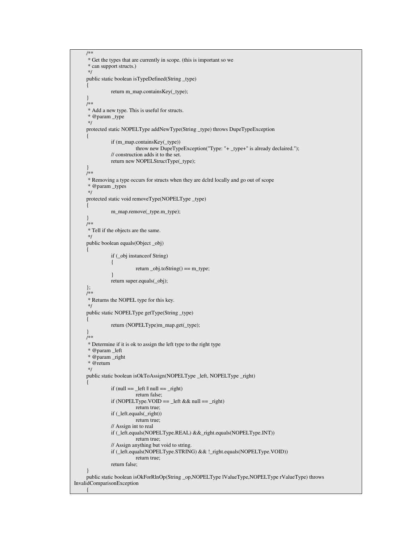```
/**
      * Get the types that are currently in scope. (this is important so we
      * can support structs.)
     */
     public static boolean isTypeDefined(String _type)
     {
                return m_map.containsKey(_type);
     }
     /**
      * Add a new type. This is useful for structs.
     * @param _type
     */
     protected static NOPELType addNewType(String _type) throws DupeTypeException
     {
                if (m_map.containsKey(_type))
                           throw new DupeTypeException("Type: "+ _type+" is already declaired.");
                // construction adds it to the set.
                return new NOPELStructType(_type);
     }
     /**
      * Removing a type occurs for structs when they are dclrd locally and go out of scope
      * @param _types
      */
     protected static void removeType(NOPELType _type)
     {
                m_map.remove(_type.m_type);
     }
     /**
      * Tell if the objects are the same.
     */
     public boolean equals(Object _obj)
     {
                if (_obj instanceof String)
                {
                           return _obj.toString() == m_type;
                }
                return super.equals(_obj);
     };
     /**
      * Returns the NOPEL type for this key.
     */
     public static NOPELType getType(String _type)
     \{return (NOPELType)m_map.get(_type);
     }
     /**
      * Determine if it is ok to assign the left type to the right type
      * @param _left
      * @param _right
      * @return
      */
     public static boolean isOkToAssign(NOPELType _left, NOPELType _right)
     {
                if (null == _left || null == _right)
                           return false;
                if (NOPELType.VOID == left & \& \& \text{ null} == _right)
                           return true;
                if (_left.equals(_right))
                           return true;
                // Assign int to real
                if (_left.equals(NOPELType.REAL) &&_right.equals(NOPELType.INT))
                           return true;
                // Assign anything but void to string.
                if (_left.equals(NOPELType.STRING) && !_right.equals(NOPELType.VOID))
                           return true;
                return false;
     }
     public static boolean isOkForRlnOp(String _op,NOPELType lValueType,NOPELType rValueType) throws
InvalidComparisonException
```
{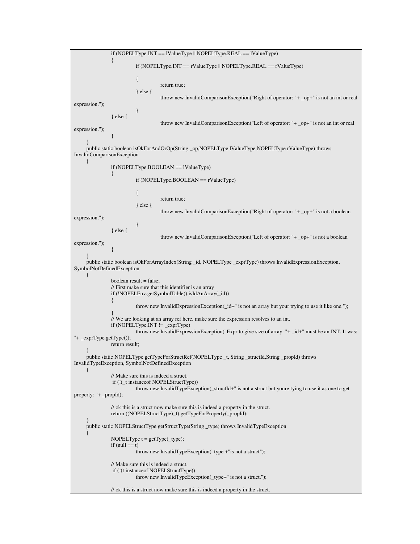```
if (NOPELType.INT == lValueType || NOPELType.REAL == lValueType)
                {
                           if (NOPELType.INT == rValueType || NOPELType.REAL == rValueType)
                           {
                                     return true;
                           } else {
                                      throw new InvalidComparisonException("Right of operator: "+ _op+" is not an int or real
expression.");
                           }
                } else {
                                      throw new InvalidComparisonException("Left of operator: "+ _op+" is not an int or real
expression.");
                }
     }
     public static boolean isOkForAndOrOp(String _op,NOPELType lValueType,NOPELType rValueType) throws
InvalidComparisonException
     {
                if (NOPELType.BOOLEAN == lValueType)
                {
                           if (NOPELType.BOOLEAN == rValueType)
                           {
                                     return true;
                           } else {
                                     throw new InvalidComparisonException("Right of operator: "+ _op+" is not a boolean
expression.");
                           }
                } else {
                                      throw new InvalidComparisonException("Left of operator: "+ _op+" is not a boolean
expression.");
                }
     }
     public static boolean isOkForArrayIndex(String _id, NOPELType _exprType) throws InvalidExpressionException,
SymbolNotDefinedException
     {
                boolean result = false;
                // First make sure that this identifier is an array
                if (!NOPELEnv.getSymbolTable().isIdAnArray(_id))
                {
                           throw new InvalidExpressionException(_id+" is not an array but your trying to use it like one.");
                }
                // We are looking at an array ref here. make sure the expression resolves to an int.
                if (NOPELType.INT != _exprType)
                           throw new InvalidExpressionException("Expr to give size of array: "+ _id+" must be an INT. It was:
"+ _exprType.getType());
                return result;
     }
     public static NOPELType getTypeForStructRef(NOPELType _t, String _structId,String _propId) throws
InvalidTypeException, SymbolNotDefinedException
     {
                // Make sure this is indeed a struct.
                if (!(_t instanceof NOPELStructType))
                           throw new InvalidTypeException(_structId+" is not a struct but youre tying to use it as one to get
property: "+ _propId);
                // ok this is a struct now make sure this is indeed a property in the struct.
                return ((NOPELStructType)_t).getTypeForProperty(_propId);
     }
     public static NOPELStructType getStructType(String _type) throws InvalidTypeException
     {
                NOPELType t = getType(\_type);if (null == t)throw new InvalidTypeException(_type +"is not a struct");
                // Make sure this is indeed a struct.
                if (!(t instanceof NOPELStructType))
                           throw new InvalidTypeException(_type+" is not a struct.");
                // ok this is a struct now make sure this is indeed a property in the struct.
```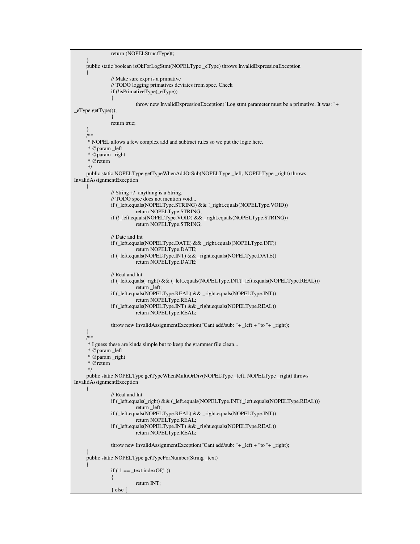```
return (NOPELStructType)t;
     }
    public static boolean isOkForLogStmt(NOPELType _eType) throws InvalidExpressionException
     {
               // Make sure expr is a primative
               // TODO logging primatives deviates from spec. Check
               if (!isPrimativeType(_eType))
               {
                         throw new InvalidExpressionException("Log stmt parameter must be a primative. It was: "+
_eType.getType());
               }
               return true;
     }
     /**
      * NOPEL allows a few complex add and subtract rules so we put the logic here.
      * @param _left
      * @param _right
     * @return
     */
    public static NOPELType getTypeWhenAddOrSub(NOPELType _left, NOPELType _right) throws
InvalidAssignmentException
     {
               // String +/- anything is a String.
               // TODO spec does not mention void...
               if (_left.equals(NOPELType.STRING) && !_right.equals(NOPELType.VOID))
                         return NOPELType.STRING;
               if (!_left.equals(NOPELType.VOID) && _right.equals(NOPELType.STRING))
                         return NOPELType.STRING;
               // Date and Int
               if (_left.equals(NOPELType.DATE) && _right.equals(NOPELType.INT))
                         return NOPELType.DATE;
               if (_left.equals(NOPELType.INT) && _right.equals(NOPELType.DATE))
                         return NOPELType.DATE;
               // Real and Int
               if (_left.equals(_right) && (_left.equals(NOPELType.INT)|_left.equals(NOPELType.REAL)))
                         return _left;
               if (_left.equals(NOPELType.REAL) && _right.equals(NOPELType.INT))
                         return NOPELType.REAL;
               if (_left.equals(NOPELType.INT) && _right.equals(NOPELType.REAL))
                         return NOPELType.REAL;
               throw new InvalidAssignmentException("Cant add/sub: "+ _left + "to "+ _right);
     }
     /**
      * I guess these are kinda simple but to keep the grammer file clean...
      * @param _left
     * @param _right
     * @return
      */
    public static NOPELType getTypeWhenMultiOrDiv(NOPELType _left, NOPELType _right) throws
InvalidAssignmentException
     {
               // Real and Int
               if (_left.equals(_right) && (_left.equals(NOPELType.INT)|_left.equals(NOPELType.REAL)))
                         return _left;
               if (_left.equals(NOPELType.REAL) && _right.equals(NOPELType.INT))
                         return NOPELType.REAL;
               if (_left.equals(NOPELType.INT) && _right.equals(NOPELType.REAL))
                         return NOPELType.REAL;
               throw new InvalidAssignmentException("Cant add/sub: "+ _left + "to "+ _right);
     }
    public static NOPELType getTypeForNumber(String _text)
     {
               if (-1 == _text.indexOf(\cdot') ){
                         return INT;
               } else {
```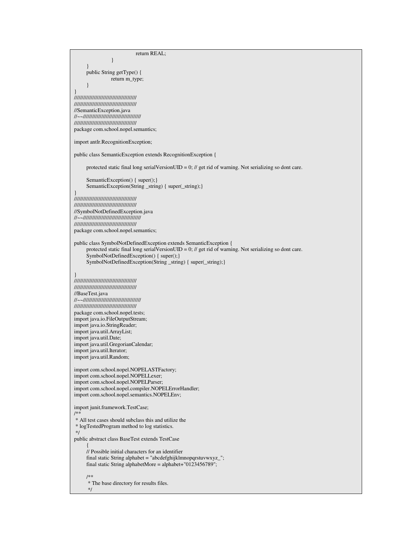return REAL; } } public String getType() { return m\_type; } } ///////////////////////////////////////// ///////////////////////////////////////// //SemanticException.java //~~////////////////////////////////////// ///////////////////////////////////////// package com.school.nopel.semantics; import antlr.RecognitionException; public class SemanticException extends RecognitionException { protected static final long serialVersionUID =  $0$ ; // get rid of warning. Not serializing so dont care. SemanticException() { super();} SemanticException(String \_string) { super(\_string);} } ///////////////////////////////////////// ///////////////////////////////////////// //SymbolNotDefinedException.java //~~////////////////////////////////////// ///////////////////////////////////////// package com.school.nopel.semantics; public class SymbolNotDefinedException extends SemanticException { protected static final long serialVersionUID = 0; // get rid of warning. Not serializing so dont care. SymbolNotDefinedException() { super();} SymbolNotDefinedException(String \_string) { super(\_string);} } ///////////////////////////////////////// ///////////////////////////////////////// //BaseTest.java //~~////////////////////////////////////// ///////////////////////////////////////// package com.school.nopel.tests; import java.io.FileOutputStream; import java.io.StringReader; import java.util.ArrayList; import java.util.Date; import java.util.GregorianCalendar; import java.util.Iterator; import java.util.Random; import com.school.nopel.NOPELASTFactory; import com.school.nopel.NOPELLexer; import com.school.nopel.NOPELParser; import com.school.nopel.compiler.NOPELErrorHandler; import com.school.nopel.semantics.NOPELEnv; import junit.framework.TestCase; /\*\* \* All test cases should subclass this and utilize the \* logTestedProgram method to log statistics. \*/ public abstract class BaseTest extends TestCase { // Possible initial characters for an identifier final static String alphabet = "abcdefghijklmnopqrstuvwxyz\_"; final static String alphabetMore = alphabet+"0123456789"; /\*\* \* The base directory for results files. \*/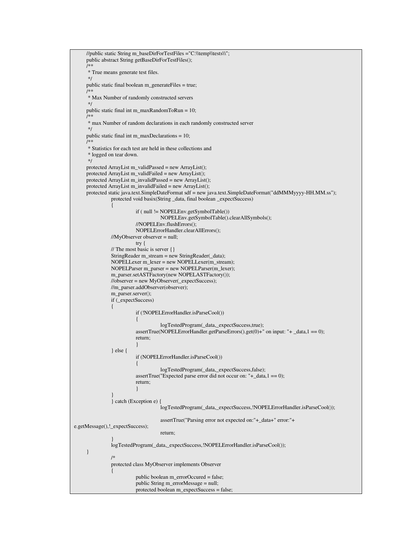```
//public static String m_baseDirForTestFiles ="C:\\temp\\tests\\";
     public abstract String getBaseDirForTestFiles();
     /**
      * True means generate test files.
      */
     public static final boolean m_generateFiles = true;
     /**
      * Max Number of randomly constructed servers
      */
     public static final int m_maxRandomToRun = 10;
     /**
      * max Number of random declarations in each randomly constructed server
      */
     public static final int m_maxDeclarations = 10;
     /**
      * Statistics for each test are held in these collections and
      * logged on tear down.
     */
     protected ArrayList m_validPassed = new ArrayList();
     protected ArrayList m_validFailed = new ArrayList();
     protected ArrayList m_invalidPassed = new ArrayList();
     protected ArrayList m_invalidFailed = new ArrayList();
     protected static java.text.SimpleDateFormat sdf = new java.text.SimpleDateFormat("ddMMMyyyy-HH.MM.ss");
                protected void basix(String _data, final boolean _expectSuccess)
                {
                          if ( null != NOPELEnv.getSymbolTable())
                                     NOPELEnv.getSymbolTable().clearAllSymbols();
                           //NOPELEnv.flushErrors();
                          NOPELErrorHandler.clearAllErrors();
                //MyObserver observer = null;
                          try {
                // The most basic is server {}
                StringReader m_stream = new StringReader(_data);
                NOPELLexer m_lexer = new NOPELLexer(m_stream);
                NOPELParser m_parser = new NOPELParser(m_lexer);
                m_parser.setASTFactory(new NOPELASTFactory());
                //observer = new MyObserver(_expectSuccess);
                //m_parser.addObserver(observer);
                m_parser.server();
                if (_expectSuccess)
                {
                          if (!NOPELErrorHandler.isParseCool())
                           {
                                     logTestedProgram(_data,_expectSuccess,true);
                           assertTrue(NOPELErrorHandler.getParseErrors().get(0)+" on input: "+ _data,1 == 0);
                          return;
                           }
                } else {
                          if (NOPELErrorHandler.isParseCool())
                           {
                                     logTestedProgram(_data,_expectSuccess,false);
                          assertTrue("Expected parse error did not occur on: "+_data,1 == 0);
                          return;
                           }
                }
                } catch (Exception e) {
                                     logTestedProgram(_data,_expectSuccess,!NOPELErrorHandler.isParseCool());
                                     assertTrue("Parsing error not expected on:"+_data+" error:"+
e.getMessage(),!_expectSuccess);
                                     return;
                }
                logTestedProgram(_data,_expectSuccess,!NOPELErrorHandler.isParseCool());
     }
                /*
                protected class MyObserver implements Observer
                {
                           public boolean m_errorOccured = false;
                          public String m_errorMessage = null;
                          protected boolean m_expectSuccess = false;
```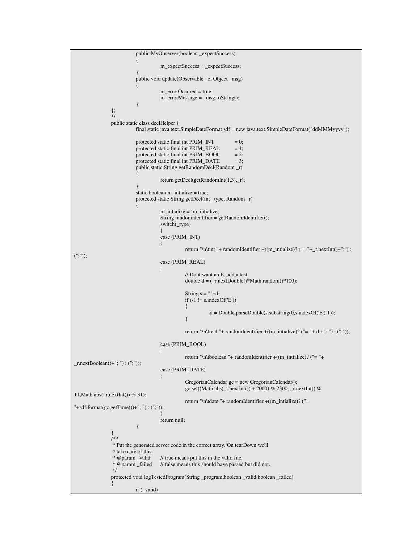```
public MyObserver(boolean _expectSuccess)
                            {
                                      m_expectSuccess = _expectSuccess;
                            }
                           public void update(Observable _o, Object _msg)
                            {
                                      m_errorOccured = true;
                                      m_errorMessage = _msg.toString();
                            }
                 };
                 */
                public static class declHelper {
                           final static java.text.SimpleDateFormat sdf = new java.text.SimpleDateFormat("ddMMMyyyy");
                           protected static final int PRIM\_INT = 0;
                           protected static final int PRIM\_REAL = 1;
                           protected static final int PRIM_BOOL = 2;
                           protected static final int PRIM\_DATE = 3;
                           public static String getRandomDecl(Random _r)
                            {
                                      return getDecl(getRandomInt(1,3),_r);
                            }
                           static boolean m intialize = true;
                           protected static String getDecl(int _type, Random _r)
                            {
                                      m_intialize = !m_intialize;
                                      String randomIdentifier = getRandomIdentifier();
                                      switch(_type)
                                       {
                                      case (PRIM_INT)
                                       :
                                                 return "\n\tint "+ randomIdentifier +((m_intialize)? ("= "+_r.nextInt()+";") :
(";"));
                                      case (PRIM_REAL)
                                      :
                                                 // Dont want an E. add a test.
                                                 double d = (\_r.nextDouble() * Math.random() * 100);String s = ""+d;
                                                 if (-1 \leq s.indexOf(E')){
                                                            d = Double.parseDouble(s.substring(0,s.indexOf('E')-1));
                                                 }
                                                 return "\n\treal "+ randomIdentifier +((m_intialize)? ("= "+ d +"; ") : (";"));
                                      case (PRIM_BOOL)
                                       :
                                                 return "\n\tboolean "+ randomIdentifier +((m_intialize)? ("= "+
_r.nextBoolean() + "; "): (";").case (PRIM_DATE)
                                       :
                                                 GregorianCalendar gc = new GregorianCalendar();
                                                 gc.set((Math.abs(_r.nextInt()) + 2000) % 2300, _r.nextInt() %
11,Math.abs(_r.nextInt()) % 31);
                                                 return "\n\tdate "+ randomIdentifier +((m_intialize)? ("=
"+sdf.format(gc.getTime())+"; ") : (";"));
                                       }
                                      return null;
                           }
                 }
                 /**
                 * Put the generated server code in the correct array. On tearDown we'll
                 * take care of this.
                 * @param _valid // true means put this in the valid file.
                                      \frac{1}{2} false means this should have passed but did not.
                 */
                protected void logTestedProgram(String _program,boolean _valid,boolean _failed)
                 {
                           if (_valid)
```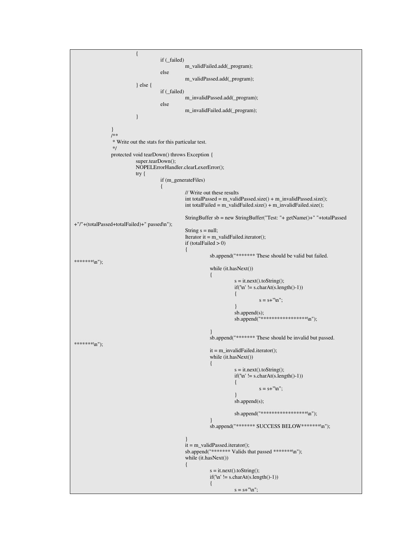```
{
                                       if (_failed)
                                                  m_validFailed.add(_program);
                                       else
                                                  m_validPassed.add(_program);
                            } else {
                                       if (_failed)
                                                  m_invalidPassed.add(_program);
                                       else
                                                  m_invalidFailed.add(_program);
                            }
                 }
                /**
                 * Write out the stats for this particular test.
                 */
                protected void tearDown() throws Exception {
                            super.tearDown();
                            NOPELErrorHandler.clearLexerError();
                            try {
                                       if (m_generateFiles)
                                       {
                                                  // Write out these results
                                                  int totalPassed = m_validPassed.size() + m_invalidPassed.size();
                                                  int totalFailed = m_validFailed.size() + m_invalidFailed.size();
                                                  StringBuffer sb = new StringBuffer("Test: "+ getName()+" "+totalPassed
+"/"+(totalPassed+totalFailed)+" passed\n");
                                                  String s = null;
                                                  Iterator it = m_validFailed.iterator();
                                                  if (totalFailed > 0)
                                                  {
                                                             sb.append("******* These should be valid but failed.
*******\n");
                                                             while (it.hasNext())
                                                              {
                                                                         s = it.next() . to String();if("n'] = s.charAt(s.length() - 1)){
                                                                                    s = s + " \ln";}
                                                                         sb.append(s);
                                                                         sb.append("*****************\n");
                                                              }
                                                              sb.append("******* These should be invalid but passed.
*******\n");
                                                             it = m_invalidFailed.iterator();
                                                             while (it.hasNext())
                                                             {
                                                                         s = it.next().toString();if('n') = s.charAt(s.length() - 1)){
                                                                                    s = s + " \ln";}
                                                                         sb.append(s);
                                                                        sb.append("*****************\n");
                                                              }
                                                              sb.append("******* SUCCESS BELOW*******\n");
                                                   }
                                                   it = m_validPassed.iterator();
                                                  sb.append("******* Valids that passed *******\n");
                                                  while (it.hasNext())
                                                  {
                                                             s = it.next().toString();if(\ln' := s.charAt(s.length()-1))
                                                             {
                                                                         s = s + "n";
```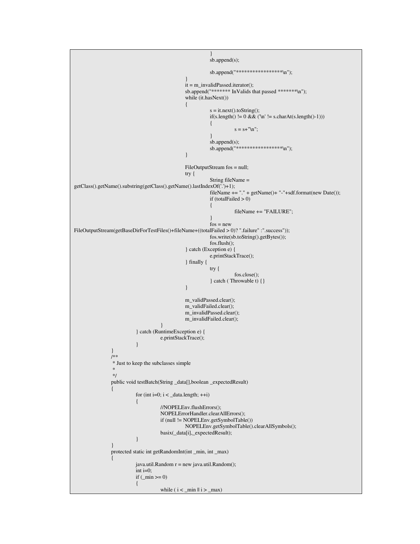```
}
                                                              sb.append(s);
                                                              sb.append("*****************\n");
                                                   }
                                                  it = m_invalidPassed.iterator();
                                                  sb.append("******* InValids that passed *******\n");
                                                  while (it.hasNext())
                                                  {
                                                              s = it.next().toString();if(s.length() != 0 && ('\n' != s.charAt(s.length()-1)))
                                                              {
                                                                         s = s + " \ln";
                                                              }
                                                              sb.append(s);
                                                              sb.append("*****************\n");
                                                  }
                                                  FileOutputStream fos = null;
                                                  try {
                                                              String fileName =
getClass().getName().substring(getClass().getName().lastIndexOf('.')+1);
                                                              fileName += "." + getName()+ "-"+sdf.format(new Date());
                                                              if (totalFailed > 0)
                                                              {
                                                                         fileName += "FAILURE";
                                                              }
                                                              fos = new
FileOutputStream(getBaseDirForTestFiles()+fileName+((totalFailed > 0)? ".failure" :".success"));
                                                              fos.write(sb.toString().getBytes());
                                                              fos.flush();
                                                  } catch (Exception e) {
                                                              e.printStackTrace();
                                                  } finally {
                                                              try {
                                                                         fos.close();
                                                              } catch ( Throwable t) {}
                                                  }
                                                  m_validPassed.clear();
                                                  m_validFailed.clear();
                                                  m_invalidPassed.clear();
                                                  m_invalidFailed.clear();
                                       }
                            } catch (RuntimeException e) {
                                       e.printStackTrace();
                            }
                 }
                 /**
                 * Just to keep the subclasses simple
                  *
                  */
                public void testBatch(String _data[],boolean _expectedResult)
                 {
                            for (int i=0; i < _data.length; ++i)
                            {
                                       //NOPELEnv.flushErrors();
                                       NOPELErrorHandler.clearAllErrors();
                                       if (null != NOPELEnv.getSymbolTable())
                                                  NOPELEnv.getSymbolTable().clearAllSymbols();
                                       basix(_data[i],_expectedResult);
                            }
                 }
                protected static int getRandomInt(int _min, int _max)
                 {
                            java.util.Random r = new java.util.Random();
                            int i=0;
                            if (\text{min} >= 0){
                                       while (i < \text{min} || i > \text{max})
```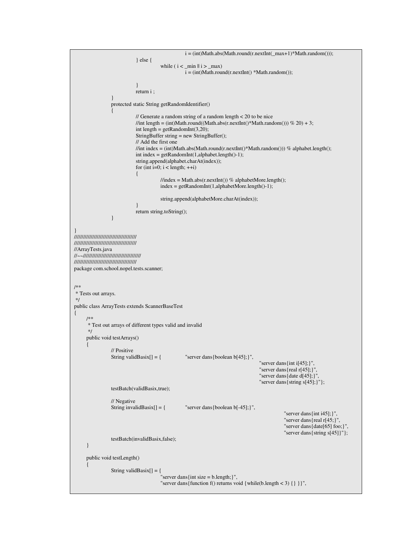```
i = (int)Math.abs(Math.round(r.nextInt(_max+1)*Math.random()));
                             } else {
                                         while (i < \text{min} || i > \text{max})
                                                    i = (int) Math. round(r.nextInt() * Math.random());}
                             return i ;
                  }
                 protected static String getRandomIdentifier()
                  {
                             // Generate a random string of a random length < 20 to be nice
                             //int length = (int)Math.round((Math.abs(r.nextInt()*Math.random())) % 20) + 3;
                             int length = getRandomInt(3,20);StringBuffer string = new StringBuffer();
                             // Add the first one
                             //int index = (int)Math.abs(Math.round(r.nextInt()*Math.random())) % alphabet.length();
                             int index = getRandomInt(1, alphabet.length() - 1);string.append(alphabet.charAt(index));
                             for (int i=0; i < length; ++i)
                             {
                                         //index = Math.abs(r.nextInt()) % alphabetMore.length();
                                         index = getRandomInt(1, alphabetMore.length() - 1);string.append(alphabetMore.charAt(index));
                             }
                             return string.toString();
                  }
}
/////////////////////////////////////////
/////////////////////////////////////////
//ArrayTests.java
//~~//////////////////////////////////////
/////////////////////////////////////////
package com.school.nopel.tests.scanner;
/**
* Tests out arrays.
*/
public class ArrayTests extends ScannerBaseTest
{
     /**
      * Test out arrays of different types valid and invalid
      */
     public void testArrays()
      {
                 // Positive
                 String validBasix[] = \{ "server dans{boolean b[45];}",
                                                                                        "server dans{int i[45];}",
                                                                                        "server dans{real r[45];}",
                                                                                        "server dans{date d[45];}",
                                                                                        "server dans{string s[45];}"};
                 testBatch(validBasix,true);
                 // Negative<br>String invalidBasix[] = \{"server dans\{boolean b[-45];\}",
                                                                                                    "server dans{int i45];}",
                                                                                                    "server dans{real r[45;}",
                                                                                                    "server dans{date[65] foo;}",
                                                                                                   "server dans{string s[45]}"};
                 testBatch(invalidBasix,false);
      }
     public void testLength()
      {
                 String validBasix[] = {
                                         "server dans{int size = b.length;}",
                                         "server dans{function f() returns void {while(b.length < 3) {} }}",
```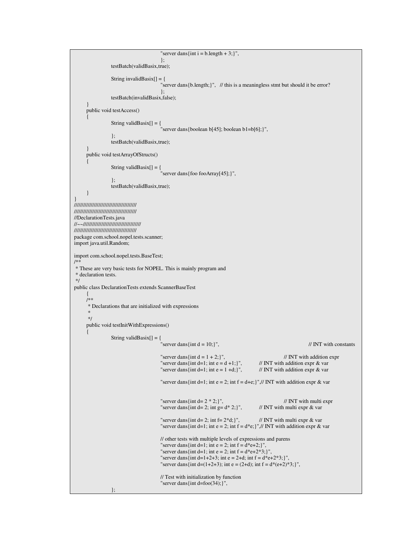```
"server dans{int i = b.length + 3;}",
                                          };
                  testBatch(validBasix,true);
                  String invalidBasix[] = {
                                          "server dans {b.length;}", // this is a meaningless stmt but should it be error?
                                          };
                  testBatch(invalidBasix,false);
      }
     public void testAccess()
      {
                  String validBasix[] = {
                                          "server dans{boolean b[45]; boolean b1=b[6];}",
                  };
                  testBatch(validBasix,true);
      }
     public void testArrayOfStructs()
      {
                  String validBasix[] = {
                                          "server dans{foo fooArray[45];}",
                  };
                  testBatch(validBasix,true);
      }
}
/////////////////////////////////////////
/////////////////////////////////////////
//DeclarationTests.java
//~~//////////////////////////////////////
/////////////////////////////////////////
package com.school.nopel.tests.scanner;
import java.util.Random;
import com.school.nopel.tests.BaseTest;
/**
* These are very basic tests for NOPEL. This is mainly program and
 * declaration tests.
*/
public class DeclarationTests extends ScannerBaseTest
      {
      /**
       * Declarations that are initialized with expressions
       *
      */
     public void testInitWithExpressions()
      {
                  String validBasix[ = {
                                           "server dans{int d = 10;}", \angle // INT with constants
                                          "server dans{int d = 1 + 2;}", <br>
"server dans{int d=1; int e = d +1;}", <br>
// INT with addition expr & var
                                          "server dans{int d=1; int e = d +1;}", <br>"server dans{int d=1; int e = 1 +d;}", // INT with addition expr & var
                                          "server dans{int d=1; int e = 1 + d;}",
                                          "server dans{int d=1; int e = 2; int f = d+e;}",// INT with addition expr & var
                                          "server dans{int d= 2 * 2;}", <br>"server dans{int d= 2; int g= d^* 2;}", // INT with multi expr & var
                                          "server dans{int d= 2; int g= d* 2;}",
                                          "server dans{int d= 2; int f= 2*d;}", // INT with multi expr & var
                                          "server dans{int d=1; int e = 2; int f = d*e;}",// INT with addition expr & var
                                          // other tests with multiple levels of expressions and parens
                                          "server dans{int d=1; int e = 2; int f = d*e+2;}"
                                          "server dans{int d=1; int e = 2; int f = d^*e+2*3;}",
                                          "server dans{int d=1+2+3; int e = 2+d; int f = d*e+2*3;}",
                                          "server dans{int d=(1+2+3); int e = (2+d); int f = d^*(e+2)*3; }",
                                          // Test with initialization by function
                                          "server dans{int d=foo(34);}",
                  };
```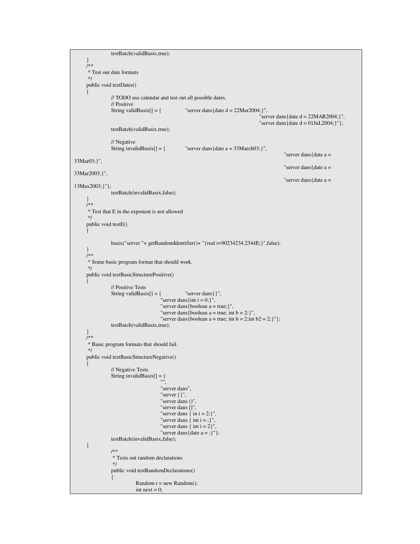```
testBatch(validBasix,true);
      }
     /**
      * Test out date formats
      */
     public void testDates()
      {
                 // TODO use calendar and test out all possible dates.
                 // Positive<br>String validBasix[] = {
                                                    "server dans\{ date d = 22Mar2004;\}",
                                                                                       "server dans\{date d = 22MAR2004;\}",
                                                                                       "server dans{date d = 01JuL2004;}"};
                 testBatch(validBasix,true);
                 // Negative<br>String invalidBasix[] = \{"server dans{date a = 33March03;}",
                                                                                                   "server dans{date a =
33Mar03;}",
                                                                                                   "server dans{date a =
33Mar2003;}",
                                                                                                   "server dans{date a =
13Max2003;}"};
                 testBatch(invalidBasix,false);
      }
      /**
      * Test that E in the exponent is not allowed
      */
     public void testE()
      {
                 basix("server "+ getRandomIdentifier()+ "{real r=90234234.2344E;}",false);
      }
     /**
      * Some basic program format that should work.
      */
     public void testBasicStructurePositive()
      {
                 // Positive Tests
                 String validBasix[] = { "server dans[]",
                                         "server dans {int i = 0; }",
                                        "server dans{boolean a = true;}",
                                        "server dans{boolean a = true; int b = 2;}",
                                        "server dans{boolean a = true; int b = 2;int b2 = 2;}"};
                 testBatch(validBasix,true);
      }
     /**
      * Basic program formats that should fail.
      */
     public void testBasicStructureNegative()
      {
                 // Negative Tests
                 String invalidBasix[] = {"",
                                        "server dans",
                                         "server {}",
                                        "server dans ()",
                                        "server dans []",
                                        "server dans \{ \text{ in } i = 2;\}",
                                         "server dans \{ int i = ; \}",
                                         "server dans \{ int i = 2\}",
                                        "server dans { date a = ; } " };
                 testBatch(invalidBasix,false);
      }
                 /**
                 * Tests out random declarations
                 */
                 public void testRandomDeclarations()
                 {
                             Random r = new Random();int next = 0;
```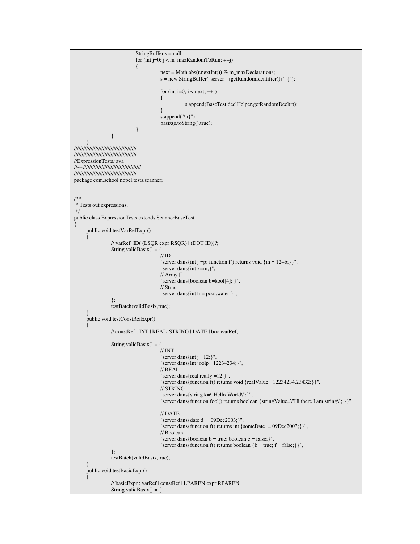```
StringBuffer s = null;
                             for (int j=0; j < m_maxRandomToRun; ++j)
                             {
                                        next = Math.abs(r.nextInt()) % m_maxDeclarations;
                                        s = new StringBuffer("server "+getRandomIdentifier()+" {");
                                        for (int i=0; i < next; ++i)
                                        {
                                                    s.append(BaseTest.declHelper.getRandomDecl(r));
                                        }
                                        s.append("\n}");
                                        basix(s.toString(),true);
                             }
                 }
      }
/////////////////////////////////////////
/////////////////////////////////////////
//ExpressionTests.java
//~~//////////////////////////////////////
/////////////////////////////////////////
package com.school.nopel.tests.scanner;
/**
* Tests out expressions.
*/
public class ExpressionTests extends ScannerBaseTest
{
     public void testVarRefExpr()
      {
                 // varRef: ID( (LSQR expr RSQR) | (DOT ID))?;
                 String validBasix[] = {
                                        // ID
                                        "server dans{int j =p; function f() returns void {m = 12+b; }",
                                         "server dans{int k=m;}",
                                        // Array []
                                         "server dans{boolean b=kool[4]; }",
                                        // Struct .
                                        "server dans{int h = pool.water;}",
                 };
                 testBatch(validBasix,true);
      }
     public void testConstRefExpr()
      {
                 // constRef : INT | REAL| STRING | DATE | booleanRef;
                 String validBasix[] = {
                                        \dot{\mathcal{U}} INT
                                         "server dans {int j =12;}",
                                        "server dans{int joolp =12234234;}",
                                        // REAL
                                        "server dans{real really =12;}",
                                        "server dans{function f() returns void {realValue =12234234.23432;}}",
                                        // STRING
                                         "server dans{string k=\"Hello World\";}",
                                        "server dans{function fool() returns boolean {stringValue=\"Hi there I am string\"; }}",
                                        // DATE
                                         "server dans\{\text{date } d = 09\text{Dec}2003;\}",
                                        "server dans{function f() returns int {someDate = 09Dec2003;}}",
                                        // Boolean
                                         "server dans{boolean b = true; boolean c = false;}",
                                        "server dans{function f() returns boolean {b = true; f = false;}}",
                 };
                 testBatch(validBasix,true);
      }
     public void testBasicExpr()
      {
                 // basicExpr : varRef | constRef | LPAREN expr RPAREN
                 String validBasix[] = {
```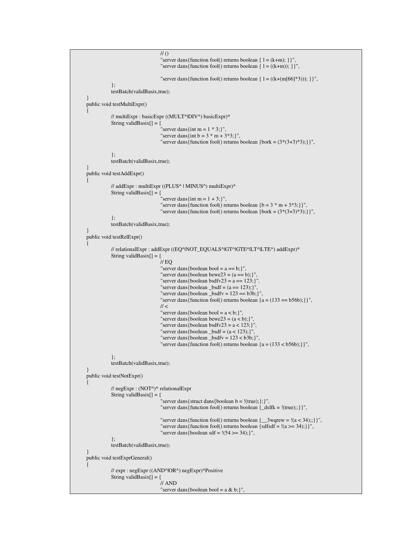```
\mathcal{U}(x)"server dans{function fool() returns boolean { l = (k+m); } }",
                                  "server dans{function fool() returns boolean { l = ((k+m)); } }",
                                  "server dans{function fool() returns boolean { l = ((k+(m[66]*)^3)); } }",
           };
           testBatch(validBasix,true);
}
public void testMultiExpr()
{
           // multiExpr : basicExpr ((MULT^|DIV^) basicExpr)*
           String validBasix[] = {
                                   "server dans { int m = 1 * 3; }",
                                  "server dans {int b = 3 * m + 3 * 3; }",
                                  "server dans{function fool() returns boolean {bork = (3*(3+3)*3);}}",
            };
           testBatch(validBasix,true);
}
public void testAddExpr()
{
           // addExpr : multiExpr ((PLUS^ | MINUS^) multiExpr)*
           String validBasix[] = \{"server dans {int m = 1 + 3; }",
                                  "server dans{function fool() returns boolean {b = 3 * m + 3*3;}}",
                                  "server dans{function fool() returns boolean {bork = (3*(3+3)*3);}}",
            };
           testBatch(validBasix,true);
}
public void testRelExpr()
{
           // relationalExpr : addExpr ((EQ^|NOT_EQUALS^|GT^|GTE^|LT^|LTE^) addExpr)*
           String validBasix[] = \{\mathcal{U} EQ
                                  "server dans{boolean bool = a == b;}",
                                  "server dans{boolean bewe23 = (a == b);}",
                                  "server dans{boolean bsdfv23 = a == 123;}",
                                  "server dans{boolean _bsdf = (a == 123);}",
                                  "server dans{boolean _bsdfv = 123 == b3b;}",
                                  "server dans{function fool() returns boolean {a = (133 == b56b)};}}",
                                  11 <"server dans{boolean bool = a < b;}",
                                  "server dans{boolean bewe23 = (a < b);}",
                                  "server dans{boolean bsdfv23 = a < 123;}",
                                  "server dans{boolean _bsdf = (a < 123);}",
                                  "server dans{boolean _bsdfv = 123 < b3b;}",
                                  "server dans{function fool() returns boolean {a = (133 < b56b)};}}",
           };
           testBatch(validBasix,true);
}
public void testNotExpr()
{
           // negExpr : (NOT^)* relationalExpr
           String validBasix[] = {
                                  "server dans{struct dans{boolean b = !(true);};}",
                                  "server dans{function fool() returns boolean {_dslfk = !(true);;}}",
                                  "server dans{function fool() returns boolean {\_\_3wqrew = !(a < 34);;}}",
                                  "server dans { function fool() returns boolean {sdfsdf = !(a >= 34); } }",
                                  "server dans{boolean sdf = !(54 \ge 34); ",
           };
           testBatch(validBasix,true);
}
public void testExprGeneral()
{
           // expr : negExpr ((AND^|OR^) negExpr)*Positive
           String validBasix[] = \{// AND
                                  "server dans{boolean bool = a & b;}",
```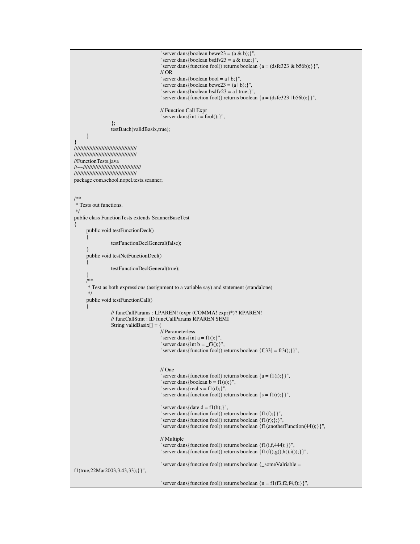```
"server dans{boolean bewe23 = (a & b);}",
                                         "server dans{boolean bsdfv23 = a \& true;}",
                                         "server dans{function fool() returns boolean {a = (dsfe323 \& b56b);}}",
                                        // OR
                                         "server dans{boolean bool = a \mid b;}",
                                         "server dans{boolean bewe23 = (a | b);}",
                                         "server dans{boolean bsdfv23 = a | true;}",
                                         "server dans{function fool() returns boolean {a = (dsf\hat{e}323 \mid b56b)}}}",
                                        // Function Call Expr
                                         "server dans {int i = fool(); }",
                  };
                 testBatch(validBasix,true);
      }
}
/////////////////////////////////////////
/////////////////////////////////////////
//FunctionTests.java
//~~//////////////////////////////////////
/////////////////////////////////////////
package com.school.nopel.tests.scanner;
/**
* Tests out functions.
*/
public class FunctionTests extends ScannerBaseTest
{
     public void testFunctionDecl()
      {
                 testFunctionDeclGeneral(false);
      }
     public void testNetFunctionDecl()
      {
                 testFunctionDeclGeneral(true);
      }
      /**
      * Test as both expressions (assignment to a variable say) and statement (standalone)
      */
     public void testFunctionCall()
      {
                 // funcCallParams : LPAREN! (expr (COMMA! expr)*)? RPAREN!
                 // funcCallStmt : ID funcCallParams RPAREN SEMI
                 String validBasix[] = {
                                        // Parameterless
                                        "server dans{int a = f1();}",
                                         "server dans {int b = _f3(); }",
                                         "server dans{function fool() returns boolean {f[33] = fr3();}}",
                                        // One
                                         "server dans { function fool() returns boolean {a = f1(i)}; } ",
                                         "server dans{boolean b = f1(s);}",
                                        "server dans {real s = f1(d); }",
                                         "server dans{function fool() returns boolean \{s = f1(r);\}\}',
                                        "server dans { date d = f1(b); }",
                                         "server dans{function fool() returns boolean {f1(f);}}",
                                         "server dans{function fool() returns boolean {f1(r)};};}"
                                         "server dans{function fool() returns boolean {f1(anotherFunction(44));}}",
                                        // Multiple
                                         "server dans{function fool() returns boolean {f1(i,f,444);}}",
                                         "server dans{function fool() returns boolean {f1(f(),g(),h(),i());}",
                                         "server dans{function fool() returns boolean {_someValriable =
f1(true,22Mar2003,3.43,33);}}",
                                        "server dans{function fool() returns boolean {n = f1(f3,f2,f4,f);}}",
```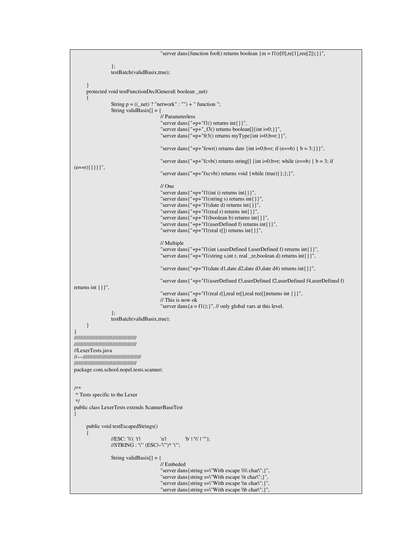```
"server dans{function fool() returns boolean {m = f1(r[0], rel[1], rec[2]); }",
                  };
                  testBatch(validBasix,true);
      }
     protected void testFunctionDeclGeneral( boolean _net)
      {
                  String p = ((\text{net}) ? \text{ "network" : \text{'''}) + \text{ " function "};String validBasix[] = {
                                         // Parameterless
                                          "server dans{"+p+"f1() returns int{}}",
                                          "server dans\{\n"+p+\n" f3() returns boolean[]\{\nint i=0;\}]",
                                          "server dans{"+p+"fr3() returns myType{int i=0;b=r;}}",
                                          "server dans{\text{``+p+``fewr()} returns date {\text{int i=0;b=r; if (e==b) { b = 3;}}}"server dans{"+p+"fcvb() returns string[] {int i=0;b=r; while (e==b) { b = 3; if
(e==r){}}}}",
                                         "server dans{"+p+"fxcvb() returns void {while (true){};};}",
                                         // One
                                          "server dans{"+p+"f1(int i) returns int{}}",
                                          "server dans{"+p+"f1(string s) returns int{}}",
                                          "server dans{"+p+"f1(date d) returns int{}}",
                                         "server dans{"+p+"f1(real r) returns int{}}",
                                          "server dans{"+p+"f1(boolean b) returns int{}}",
                                          "server dans{"+p+"f1(userDefined f) returns int{}}",
                                          "server dans{"+p+"f1(real r[]) returns int{}}",
                                         // Multiple
                                          "server dans{"+p+"f1(int i,userDefined f,userDefined f) returns int{}}",
                                          "server dans{"+p+"f1(string s,int r, real _re,boolean d) returns int{}}",
                                          "server dans{"+p+"f1(date d1,date d2,date d3,date d4) returns int{}}",
                                          "server dans{"+p+"f1(userDefined f3,userDefined f2,userDefined f4,userDefined f)
returns int {}}",
                                          "server dans{"+p+"f1(real r[],real re[],real ree[])returns int {}}",
                                         // This is now ok
                                         "server dans{a = f1();}", // only global vars at this level.
                  };
                  testBatch(validBasix,true);
      }
}
/////////////////////////////////////////
/////////////////////////////////////////
//LexerTests.java
//~~//////////////////////////////////////
/////////////////////////////////////////
package com.school.nopel.tests.scanner;
/**
* Tests specific to the Lexer
*/
public class LexerTests extends ScannerBaseTest
{
     public void testEscapedStrings()
      {
                  \sqrt{PSC}: '\\'( 't'| 'n'| 'b' | '\\' | ''");
                  //STRING : '\"'(ESC|~'\"')* '\"';
                  String validBasix[] = {
                                         // Embeded
                                          "server dans{string s=\"With escape \\\\ char\";}",
                                          "server dans{string s=\"With escape \\t char\";}",
                                         "server dans{string s=\"With escape \\n char\";}",
                                          "server dans{string s=\"With escape \\b char\";}",
```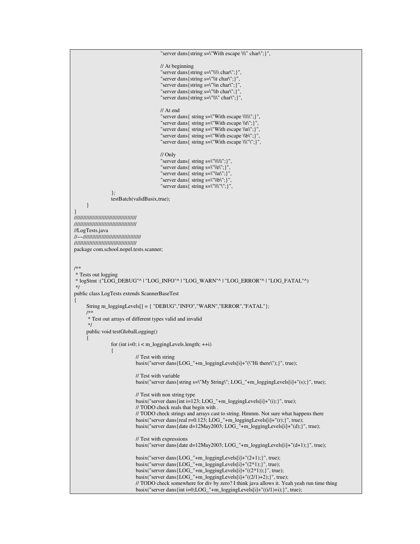```
"server dans{string s=\"With escape \\\" char\";}",
                                       // At beginning
                                        "server dans { string s= \"\\\\ char\"; }",
                                        "server dans{string s=\"\\t char\";}",
                                        "server dans{string s=\"\\n char\";}",
                                       "server dans{string s=\"\\b char\";}",
                                        "server dans { string s= \"\\\" char\"; }",
                                       // At end
                                       "server dans{ string s=\"With escape \\\\\";}",
                                        "server dans{ string s=\"With escape \\t\";}",
                                        "server dans{ string s=\"With escape \\n\";}",
                                       "server dans{ string s=\"With escape \\b\";}",
                                       "server dans{ string s=\"With escape \\\"\";}",
                                       // Only
                                       "server dans{ string s=\"\\\\\";}",
                                       "server dans{ string s=\"\\t\";}",
                                        "server dans{ string s=\"\\n\";}",
                                       "server dans{ string s=\"\\b\";}",
                                       "server dans{ string s=\"\\\"\";}",
                 };
                testBatch(validBasix,true);
     }
}
/////////////////////////////////////////
/////////////////////////////////////////
//LogTests.java
//~~//////////////////////////////////////
/////////////////////////////////////////
package com.school.nopel.tests.scanner;
/**
* Tests out logging
* logStmt :("LOG_DEBUG"^ | "LOG_INFO"^ | "LOG_WARN"^ | "LOG_ERROR"^ | "LOG_FATAL"^)
*/
public class LogTests extends ScannerBaseTest
{
     String m_loggingLevels[] = { "DEBUG","INFO","WARN","ERROR","FATAL"};
     /**
      * Test out arrays of different types valid and invalid
      */
     public void testGlobalLogging()
      {
                for (int i=0; i < m loggingLevels.length; ++i)
                {
                            // Test with string
                            basix("server dans{LOG_"+m_loggingLevels[i]+"(\"Hi there\");}", true);
                            // Test with variable
                            basix("server dans{string s=\"My String\"; LOG_"+m_loggingLevels[i]+"(s);}", true);
                            // Test with non string type
                            basix("server dans{int i=123; LOG_"+m_loggingLevels[i]+"(i);}", true);
                            // TODO check reals that begin with .
                            // TODO check strings and arrays cast to string. Hmmm. Not sure what happens there
                            basix("server dans{real r=0.123; LOG_"+m_loggingLevels[i]+"(r);}", true);
                            basix("server dans{date d=12May2003; LOG_"+m_loggingLevels[i]+"(d);}", true);
                            // Test with expressions
                            basix("server dans{date d=12May2003; LOG_"+m_loggingLevels[i]+"(d+1);}", true);
                            basix("server dans{LOG_"+m_loggingLevels[i]+"(2+1);}", true);
                            basix("server dans{LOG_"+m_loggingLevels[i]+"(2*1);}", true);
                            basix("server dans{LOG_"+m_loggingLevels[i]+"((2*1));}", true);
                            basix("server dans{LOG_"+m_loggingLevels[i]+"((2/1)+2);}", true);
                            // TODO check somewhere for div by zero? I think java allows it. Yeah yeah run time thing
                            basix("server dans{int i=0;LOG_"+m_loggingLevels[i]+"((i/1)+i);}", true);
```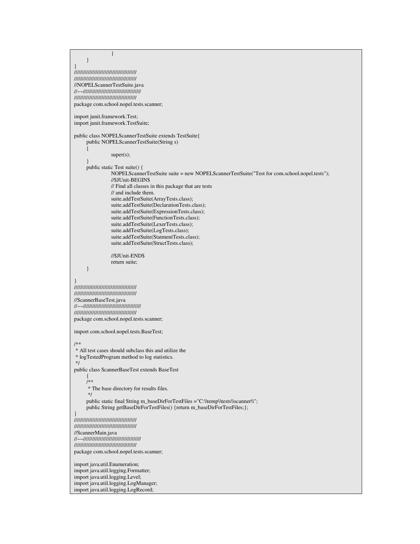```
}
      }
}
/////////////////////////////////////////
/////////////////////////////////////////
//NOPELScannerTestSuite.java
//~~//////////////////////////////////////
/////////////////////////////////////////
package com.school.nopel.tests.scanner;
import junit.framework.Test;
import junit.framework.TestSuite;
public class NOPELScannerTestSuite extends TestSuite{
     public NOPELScannerTestSuite(String s)
      {
                  super(s);
      }
     public static Test suite() {
                  NOPELScannerTestSuite suite = new NOPELScannerTestSuite("Test for com.school.nopel.tests");
                  //$JUnit-BEGIN$
                  // Find all classes in this package that are tests
                  // and include them.
                  suite.addTestSuite(ArrayTests.class);
                  suite.addTestSuite(DeclarationTests.class);
                  suite.addTestSuite(ExpressionTests.class);
                  suite.addTestSuite(FunctionTests.class);
                  suite.addTestSuite(LexerTests.class);
                  suite.addTestSuite(LogTests.class);
                  suite.addTestSuite(StatmentTests.class);
                  suite.addTestSuite(StructTests.class);
                  //$JUnit-END$
                  return suite;
      }
}
/////////////////////////////////////////
/////////////////////////////////////////
//ScannerBaseTest.java
//~~//////////////////////////////////////
/////////////////////////////////////////
package com.school.nopel.tests.scanner;
import com.school.nopel.tests.BaseTest;
/**
* All test cases should subclass this and utilize the
* logTestedProgram method to log statistics.
*/
public class ScannerBaseTest extends BaseTest
      {
     /**
      * The base directory for results files.
      */
     public static final String m_baseDirForTestFiles ="C:\\temp\\tests\\scanner\\";
     public String getBaseDirForTestFiles() {return m_baseDirForTestFiles;};
}
/////////////////////////////////////////
/////////////////////////////////////////
//ScannerMain.java
//~~//////////////////////////////////////
/////////////////////////////////////////
package com.school.nopel.tests.scanner;
import java.util.Enumeration;
import java.util.logging.Formatter;
import java.util.logging.Level;
import java.util.logging.LogManager;
import java.util.logging.LogRecord;
```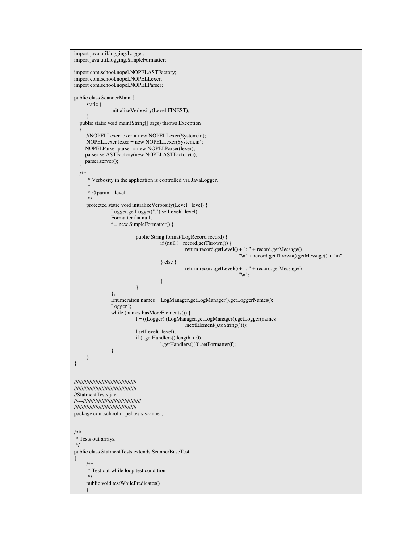```
import java.util.logging.Logger;
import java.util.logging.SimpleFormatter;
import com.school.nopel.NOPELASTFactory;
import com.school.nopel.NOPELLexer;
import com.school.nopel.NOPELParser;
public class ScannerMain {
     static {
                initializeVerbosity(Level.FINEST);
     }
  public static void main(String[] args) throws Exception
  {
     //NOPELLexer lexer = new NOPELLexer(System.in);
     NOPELLexer lexer = new NOPELLexer(System.in);
    NOPELParser parser = new NOPELParser(lexer);
    parser.setASTFactory(new NOPELASTFactory());
    parser.server();
  }
  /**
      * Verbosity in the application is controlled via JavaLogger.
      *
      * @param _level
      */
     protected static void initializeVerbosity(Level _level) {
                Logger.getLogger(".").setLevel(_level);
                Formatter f = null;
                f = new SimpleFormatter() {
                           public String format(LogRecord record) {
                                       if (null != record.getThrown()) {
                                                  return record.getLevel() + ": " + record.getMessage()
                                                                        + "\n" + record.getThrown().getMessage() + "\n";
                                       } else {
                                                 return record.getLevel() + ": " + record.getMessage()
                                                                        + "\n";
                                       }
                            }
                };
                Enumeration names = LogManager.getLogManager().getLoggerNames();
                Logger l;
                while (names.hasMoreElements()) {
                           l = ((Logger) (LogManager.getLogManager().getLogger(names
                                                 .nextElement().toString())));
                           l.setLevel(_level);
                           if (l.getHandlers().length > 0)l.getHandlers()[0].setFormatter(f);
                }
     }
}
/////////////////////////////////////////
/////////////////////////////////////////
//StatmentTests.java
//~~//////////////////////////////////////
/////////////////////////////////////////
package com.school.nopel.tests.scanner;
/**
* Tests out arrays.
*/
public class StatmentTests extends ScannerBaseTest
\{/**
      * Test out while loop test condition
      */
     public void testWhilePredicates()
     {
```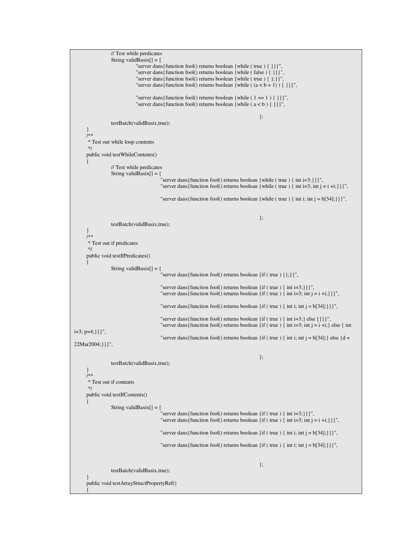```
// Test while perdicates
                 String valid\vec{Bas}ix[] = \{"server dans{function fool() returns boolean {while ( true ) { }}}",
                             "server dans{function fool() returns boolean {while ( false ) { }}}",
                             "server dans{function fool() returns boolean {while ( true ) { };}}",
                             "server dans { function fool() returns boolean { while ( (a < b + 1) ) { }}",
                             "server dans{function fool() returns boolean {while (1 == 1) { }}}",
                             "server dans{function fool() returns boolean {while ( a < b ) { }}}",
                                                                                        };
                 testBatch(validBasix,true);
      }
      /**
      * Test out while loop contents
      */
     public void testWhileContents()
      {
                 // Test while perdicates
                 String validBasix[] = {
                                          "server dans{function fool() returns boolean {while ( true ) { int i=3;}}}",
                                         "server dans{function fool() returns boolean {while ( true ) { int i=3; int j = i +i;}}',
                                         "server dans{function fool() returns boolean {while ( true ) { int i; int j = b[34];}}}",
                                                                                        };
                 testBatch(validBasix,true);
      }
      /**
      * Test out if predicates
      */
     public void testIfPredicates()
      {
                 String validBasix[] = {
                                          "server dans{function fool() returns boolean {if ( true ) {};}}",
                                         "server dans{function fool() returns boolean {if ( true ) { int i=3;}}}",
                                         "server dans { function fool() returns boolean {if ( true ) { int i=3; int j = i +i; } } }",
                                         "server dans{function fool() returns boolean {if ( true ) { int i; int j = b[34];}}}",
                                         "server dans{function fool() returns boolean {if ( true ) { int i=3;} else {}}}",
                                         "server dans { function fool() returns boolean {if ( true ) { int i=3; int j = i +i; } else { int
i=3; p=4;}}}",
                                         "server dans{function fool() returns boolean {if ( true ) { int i; int j = b[34];} else {d =
22Mar2004;}}}",
                                                                                        };
                 testBatch(validBasix,true);
      }
      /**
      * Test out if contents
      */
     public void testIfContents()
      {
                 String validBasix[] = {
                                         "server dans{function fool() returns boolean {if ( true ) { int i=3;}}}",
                                         "server dans{function fool() returns boolean {if ( true ) { int i=3; int j = i +i;}} }",
                                         "server dans{function fool() returns boolean {if ( true ) { int i; int j = b[34];}}}",
                                         "server dans{function fool() returns boolean {if ( true ) { int i; int j = b[34];}}}",
                                                                                        };
                 testBatch(validBasix,true);
      }
     public void testArrayStructPropertyRef()
      {
```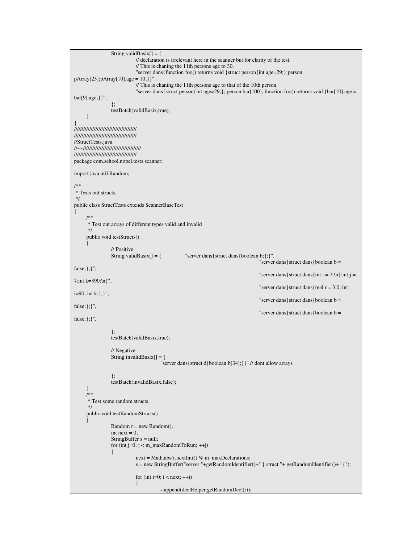```
String validBasix[] = {
                             // declaration is irrelevant here in the scanner but for clarity of the test.
                             // This is chaning the 11th persons age to 30.
                             "server dans{function foo() returns void {struct person{int age=29;};person
pArray[23];pArray[10].age = 10;}}",
                             // This is chaning the 11th persons age to that of the 10th person
                             "server dans{struct person{int age=29;}; person bar[100]; function foo() returns void {bar[10].age =
bar[9].age;}}",
                  };
                 testBatch(validBasix,true);
      }
}
/////////////////////////////////////////
/////////////////////////////////////////
//StructTests.java
//~~//////////////////////////////////////
/////////////////////////////////////////
package com.school.nopel.tests.scanner;
import java.util.Random;
/**
* Tests out structs.
*/
public class StructTests extends ScannerBaseTest
{
      /**
      * Test out arrays of different types valid and invalid
      */
     public void testStructs()
      {
                 // Positive<br>String validBasix[] = \{"server dans{struct dans{boolean b;};}",
                                                                                        "server dans{struct dans{boolean b =false;};}",
                                                                                        "server dans{struct dans{int i = 7;\n};int j =
7;int k=390;\n}",
                                                                                        "server dans{struct dans{real r = 3.0; int
i=90; int k;};}",
                                                                                        "server dans{struct dans{boolean b =false;};}",
                                                                                        "server dans{struct dans{boolean b =
false;};}",
                 };
                 testBatch(validBasix,true);
                 // Negative
                 String invalidBasix[] = {
                                         "server dans{struct d{boolean b[34];}}" // dont allow arrays
                 };
                 testBatch(invalidBasix,false);
      }
      /**
       * Test some random structs.
      */
     public void testRandomStructs()
      \left\{ \right.Random r = new Random();
                 int next = 0;
                 StringBuffer s = null;
                 for (int j=0; j < m_maxRandomToRun; ++j)
                  {
                             next = Math.abs(r.nextInt()) % m_maxDeclarations;
                             s = new StringBuffer("server "+getRandomIdentifier()+" { struct "+ getRandomIdentifier()+ "{");
                             for (int i=0; i < next; ++i)
                             {
                                         s.append(declHelper.getRandomDecl(r));
```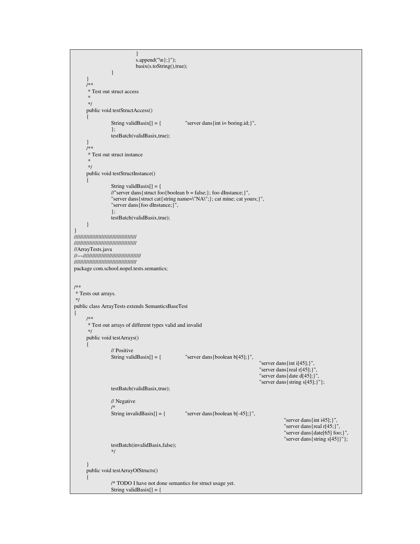```
}
                              s.append("\n};}");
                             basix(s.toString(),true);
                  }
      }
      /**
      * Test out struct access
       *
      */
     public void testStructAccess()
      {
                 String validBasix[] = { "server dans{int i= boring.id;}",
                  };
                 testBatch(validBasix,true);
      }
      /**
      * Test out struct instance
       *
      */
     public void testStructInstance()
      {
                 String validBasix[] = {
                 //"server dans{struct foo{boolean b = false;}; foo dInstance;}",
                  "server dans{struct cat{string name=\"NA\";}; cat mine; cat yours;}",
                 "server dans{foo dInstance;}",
                 };
                 testBatch(validBasix,true);
      }
}
/////////////////////////////////////////
/////////////////////////////////////////
//ArrayTests.java
//~~//////////////////////////////////////
/////////////////////////////////////////
package com.school.nopel.tests.semantics;
/**
* Tests out arrays.
*/
public class ArrayTests extends SemanticsBaseTest
{
     /**
      * Test out arrays of different types valid and invalid
      */
     public void testArrays()
      {
                 // Positive<br>String validBasix[] = \{"server dans{boolean b[45];}",
                                                                                        "server dans{int i[45];}",
                                                                                         "server dans{real r[45];}",
                                                                                         "server dans{date d[45];}",
                                                                                        "server dans{string s[45];}"};
                 testBatch(validBasix,true);
                 // Negative
                 /*
                 String invalidBasix[] = \{ "server dans{boolean b[-45];}",
                                                                                                    "server dans{int i45];}",
                                                                                                    "server dans{real r[45;}",
                                                                                                    "server dans{date[65] foo;}",
                                                                                                    "server dans{string s[45]}"};
                 testBatch(invalidBasix,false);
                 */
      }
      public void testArrayOfStructs()
      {
                 /* TODO I have not done semantics for struct usage yet.
                 String validBasix[] = {
```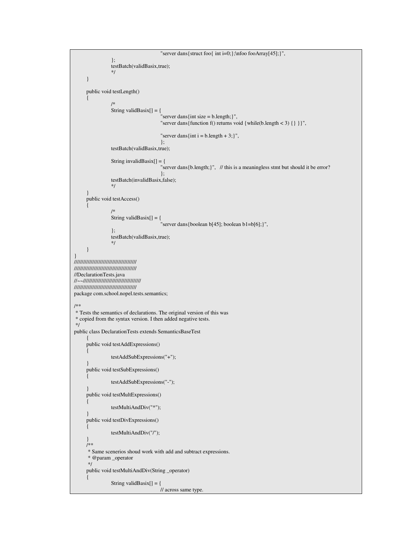```
"server dans{struct foo{ int i=0;};\nfoo fooArray[45];}",
                 };
                 testBatch(validBasix,true);
                 */
      }
     public void testLength()
      {
                  /*
                  String validBasix[] = {
                                         "server dans {int size = b.length;}",
                                         "server dans{function f() returns void {while(b.length < 3) {} }}",
                                        "server dans{int i = b.length + 3;}",
                                         };
                 testBatch(validBasix,true);
                 String invalidBasix[] = {
                                         "server dans{b.length;}", // this is a meaningless stmt but should it be error?
                                         };
                 testBatch(invalidBasix,false);
                 */
      }
     public void testAccess()
      {
                 /*
                 String validBasix[] = {
                                         "server dans{boolean b[45]; boolean b1=b[6];}",
                 };
                 testBatch(validBasix,true);
                 */
      }
}
/////////////////////////////////////////
/////////////////////////////////////////
//DeclarationTests.java
//~~//////////////////////////////////////
/////////////////////////////////////////
package com.school.nopel.tests.semantics;
/**
* Tests the semantics of declarations. The original version of this was
* copied from the syntax version. I then added negative tests.
*/
public class DeclarationTests extends SemanticsBaseTest
     {
     public void testAddExpressions()
      {
                 testAddSubExpressions("+");
      }
     public void testSubExpressions()
      {
                 testAddSubExpressions("-");
      }
     public void testMultExpressions()
      {
                 testMultiAndDiv("*");
      }
     public void testDivExpressions()
      {
                 testMultiAndDiv("/");
      }
      /**
      * Same scenerios shoud work with add and subtract expressions.
      * @param _operator
      */
     public void testMultiAndDiv(String _operator)
      {
                 String validBasix[] = {
                                        // across same type.
```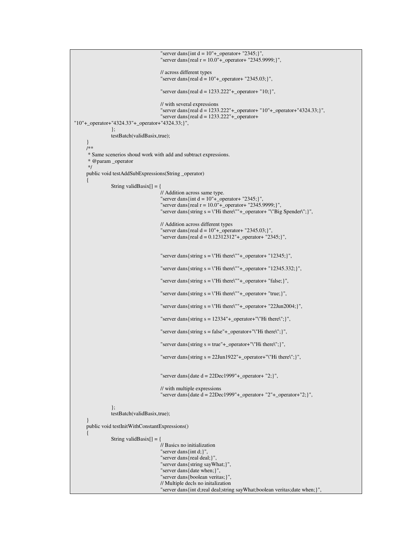```
"server dans { int d = 10" + _{\text{operator+}} "2345; }".
                                         "server dans{real r = 10.0" +_operator+ "2345.9999;}",
                                        // across different types
                                         "server dans{real d = 10"+_operator+ "2345.03;}",
                                         "server dans {real d = 1233.222" + \text{\_}operator{+} "10;}",
                                        // with several expressions
                                         "server dans{real d = 1233.222"+_operator+ "10"+_operator+"4324.33;}",
                                        "server dans{real d = 1233.222"+_operator+
"10"+_operator+"4324.33"+_operator+"4324.33;}",
                 };
                 testBatch(validBasix,true);
      }
      /**
      * Same scenerios shoud work with add and subtract expressions.
      * @param _operator
      */
     public void testAddSubExpressions(String _operator)
      {
                 String validBasix[] = {
                                        // Addition across same type.
                                         "server dans { int d = 10" + _{\text{operator+}} "2345; }",
                                         "server dans {real r = 10.0"+_operator+ "2345.9999;}",
                                        "server dans{string s = \"Hi there\""+_operator+ "\"Big Spender\";}",
                                        // Addition across different types
                                         "server dans {real d = 10" + \text{1} - \text{1} operator + "2345.03;}",
                                         "server dans {real d = 0.12312312"+_operator+ "2345; }",
                                        "server dans{string s = \"Hi there\""+_operator+ "12345;}",
                                         "server dans{string s = \PsiHi there\Psi"+_operator+ "12345.332;}",
                                         "server dans{string s = \"Hi there\""+_operator+ "false; }",
                                         "server dans{string s = \"Hi there\""+_operator+ "true;}",
                                         "server dans{string s = \PsiHi there\Psi"+_operator+ "22Jun2004;}",
                                         "server dans{string s = 12334"+_operator+"\"Hi there\"; }",
                                         "server dans{string s = false"+_operator+"\"Hi there\"; }",
                                         "server dans{string s = true"+_operator+"\"Hi there\";}",
                                         "server dans{string s = 22Jun1922"+_operator+"\"Hi there\";}",
                                         "server dans\{date d = 22Dec1999" + _operator + "2;}\",
                                        // with multiple expressions
                                         "server dans\{\text{date } d = 22\text{Dec}1999" + \text{–operator+} "2" + \text{–operator+} "2;\}",
                 };
                 testBatch(validBasix,true);
      }
     public void testInitWithConstantExpressions()
      {
                 String validBasix[] = {
                                        // Basics no initialization
                                         "server dans{int d;}",
                                        "server dans{real deal;}",
                                         "server dans{string sayWhat;}",
                                         "server dans{date when;}",
                                         "server dans{boolean veritas;}",
                                        // Multiple decls no initalization
                                         "server dans{int d;real deal;string sayWhat;boolean veritas;date when;}",
```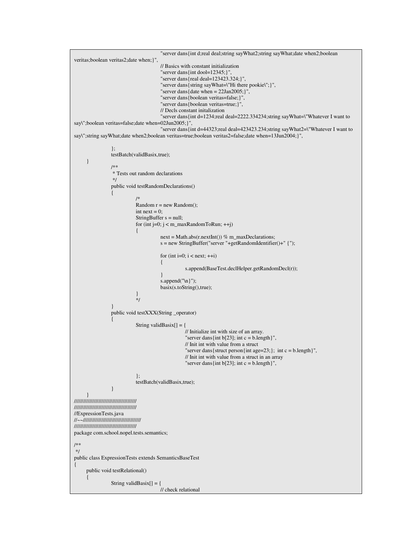```
"server dans{int d;real deal;string sayWhat2;string sayWhat;date when2;boolean
veritas;boolean veritas2;date when;}",
                                        // Basics with constant initialization
                                         "server dans{int dool=12345;}",
                                         "server dans{real deal=123423.324;}",
                                         "server dans{string sayWhat=\"Hi there pookie\";}",
                                         "server dans\{\text{date when} = 22\text{Jan}2005;\}",
                                         "server dans{boolean veritas=false;}",
                                         "server dans{boolean veritas=true;}",
                                        // Decls constant initalization
                                        "server dans{int d=1234;real deal=2222.334234;string sayWhat=\"Whatever I want to
say\";boolean veritas=false;date when=02Jun2005;}",
                                         "server dans{int d=44323;real deal=423423.234;string sayWhat2=\"Whatever I want to
say\";string sayWhat;date when2;boolean veritas=true;boolean veritas2=false;date when=13Jun2004;}",
                 };
                 testBatch(validBasix,true);
      }
                 /**
                 * Tests out random declarations
                  */
                 public void testRandomDeclarations()
                 {
                             /*
                             Random r = new Random();int next = 0;
                             StringBuffer s = null;
                             for (int j=0; j < m_maxRandomToRun; ++j){
                                        next = Math.abs(r.nextInt()) % m_maxDeclarations;
                                        s = new StringBuffer("server "+getRandomIdentifier() + "</u>);
                                        for (int i=0; i < next; ++i)
                                         {
                                                    s.append(BaseTest.declHelper.getRandomDecl(r));
                                         }
                                        s.append("\n}");
                                        basix(s.toString(),true);
                             }
                             */
                 }
                 public void testXXX(String _operator)
                 {
                             String validBasix[] = {
                                                    // Initialize int with size of an array.
                                                    "server dans{int b[23]; int c = b.length}",
                                                    // Init int with value from a struct
                                                    "server dans{struct person{int age=23;}; int c = b.length}",
                                                    // Init int with value from a struct in an array
                                                    "server dans {int b[23]; int c = b.length }",
                             };
                             testBatch(validBasix,true);
                 }
      }
/////////////////////////////////////////
/////////////////////////////////////////
//ExpressionTests.java
//~~//////////////////////////////////////
/////////////////////////////////////////
package com.school.nopel.tests.semantics;
/**
*/
public class ExpressionTests extends SemanticsBaseTest
{
      public void testRelational()
      {
                 String validBasix[] = {
                                        // check relational
```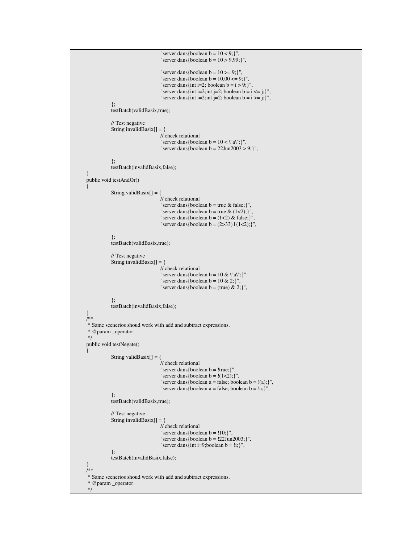```
"server dans{boolean b = 10 < 9;}",
                                   "server dans{boolean b = 10 > 9.99;}",
                                   "server dans{boolean b = 10 \ge 9;}",
                                   "server dans{boolean b = 10.00 \le 9;}",
                                   "server dans{int i=2; boolean b = i > 9;}",
                                   "server dans{int i=2;int j=2; boolean b = i <= j;}",
                                   "server dans{int i=2;int j=2; boolean b = i >= j;}",
            };
           testBatch(validBasix,true);
           // Test negative
           String invalidBasix[] = {
                                   // check relational
                                   "server dans{boolean b = 10 < \lceil a \rceil"; }",
                                   "server dans{boolean b = 22Jun2003 > 9;}",
            };
           testBatch(invalidBasix,false);
}
public void testAndOr()
{
           String validBasix[] = \{// check relational
                                   "server dans{boolean b = true \& false; }",
                                   "server dans{boolean b = true \& (1<2);}",
                                   "server dans{boolean b = (1<2) & false;}",
                                   "server dans{boolean b = (2>33) | (1<2);}",
            };
           testBatch(validBasix,true);
           // Test negative
           String invalidBasix[] = {
                                  // check relational
                                   "server dans{boolean b = 10 \& \text{``a''}; ",
                                   "server dans{boolean b = 10 \& 2;}",
                                   "server dans {boolean b = (true) & 2; }",
            };
           testBatch(invalidBasix,false);
}
/**
 * Same scenerios shoud work with add and subtract expressions.
* @param _operator
*/
public void testNegate()
{
           String validBasix[] = {
                                  // check relational
                                   "server dans {boolean b = !true;}".
                                   "server dans {boolean b = !(1<2);}",
                                   "server dans{boolean a = false; boolean b = !(a); }",
                                  "server dans{boolean a = false; boolean b = \{a\}",
            };
           testBatch(validBasix,true);
           // Test negative
           String invalidBasix[] = {
                                   // check relational
                                   "server dans {boolean b = 110; }",
                                   "server dans{boolean b = 22Jun2003;}",
                                   "server dans {int i=9; boolean b = !i; }",
           };
           testBatch(invalidBasix,false);
}
/**
 * Same scenerios shoud work with add and subtract expressions.
* @param _operator
 */
```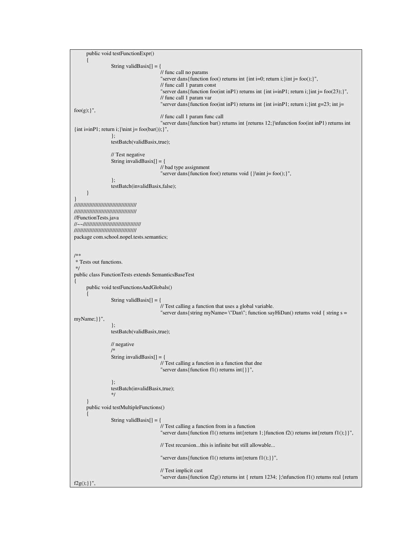```
public void testFunctionExpr()
      {
                 String validBasix[] = {
                                         // func call no params
                                          "server dans{function foo() returns int {int i=0; return i;}int j= foo();}",
                                         // func call 1 param const
                                          "server dans{function foo(int inP1) returns int {int i=inP1; return i;}int j= foo(23);}",
                                         // func call 1 param var
                                          "server dans{function foo(int inP1) returns int {int i=inP1; return i;}int g=23; int j=
foo(g);}",
                                         // func call 1 param func call
                                          "server dans{function bar() returns int {returns 12;}\nfunction foo(int inP1) returns int
{int i=inP1; return i;}\nint j= foo(bar(i));}",
                 };
                 testBatch(validBasix,true);
                 // Test negative
                 String invalidBasix[] = {
                                         // bad type assignment
                                          "server dans{function foo() returns void {}\nint j= foo();}",
                  };
                 testBatch(invalidBasix,false);
      }
}
/////////////////////////////////////////
/////////////////////////////////////////
//FunctionTests.java
//~~//////////////////////////////////////
/////////////////////////////////////////
package com.school.nopel.tests.semantics;
/**
* Tests out functions.
*/
public class FunctionTests extends SemanticsBaseTest
{
      public void testFunctionsAndGlobals()
      {
                 String validBasix[] = {
                                         // Test calling a function that uses a global variable.
                                         "server dans{string myName= \"Dan\"; function sayHiDan() returns void { string s =
myName;}}",
                  };
                 testBatch(validBasix,true);
                 // negative
                  /*
                 String invalidBasix[] = {
                                         // Test calling a function in a function that dne
                                          "server dans{function f1() returns int{}}",
                 };
                 testBatch(invalidBasix,true);
                  */
      }
      public void testMultipleFunctions()
      {
                 String validBasix[] = {
                                         // Test calling a function from in a function
                                          "server dans{function f1() returns int{return 1;}function f2() returns int{return f1();}}",
                                         // Test recursion...this is infinite but still allowable...
                                          "server dans{function f1() returns int{return f1();}}",
                                         // Test implicit cast
                                          "server dans{function f2g() returns int { return 1234; };\nfunction f1() returns real {return
f2g();}}",
```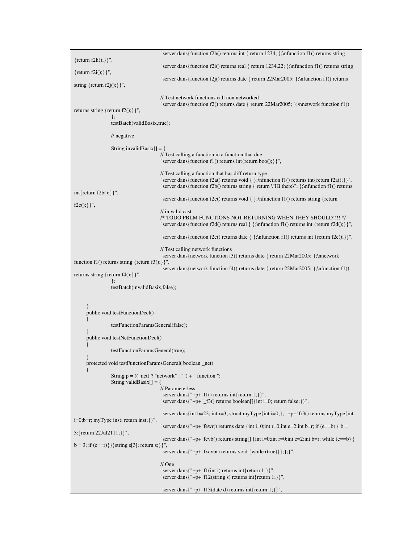|                                                                                                                                                                                                                                      | "server dans { function f2h() returns int { return 1234; }; \nfunction f1() returns string                                                                                                                                                                  |  |
|--------------------------------------------------------------------------------------------------------------------------------------------------------------------------------------------------------------------------------------|-------------------------------------------------------------------------------------------------------------------------------------------------------------------------------------------------------------------------------------------------------------|--|
| {return $f2h$ (); } }",                                                                                                                                                                                                              | "server dans { function $f2i()$ returns real { return $1234.22$ ; }; \nfunction $f1()$ returns string                                                                                                                                                       |  |
| {return $f2i()$ ; } }",                                                                                                                                                                                                              | "server dans { function $f2j()$ returns date { return 22Mar2005; }; \the function f1() returns                                                                                                                                                              |  |
| string {return $f2j()$ ;}}",                                                                                                                                                                                                         |                                                                                                                                                                                                                                                             |  |
|                                                                                                                                                                                                                                      | // Test network functions call non networked<br>"server dans { function f2() returns date { return 22Mar2005; }; \nnetwork function f1()                                                                                                                    |  |
| returns string {return f2();}}",<br>};                                                                                                                                                                                               |                                                                                                                                                                                                                                                             |  |
| testBatch(validBasix,true);                                                                                                                                                                                                          |                                                                                                                                                                                                                                                             |  |
| $\frac{1}{2}$ negative                                                                                                                                                                                                               |                                                                                                                                                                                                                                                             |  |
| String invalidBasix $[] = \{$                                                                                                                                                                                                        | // Test calling a function in a function that dne<br>"server dans { function $f1()$ returns int { return boo(); } }",                                                                                                                                       |  |
|                                                                                                                                                                                                                                      | // Test calling a function that has diff return type<br>"server dans { function f2a() returns void { }; \nfunction f1() returns int { return f2a(); } }",<br>"server dans { function f2b() returns string { return \"Hi there\"; }; \nfunction f1() returns |  |
| $int{return f2b();}$<br>$f2c();\}$ } ",                                                                                                                                                                                              | "server dans{function $f2c()$ returns void { }; \nfunction $f1()$ returns string {return                                                                                                                                                                    |  |
|                                                                                                                                                                                                                                      | // in valid cast<br>/* TODO PBLM FUNCTIONS NOT RETURNING WHEN THEY SHOULD!!!! */<br>"server dans { function f2d() returns real { $\cdot$ function f1() returns int { return f2d(); } }",                                                                    |  |
|                                                                                                                                                                                                                                      | "server dans { function f2e() returns date { $\int f(0) = f(0)$ returns int { return f2e(); } }",                                                                                                                                                           |  |
|                                                                                                                                                                                                                                      | // Test calling network functions<br>"server dans{network function f3() returns date { return 22Mar2005; };\metwork                                                                                                                                         |  |
| function f1() returns string {return f3(); } }",                                                                                                                                                                                     | "server dans { network function $f(4)$ returns date { return 22Mar2005; }; \nfunction $f(1)$                                                                                                                                                                |  |
| returns string {return $f4()$ ; } }",<br>$\}$ ;                                                                                                                                                                                      |                                                                                                                                                                                                                                                             |  |
| testBatch(invalidBasix,false);                                                                                                                                                                                                       |                                                                                                                                                                                                                                                             |  |
|                                                                                                                                                                                                                                      |                                                                                                                                                                                                                                                             |  |
| public void testFunctionDecl()                                                                                                                                                                                                       |                                                                                                                                                                                                                                                             |  |
|                                                                                                                                                                                                                                      |                                                                                                                                                                                                                                                             |  |
|                                                                                                                                                                                                                                      | testFunctionParamsGeneral(false);                                                                                                                                                                                                                           |  |
| public void testNetFunctionDecl()                                                                                                                                                                                                    |                                                                                                                                                                                                                                                             |  |
| testFunctionParamsGeneral(true);                                                                                                                                                                                                     |                                                                                                                                                                                                                                                             |  |
| protected void testFunctionParamsGeneral(boolean_net)                                                                                                                                                                                |                                                                                                                                                                                                                                                             |  |
| String validBasix $[] = \{$                                                                                                                                                                                                          | String $p = ((\text{net}) ? \text{ "network" : \text{'''}) + \text{ " function "};$                                                                                                                                                                         |  |
|                                                                                                                                                                                                                                      | // Parameterless<br>"server dans{"+p+"f1() returns int{return 1;}}",<br>"server dans{"+p+"_f3() returns boolean[]{int i=0; return false;}}",                                                                                                                |  |
|                                                                                                                                                                                                                                      | "server dans {int b=22; int r=3; struct myType {int i=0; }; "+p+"fr3() returns myType {int                                                                                                                                                                  |  |
| $i=0; b=r$ ; myType inst; return inst; } }",                                                                                                                                                                                         | "server dans {"+p+"fewr() returns date {int i=0;int r=0;int e=2;int b=r; if (e==b) { b =                                                                                                                                                                    |  |
| 3; } return 22Jul2111; } }",                                                                                                                                                                                                         | "server dans {"+p+"fcvb() returns string $\lceil \int$ {int i=0;int r=0;int e=2;int b=r; while (e==b) {                                                                                                                                                     |  |
| $b = 3$ ; if $(e == r)$ } \string s[3]; return s; \\movel \movel \movel \movel \movel \movel \movel \movel \movel \movel \movel \movel \movel \movel \movel \movel \movel \movel \movel \movel \movel \movel \movel \movel \movel \m | "server dans{"+p+"fxcvb() returns void {while $(true){};$ ; ; ; ",                                                                                                                                                                                          |  |
|                                                                                                                                                                                                                                      | $\frac{\pi}{2}$ One                                                                                                                                                                                                                                         |  |
|                                                                                                                                                                                                                                      | "server dans {"+p+"f1(int i) returns int {return 1; } }",<br>"server dans{"+p+"f12(string s) returns int{return 1;}}",                                                                                                                                      |  |
|                                                                                                                                                                                                                                      | "server dans{"+p+"f13(date d) returns int{return 1;}}",                                                                                                                                                                                                     |  |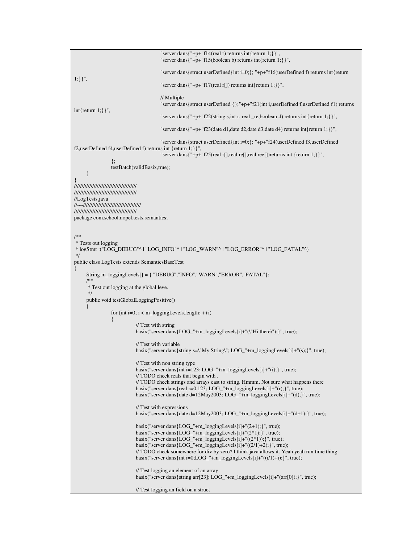```
"server dans{"+p+"f14(real r) returns int{return 1;}}",
                                       "server dans{"+p+"f15(boolean b) returns int{return 1;}}",
                                       "server dans{struct userDefined{int i=0;}; "+p+"f16(userDefined f) returns int{return
1;}}",
                                       "server dans\{\text{``+p+``f17}(\text{real r}[\})\} returns int\{\text{return 1;}\}\",
                                       // Multiple
                                       "server dans{struct userDefined {};"+p+"f21(int i,userDefined f,userDefined f1) returns
int{return 1;}}",
                                       "server dans{"+p+"f22(string s,int r, real _re,boolean d) returns int{return 1;}}",
                                       "server dans{"+p+"f23(date d1,date d2,date d3,date d4) returns int{return 1;}}",
                                       "server dans{struct userDefined{int i=0;}; "+p+"f24(userDefined f3,userDefined
f2,userDefined f4,userDefined f) returns int {return 1;}}",
                                       "server dans{"+p+"f25(real r[],real re[],real ree[])returns int {return 1;}}",
                 };
                testBatch(validBasix,true);
     }
}
/////////////////////////////////////////
/////////////////////////////////////////
//LogTests.java
//~~//////////////////////////////////////
/////////////////////////////////////////
package com.school.nopel.tests.semantics;
/**
* Tests out logging
* logStmt :("LOG_DEBUG"^ | "LOG_INFO"^ | "LOG_WARN"^ | "LOG_ERROR"^ | "LOG_FATAL"^)
*/
public class LogTests extends SemanticsBaseTest
{
     String m_loggingLevels[] = { "DEBUG","INFO","WARN","ERROR","FATAL"};
      /**
      * Test out logging at the global leve.
      */
     public void testGlobalLoggingPositive()
      {
                for (int i=0; i < m_loggingLevels.length; ++i)
                {
                            // Test with string
                            basix("server dans{LOG_"+m_loggingLevels[i]+"(\"Hi there\");}", true);
                            // Test with variable
                            basix("server dans{string s=\"My String\"; LOG_"+m_loggingLevels[i]+"(s);}", true);
                            // Test with non string type
                            basix("server dans{int i=123; LOG_"+m_loggingLevels[i]+"(i);}", true);
                            // TODO check reals that begin with .
                            // TODO check strings and arrays cast to string. Hmmm. Not sure what happens there
                            basix("server dans{real r=0.123; LOG_"+m_loggingLevels[i]+"(r);}", true);
                            basix("server dans{date d=12May2003; LOG_"+m_loggingLevels[i]+"(d);}", true);
                            // Test with expressions
                            basix("server dans{date d=12May2003; LOG_"+m_loggingLevels[i]+"(d+1);}", true);
                            basix("server dans{LOG_"+m_loggingLevels[i]+"(2+1);}", true);
                            basix("server dans{LOG_"+m_loggingLevels[i]+"(2*1);}", true);
                            basix("server dans{LOG_"+m_loggingLevels[i]+"((2*1));}", true);
                            basix("server dans{LOG_"+m_loggingLevels[i]+"((2/1)+2);}", true);
                            // TODO check somewhere for div by zero? I think java allows it. Yeah yeah run time thing
                            basix("server dans{int i=0;LOG_"+m_loggingLevels[i]+"((i/1)+i);}", true);
                            // Test logging an element of an array
                            basix("server dans{string arr[23]; LOG_"+m_loggingLevels[i]+"(arr[0]);}", true);
                           // Test logging an field on a struct
```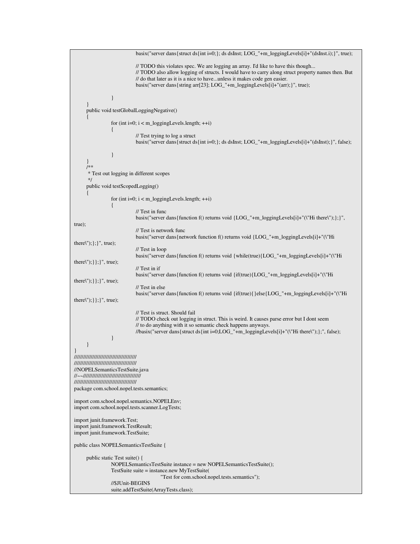```
basix("server dans{struct ds{int i=0;}; ds dsInst; LOG_"+m_loggingLevels[i]+"(dsInst.i);}", true);
                            // TODO this violates spec. We are logging an array. I'd like to have this though...
                            // TODO also allow logging of structs. I would have to carry along struct property names then. But
                            // do that later as it is a nice to have...unless it makes code gen easier.
                            basix("server dans{string arr[23]; LOG_"+m_loggingLevels[i]+"(arr);}", true);
                 }
      }
     public void testGlobalLoggingNegative()
      {
                 for (int i=0; i < m loggingLevels.length; ++i)
                 {
                            // Test trying to log a struct
                            basix("server dans{struct ds{int i=0;}; ds dsInst; LOG_"+m_loggingLevels[i]+"(dsInst);}", false);
                 }
      }
      /**
      * Test out logging in different scopes
      */
     public void testScopedLogging()
      {
                 for (int i=0; i < m _loggingLevels.length; ++i)
                 {
                            // Test in func
                            basix("server dans{function f() returns void {LOG_"+m_loggingLevels[i]+"(\"Hi there\");};}",
true);
                            // Test is network func
                            basix("server dans{network function f() returns void {LOG_"+m_loggingLevels[i]+"(\"Hi
there\langle"); \}; \}", true);
                             // Test in loop
                            basix("server dans{function f() returns void {while(true){LOG_"+m_loggingLevels[i]+"(\"Hi
there\");}};}", true);
                            // Test in if
                            basix("server dans{function f() returns void {if(true){LOG_"+m_loggingLevels[i]+"(\"Hi
there\{'{\prime\prime}}; \} } ; \} ", true);
                            // Test in else
                            basix("server dans{function f() returns void {if(true){}else{LOG_"+m_loggingLevels[i]+"(\"Hi
there\");}};}", true);
                            // Test is struct. Should fail
                             // TODO check out logging in struct. This is weird. It causes parse error but I dont seem
                            // to do anything with it so semantic check happens anyways.
                            //basix("server dans{struct ds{int i=0;LOG_"+m_loggingLevels[i]+"(\"Hi there\");};", false);
                 }
      }
}
/////////////////////////////////////////
/////////////////////////////////////////
//NOPELSemanticsTestSuite.java
//~~//////////////////////////////////////
/////////////////////////////////////////
package com.school.nopel.tests.semantics;
import com.school.nopel.semantics.NOPELEnv;
import com.school.nopel.tests.scanner.LogTests;
import junit.framework.Test;
import junit.framework.TestResult;
import junit.framework.TestSuite;
public class NOPELSemanticsTestSuite {
     public static Test suite() {
                 NOPELSemanticsTestSuite instance = new NOPELSemanticsTestSuite();
                 TestSuite suite = instance.new MyTestSuite(
                                        "Test for com.school.nopel.tests.semantics");
                 //$JUnit-BEGIN$
                 suite.addTestSuite(ArrayTests.class);
```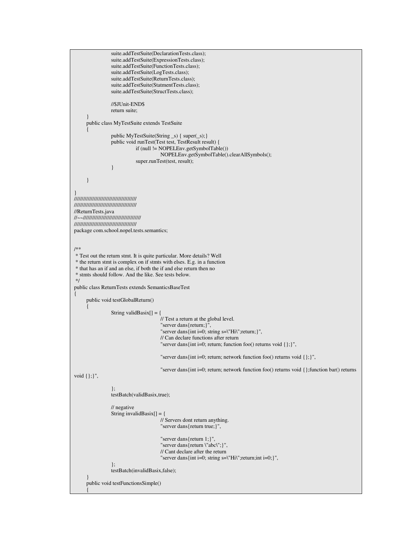```
suite.addTestSuite(DeclarationTests.class);
                 suite.addTestSuite(ExpressionTests.class);
                 suite.addTestSuite(FunctionTests.class);
                 suite.addTestSuite(LogTests.class);
                 suite.addTestSuite(ReturnTests.class);
                 suite.addTestSuite(StatmentTests.class);
                 suite.addTestSuite(StructTests.class);
                 //$JUnit-END$
                 return suite;
      }
     public class MyTestSuite extends TestSuite
      {
                 public MyTestSuite(String _s) { super(_s);}
                 public void runTest(Test test, TestResult result) {
                             if (null != NOPELEnv.getSymbolTable())
                                        NOPELEnv.getSymbolTable().clearAllSymbols();
                             super.runTest(test, result);
                  }
      }
}
/////////////////////////////////////////
/////////////////////////////////////////
//ReturnTests.java
//~~//////////////////////////////////////
/////////////////////////////////////////
package com.school.nopel.tests.semantics;
/**
* Test out the return stmt. It is quite particular. More details? Well
* the return stmt is complex on if stmts with elses. E.g. in a function
* that has an if and an else, if both the if and else return then no
* stmts should follow. And the like. See tests below.
*/
public class ReturnTests extends SemanticsBaseTest
{
     public void testGlobalReturn()
      {
                 String validBasix[] = {
                                         // Test a return at the global level.
                                         "server dans{return;}",
                                         "server dans{int i=0; string s=\"Hi\";return;}",
                                         // Can declare functions after return
                                         "server dans{int i=0; return; function foo() returns void {};}",
                                         "server dans{int i=0; return; network function foo() returns void {};}",
                                         "server dans{int i=0; return; network function foo() returns void {};function bar() returns
void {};}",
                 };
                 testBatch(validBasix,true);
                 // negative
                 String invalidBasix[] = {
                                         // Servers dont return anything.
                                         "server dans{return true;}",
                                         "server dans{return 1;}",
                                         "server dans{return \"abc\";}",
                                        // Cant declare after the return
                                         "server dans{int i=0; string s=\"Hi\";return;int i=0;}",
                  };
                 testBatch(invalidBasix,false);
      }
     public void testFunctionsSimple()
      {
```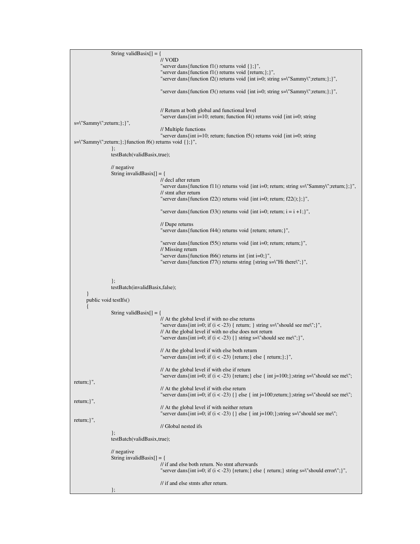|                          | String validBasix $[] = \{$                                                 |                                                                                                                                                                                                                                                                        |
|--------------------------|-----------------------------------------------------------------------------|------------------------------------------------------------------------------------------------------------------------------------------------------------------------------------------------------------------------------------------------------------------------|
|                          |                                                                             | $\frac{\textit{N}}{\text{VOD}}$<br>"server dans { function $f1()$ returns void { }; }",<br>"server dans { function f1() returns void { return; }; }",<br>"server dans { function f2() returns void { int i=0; string s=\"Sammy\"; return; }; }",                       |
|                          |                                                                             | "server dans { function f3() returns void { int i=0; string s=\"Sammy\"; return; }; }",                                                                                                                                                                                |
| s=\"Sammy\";return;};}", |                                                                             | // Return at both global and functional level<br>"server dans{int i=10; return; function $f(4)$ returns void {int i=0; string                                                                                                                                          |
|                          | s=\"Sammy\";return; \; \; \; \; function f6() returns void { \; \; \; \; \; | // Multiple functions<br>"server dans{int i=10; return; function f5() returns void {int i=0; string                                                                                                                                                                    |
|                          | $\}$ ;<br>testBatch(validBasix,true);                                       |                                                                                                                                                                                                                                                                        |
|                          | $\frac{1}{2}$ negative<br>String invalidBasix $[] = \{$                     | // decl after return<br>"server dans { function f11() returns void { int i=0; return; string s=\"Sammy\"; return; }; }",<br>// stmt after return<br>"server dans { function $f22()$ returns void { int i=0; return; $f22()$ ; }; }",                                   |
|                          |                                                                             | "server dans { function f33() returns void { int i=0; return; i = i +1; }",                                                                                                                                                                                            |
|                          |                                                                             | // Dupe returns<br>"server dans { function f44() returns void { return; return; }",                                                                                                                                                                                    |
|                          |                                                                             | "server dans { function f55() returns void { int i=0; return; return; }",<br>// Missing return<br>"server dans { function f66() returns int { int i=0; }",<br>"server dans { function f77() returns string { string s= $\lvert$ "Hi there $\lvert$ "; }",              |
|                          | $\}$ ;<br>testBatch(invalidBasix,false);                                    |                                                                                                                                                                                                                                                                        |
|                          | public void testIfs()                                                       |                                                                                                                                                                                                                                                                        |
|                          | String validBasix $[] = \{$                                                 | // At the global level if with no else returns<br>"server dans{int i=0; if $(i < -23)$ { return; } string s=\"should see me\";}",<br>// At the global level if with no else does not return<br>"server dans{int i=0; if $(i < -23)$ {} string s=\"should see me\"; }", |
|                          |                                                                             | // At the global level if with else both return<br>"server dans {int i=0; if $(i < -23)$ {return;} else { return;};}"                                                                                                                                                  |
| return; } ",             |                                                                             | // At the global level if with else if return<br>"server dans {int i=0; if $(i < -23)$ {return;} else { int j=100;}; string s=\"should see me\";                                                                                                                       |
| return; } ",             |                                                                             | // At the global level if with else return<br>"server dans{int i=0; if $(i < -23)$ {} else { int j=100; return; }; string s=\"should see me\";                                                                                                                         |
| return; }",              |                                                                             | // At the global level if with neither return<br>"server dans {int i=0; if $(i < -23)$ { } else { int j=100; }; string s=\"should see me\";                                                                                                                            |
|                          |                                                                             | // Global nested ifs                                                                                                                                                                                                                                                   |
|                          | $\}$ ;<br>testBatch(validBasix,true);                                       |                                                                                                                                                                                                                                                                        |
|                          | $\frac{1}{\sqrt{2}}$ negative<br>String invalidBasix $[] = \{$              | // if and else both return. No stmt afterwards<br>"server dans {int i=0; if $(i < -23)$ {return;} else { return;} string s=\"should error\";}",                                                                                                                        |
|                          | $\}$ ;                                                                      | // if and else stmts after return.                                                                                                                                                                                                                                     |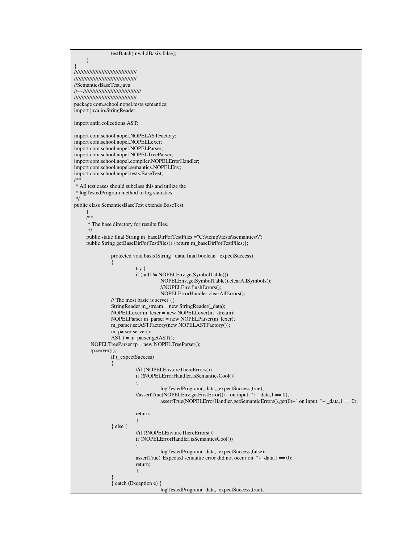testBatch(invalidBasix,false);

} } ///////////////////////////////////////// ///////////////////////////////////////// //SemanticsBaseTest.java //~~////////////////////////////////////// ///////////////////////////////////////// package com.school.nopel.tests.semantics; import java.io.StringReader; import antlr.collections.AST; import com.school.nopel.NOPELASTFactory; import com.school.nopel.NOPELLexer; import com.school.nopel.NOPELParser; import com.school.nopel.NOPELTreeParser; import com.school.nopel.compiler.NOPELErrorHandler; import com.school.nopel.semantics.NOPELEnv; import com.school.nopel.tests.BaseTest; /\*\* \* All test cases should subclass this and utilize the \* logTestedProgram method to log statistics. \*/ public class SemanticsBaseTest extends BaseTest { /\*\* \* The base directory for results files. \*/ public static final String m\_baseDirForTestFiles ="C:\\temp\\tests\\semantics\\"; public String getBaseDirForTestFiles() {return m\_baseDirForTestFiles; }; protected void basix(String \_data, final boolean \_expectSuccess) { try { if (null != NOPELEnv.getSymbolTable()) NOPELEnv.getSymbolTable().clearAllSymbols(); //NOPELEnv.flushErrors(); NOPELErrorHandler.clearAllErrors(); // The most basic is server {} StringReader m\_stream = new StringReader(\_data); NOPELLexer m\_lexer = new NOPELLexer(m\_stream); NOPELParser m\_parser = new NOPELParser(m\_lexer); m\_parser.setASTFactory(new NOPELASTFactory()); m\_parser.server();  $AST t = m\_parser.getAST();$ NOPELTreeParser tp = new NOPELTreeParser(); tp.server(t); if (\_expectSuccess) { //if (NOPELEnv.areThereErrors()) if (!NOPELErrorHandler.isSemanticsCool()) { logTestedProgram(\_data,\_expectSuccess,true); //assertTrue(NOPELEnv.getFirstError()+" on input: "+  $_data$ ,  $1 == 0$ ); assertTrue(NOPELErrorHandler.getSemanticErrors().get(0)+" on input: "+ \_data,1 == 0); return; } } else { //if (!NOPELEnv.areThereErrors()) if (NOPELErrorHandler.isSemanticsCool()) { logTestedProgram(\_data,\_expectSuccess,false); assertTrue("Expected semantic error did not occur on: "+\_data,1 == 0); return; } } } catch (Exception e) { logTestedProgram(\_data,\_expectSuccess,true);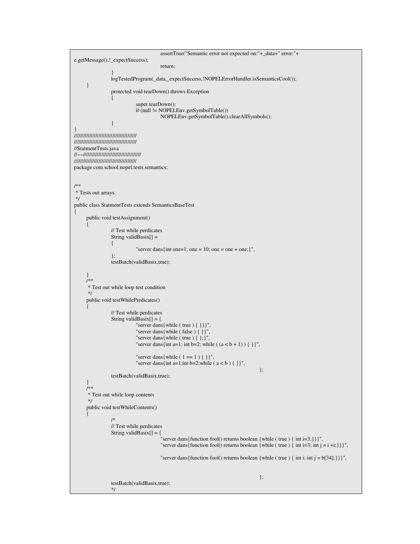```
assertTrue("Semantic error not expected on:"+_data+" error:"+
e.getMessage(),!_expectSuccess);
                                        return;
                  }
                 logTestedProgram(_data,_expectSuccess,!NOPELErrorHandler.isSemanticsCool());
      }
                 protected void tearDown() throws Exception
                  {
                             super.tearDown();
                             if (null != NOPELEnv.getSymbolTable())
                                        NOPELEnv.getSymbolTable().clearAllSymbols();
                  }
}
/////////////////////////////////////////
/////////////////////////////////////////
//StatmentTests.java
//~~//////////////////////////////////////
/////////////////////////////////////////
package com.school.nopel.tests.semantics;
/**
* Tests out arrays.
*/
public class StatmentTests extends SemanticsBaseTest
{
     public void testAssignment()
      \{// Test while perdicates
                 String validBasix[] =
                 {
                             "server dans{int one=1; one = 10; one = one + one;}",
                 };
                 testBatch(validBasix,true);
      }
     /**
      * Test out while loop test condition
      */
     public void testWhilePredicates()
      {
                 // Test while perdicates
                 String validBasix[] = {
                             "server dans{while ( true ) { }}}",
                             "server dans{while ( false ) { }}",
                             "server dans{while ( true ) { };}",
                             "server dans {int a=1; int b=2; while ((a < b + 1)) { }}",
                             "server dans { while (1 == 1) { } }",
                             "server dans {int a=1;int b=2; while (a < b) { } }",
                                                                                        };
                 testBatch(validBasix,true);
      }
     /**
      * Test out while loop contents
      */
     public void testWhileContents()
      \left\{ \right./*
                 // Test while perdicates
                 String validBasix[] = \{"server dans{function fool() returns boolean {while ( true ) { int i=3;}}}",
                                         "server dans{function fool() returns boolean {while ( true ) { int i=3; int j = i +i;}}}",
                                         "server dans{function fool() returns boolean {while ( true ) { int i; int j = b[34];}}}",
                                                                                        };
                 testBatch(validBasix,true);
                 */
```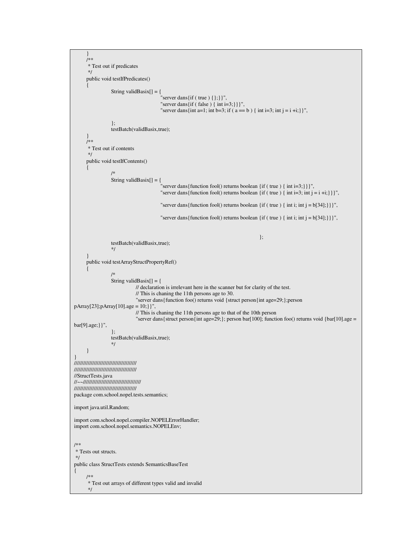```
}
      /**
      * Test out if predicates
      */
      public void testIfPredicates()
      {
                  String validBasix[] = {
                                          "server dans {if ( true ) \{\};\} ",
                                          "server dans{if ( false ) { int i=3;}}}",
                                          "server dans{int a=1; int b=3; if (a == b) { int i=3; int j = i +i;}}",
                  };
                  testBatch(validBasix,true);
      }
      /**
      * Test out if contents
       */
     public void testIfContents()
      {
                  /*
                  String validBasix[] = {
                                          "server dans{function fool() returns boolean {if ( true ) { int i=3;}}}",
                                          "server dans { function fool() returns boolean {if ( true ) { int i=3; int j = i +i; } } }",
                                          "server dans{function fool() returns boolean {if ( true ) { int i; int j = b[34]; } } ",
                                          "server dans{function fool() returns boolean {if ( true ) { int i; int j = b[34];}}}",
                                                                                         };
                  testBatch(validBasix,true);
                  */
      }
     public void testArrayStructPropertyRef()
      {
                  /*
                  String validBasix[] = \{// declaration is irrelevant here in the scanner but for clarity of the test.
                              // This is chaning the 11th persons age to 30.
                              "server dans{function foo() returns void {struct person{int age=29;};person
pArray[23];pArray[10].age = 10;}}",
                              // This is chaning the 11th persons age to that of the 10th person
                              "server dans{struct person{int age=29;}; person bar[100]; function foo() returns void {bar[10].age =
bar[9].age;}}",
                  };
                 testBatch(validBasix,true);
                  */
      }
}
/////////////////////////////////////////
/////////////////////////////////////////
//StructTests.java
//~~//////////////////////////////////////
/////////////////////////////////////////
package com.school.nopel.tests.semantics;
import java.util.Random;
import com.school.nopel.compiler.NOPELErrorHandler;
import com.school.nopel.semantics.NOPELEnv;
/**
* Tests out structs.
*/
public class StructTests extends SemanticsBaseTest
{
      /**
      * Test out arrays of different types valid and invalid
      */
```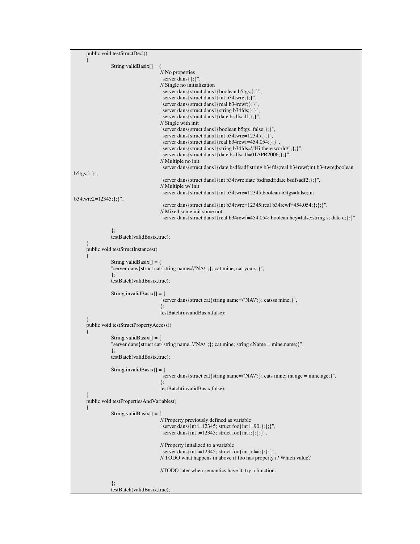```
public void testStructDecl()
      {
                String validBasix[] = {
                                       // No properties
                                       "server dans{};}",
                                       // Single no initialization
                                       "server dans{struct dans1{boolean b5tgs;};}",
                                       "server dans{struct dans1{int b34twre;};}",
                                       "server dans{struct dans1{real b34rewf;};}",
                                       "server dans{struct dans1{string b34fds;};}",
                                       "server dans{struct dans1{date bsdfsadf;};}",
                                       // Single with init
                                       "server dans{struct dans1{boolean b5tgs=false;};}",
                                       "server dans{struct dans1{int b34twre=12345;};}",
                                       "server dans{struct dans1{real b34rewf=454.054;};}",
                                       "server dans{struct dans1{string b34fds=\"Hi there world\";};}",
                                       "server dans{struct dans1{date bsdfsadf=01APR2006;};}",
                                       // Multiple no init
                                       "server dans{struct dans1{date bsdfsadf;string b34fds;real b34rewf;int b34twre;boolean
b5tgs;};}",
                                       "server dans{struct dans1{int b34twre;date bsdfsadf;date bsdfsadf2;};}",
                                       // Multiple w/ init
                                       "server dans{struct dans1{int b34twre=12345;boolean b5tgs=false;int
b34twre2=12345;};}",
                                       "server dans{struct dans1{int b34twre=12345;real b34rewf=454.054;};};}",
                                       // Mixed some init some not.
                                       "server dans{struct dans1{real b34rewf=454.054; boolean hey=false;string s; date d;};}",
                 };
                testBatch(validBasix,true);
      }
     public void testStructInstances()
      {
                String validBasix[] = {
                 "server dans{struct cat{string name=\"NA\";}; cat mine; cat yours;}",
                 };
                testBatch(validBasix,true);
                String invalidBasix[] = {
                                        'server dans{struct cat{string name=\"NA\";}; catsss mine;}",
                                       };
                                       testBatch(invalidBasix,false);
      }
      public void testStructPropertyAccess()
      {
                String validBasix[ = {
                 "server dans{struct cat{string name=\"NA\";}; cat mine; string cName = mine.name;}",
                 };
                testBatch(validBasix,true);
                String invalidBasix[] = {
                                       "server dans{struct cat{string name=\"NA\";}; cats mine; int age = mine.age;}",
                                       };
                                       testBatch(invalidBasix,false);
      }
     public void testPropertiesAndVariables()
      {
                String validBasix[] = {
                                       // Property previously defined as variable
                                       "server dans{int i=12345; struct foo{int i=90;};};}",
                                       "server dans{int i=12345; struct foo{int i;};};}",
                                       // Property initalized to a variable
                                       "server dans{int i=12345; struct foo{int jol=i;};};}",
                                       // TODO what happens in above if foo has property i? Which value?
                                       //TODO later when semantics have it, try a function.
                 };
                testBatch(validBasix,true);
```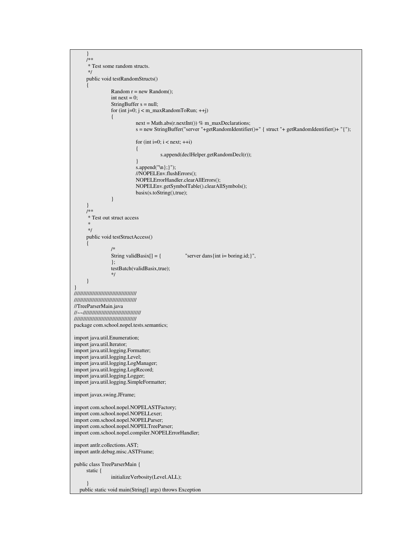```
}
      /**
      * Test some random structs.
      */
     public void testRandomStructs()
      {
                Random r = new Random();int next = 0;
                StringBuffer s = null;
                for (int j=0; j < m_maxRandomToRun; ++j)
                {
                            next = Math.abs(r.nextInt()) % m_maxDeclarations;
                            s = new StringBuffer("server "+getRandomIdentifier()+" { struct "+ getRandomIdentifier()+ "{");
                            for (int i=0; i < next; ++i)
                            {
                                       s.append(declHelper.getRandomDecl(r));
                            }
                            s.append("\n};}");
                            //NOPELEnv.flushErrors();
                            NOPELErrorHandler.clearAllErrors();
                            NOPELEnv.getSymbolTable().clearAllSymbols();
                            basix(s.toString(),true);
                 }
      }
     /**
      * Test out struct access
      *
      */
     public void testStructAccess()
      {
                /*<br>String validBasix[] = {
                                                  "server dans{int i= boring.id;}",
                };
                testBatch(validBasix,true);
                 */
     }
}
/////////////////////////////////////////
/////////////////////////////////////////
//TreeParserMain.java
//~~//////////////////////////////////////
/////////////////////////////////////////
package com.school.nopel.tests.semantics;
import java.util.Enumeration;
import java.util.Iterator;
import java.util.logging.Formatter;
import java.util.logging.Level;
import java.util.logging.LogManager;
import java.util.logging.LogRecord;
import java.util.logging.Logger;
import java.util.logging.SimpleFormatter;
import javax.swing.JFrame;
import com.school.nopel.NOPELASTFactory;
import com.school.nopel.NOPELLexer;
import com.school.nopel.NOPELParser;
import com.school.nopel.NOPELTreeParser;
import com.school.nopel.compiler.NOPELErrorHandler;
import antlr.collections.AST;
import antlr.debug.misc.ASTFrame;
public class TreeParserMain {
     static {
                initializeVerbosity(Level.ALL);
      }
  public static void main(String[] args) throws Exception
```